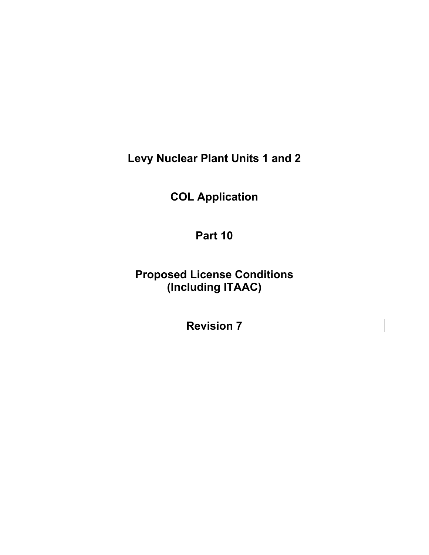**Levy Nuclear Plant Units 1 and 2** 

**COL Application** 

**Part 10** 

**Proposed License Conditions (Including ITAAC)** 

**Revision 7**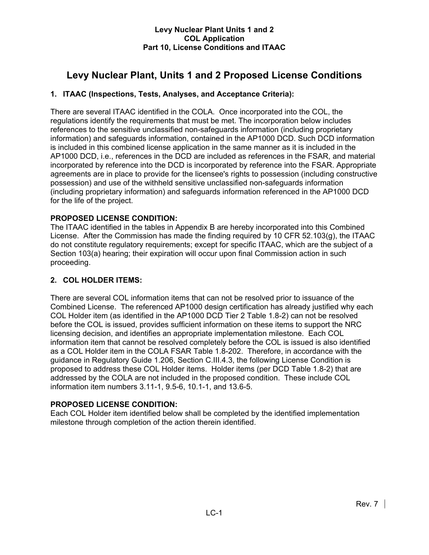# **Levy Nuclear Plant, Units 1 and 2 Proposed License Conditions**

# **1. ITAAC (Inspections, Tests, Analyses, and Acceptance Criteria):**

There are several ITAAC identified in the COLA. Once incorporated into the COL, the regulations identify the requirements that must be met. The incorporation below includes references to the sensitive unclassified non-safeguards information (including proprietary information) and safeguards information, contained in the AP1000 DCD. Such DCD information is included in this combined license application in the same manner as it is included in the AP1000 DCD, i.e., references in the DCD are included as references in the FSAR, and material incorporated by reference into the DCD is incorporated by reference into the FSAR. Appropriate agreements are in place to provide for the licensee's rights to possession (including constructive possession) and use of the withheld sensitive unclassified non-safeguards information (including proprietary information) and safeguards information referenced in the AP1000 DCD for the life of the project.

# **PROPOSED LICENSE CONDITION:**

The ITAAC identified in the tables in Appendix B are hereby incorporated into this Combined License. After the Commission has made the finding required by 10 CFR 52.103(g), the ITAAC do not constitute regulatory requirements; except for specific ITAAC, which are the subject of a Section 103(a) hearing; their expiration will occur upon final Commission action in such proceeding.

# **2. COL HOLDER ITEMS:**

There are several COL information items that can not be resolved prior to issuance of the Combined License. The referenced AP1000 design certification has already justified why each COL Holder item (as identified in the AP1000 DCD Tier 2 Table 1.8-2) can not be resolved before the COL is issued, provides sufficient information on these items to support the NRC licensing decision, and identifies an appropriate implementation milestone. Each COL information item that cannot be resolved completely before the COL is issued is also identified as a COL Holder item in the COLA FSAR Table 1.8-202. Therefore, in accordance with the guidance in Regulatory Guide 1.206, Section C.III.4.3, the following License Condition is proposed to address these COL Holder items. Holder items (per DCD Table 1.8-2) that are addressed by the COLA are not included in the proposed condition. These include COL information item numbers 3.11-1, 9.5-6, 10.1-1, and 13.6-5.

# **PROPOSED LICENSE CONDITION:**

Each COL Holder item identified below shall be completed by the identified implementation milestone through completion of the action therein identified.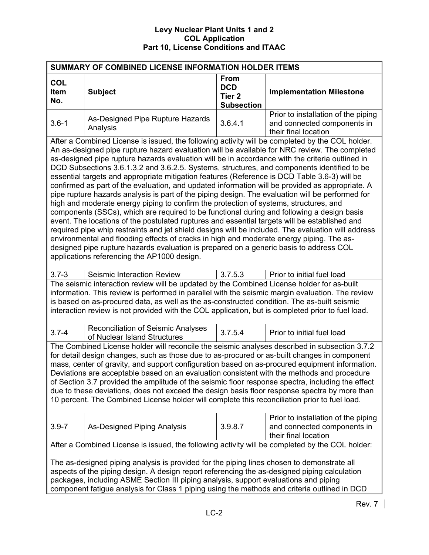| SUMMARY OF COMBINED LICENSE INFORMATION HOLDER ITEMS                                                                                                                                                                                                                                                                                                                                                                                                                                                                                                                                                                                                                                                                                                                                                                                                                                                                                                                                                                                                                                                                                                                                                                                                                                                                                         |                                                                                                                                                                                                                                                                                                                                                                                                    |                                                                     |                                                                                            |  |  |  |  |
|----------------------------------------------------------------------------------------------------------------------------------------------------------------------------------------------------------------------------------------------------------------------------------------------------------------------------------------------------------------------------------------------------------------------------------------------------------------------------------------------------------------------------------------------------------------------------------------------------------------------------------------------------------------------------------------------------------------------------------------------------------------------------------------------------------------------------------------------------------------------------------------------------------------------------------------------------------------------------------------------------------------------------------------------------------------------------------------------------------------------------------------------------------------------------------------------------------------------------------------------------------------------------------------------------------------------------------------------|----------------------------------------------------------------------------------------------------------------------------------------------------------------------------------------------------------------------------------------------------------------------------------------------------------------------------------------------------------------------------------------------------|---------------------------------------------------------------------|--------------------------------------------------------------------------------------------|--|--|--|--|
| <b>COL</b><br><b>Item</b><br>No.                                                                                                                                                                                                                                                                                                                                                                                                                                                                                                                                                                                                                                                                                                                                                                                                                                                                                                                                                                                                                                                                                                                                                                                                                                                                                                             | <b>Subject</b>                                                                                                                                                                                                                                                                                                                                                                                     | <b>From</b><br><b>DCD</b><br>Tier <sub>2</sub><br><b>Subsection</b> | <b>Implementation Milestone</b>                                                            |  |  |  |  |
| $3.6 - 1$                                                                                                                                                                                                                                                                                                                                                                                                                                                                                                                                                                                                                                                                                                                                                                                                                                                                                                                                                                                                                                                                                                                                                                                                                                                                                                                                    | As-Designed Pipe Rupture Hazards<br>Analysis                                                                                                                                                                                                                                                                                                                                                       | 3.6.4.1                                                             | Prior to installation of the piping<br>and connected components in<br>their final location |  |  |  |  |
| After a Combined License is issued, the following activity will be completed by the COL holder.<br>An as-designed pipe rupture hazard evaluation will be available for NRC review. The completed<br>as-designed pipe rupture hazards evaluation will be in accordance with the criteria outlined in<br>DCD Subsections 3.6.1.3.2 and 3.6.2.5. Systems, structures, and components identified to be<br>essential targets and appropriate mitigation features (Reference is DCD Table 3.6-3) will be<br>confirmed as part of the evaluation, and updated information will be provided as appropriate. A<br>pipe rupture hazards analysis is part of the piping design. The evaluation will be performed for<br>high and moderate energy piping to confirm the protection of systems, structures, and<br>components (SSCs), which are required to be functional during and following a design basis<br>event. The locations of the postulated ruptures and essential targets will be established and<br>required pipe whip restraints and jet shield designs will be included. The evaluation will address<br>environmental and flooding effects of cracks in high and moderate energy piping. The as-<br>designed pipe rupture hazards evaluation is prepared on a generic basis to address COL<br>applications referencing the AP1000 design. |                                                                                                                                                                                                                                                                                                                                                                                                    |                                                                     |                                                                                            |  |  |  |  |
| $3.7 - 3$                                                                                                                                                                                                                                                                                                                                                                                                                                                                                                                                                                                                                                                                                                                                                                                                                                                                                                                                                                                                                                                                                                                                                                                                                                                                                                                                    | Seismic Interaction Review                                                                                                                                                                                                                                                                                                                                                                         | 3.7.5.3                                                             | Prior to initial fuel load                                                                 |  |  |  |  |
|                                                                                                                                                                                                                                                                                                                                                                                                                                                                                                                                                                                                                                                                                                                                                                                                                                                                                                                                                                                                                                                                                                                                                                                                                                                                                                                                              | The seismic interaction review will be updated by the Combined License holder for as-built<br>information. This review is performed in parallel with the seismic margin evaluation. The review<br>is based on as-procured data, as well as the as-constructed condition. The as-built seismic<br>interaction review is not provided with the COL application, but is completed prior to fuel load. |                                                                     |                                                                                            |  |  |  |  |
| $3.7 - 4$                                                                                                                                                                                                                                                                                                                                                                                                                                                                                                                                                                                                                                                                                                                                                                                                                                                                                                                                                                                                                                                                                                                                                                                                                                                                                                                                    | <b>Reconciliation of Seismic Analyses</b><br>of Nuclear Island Structures                                                                                                                                                                                                                                                                                                                          | 3.7.5.4                                                             | Prior to initial fuel load                                                                 |  |  |  |  |
| The Combined License holder will reconcile the seismic analyses described in subsection 3.7.2<br>for detail design changes, such as those due to as-procured or as-built changes in component<br>mass, center of gravity, and support configuration based on as-procured equipment information.<br>Deviations are acceptable based on an evaluation consistent with the methods and procedure<br>of Section 3.7 provided the amplitude of the seismic floor response spectra, including the effect<br>due to these deviations, does not exceed the design basis floor response spectra by more than<br>10 percent. The Combined License holder will complete this reconciliation prior to fuel load.                                                                                                                                                                                                                                                                                                                                                                                                                                                                                                                                                                                                                                         |                                                                                                                                                                                                                                                                                                                                                                                                    |                                                                     |                                                                                            |  |  |  |  |
| $3.9 - 7$                                                                                                                                                                                                                                                                                                                                                                                                                                                                                                                                                                                                                                                                                                                                                                                                                                                                                                                                                                                                                                                                                                                                                                                                                                                                                                                                    | As-Designed Piping Analysis                                                                                                                                                                                                                                                                                                                                                                        | 3.9.8.7                                                             | Prior to installation of the piping<br>and connected components in<br>their final location |  |  |  |  |
|                                                                                                                                                                                                                                                                                                                                                                                                                                                                                                                                                                                                                                                                                                                                                                                                                                                                                                                                                                                                                                                                                                                                                                                                                                                                                                                                              | After a Combined License is issued, the following activity will be completed by the COL holder:                                                                                                                                                                                                                                                                                                    |                                                                     |                                                                                            |  |  |  |  |
|                                                                                                                                                                                                                                                                                                                                                                                                                                                                                                                                                                                                                                                                                                                                                                                                                                                                                                                                                                                                                                                                                                                                                                                                                                                                                                                                              | The as-designed piping analysis is provided for the piping lines chosen to demonstrate all<br>aspects of the piping design. A design report referencing the as-designed piping calculation<br>packages, including ASME Section III piping analysis, support evaluations and piping<br>component fatigue analysis for Class 1 piping using the methods and criteria outlined in DCD                 |                                                                     |                                                                                            |  |  |  |  |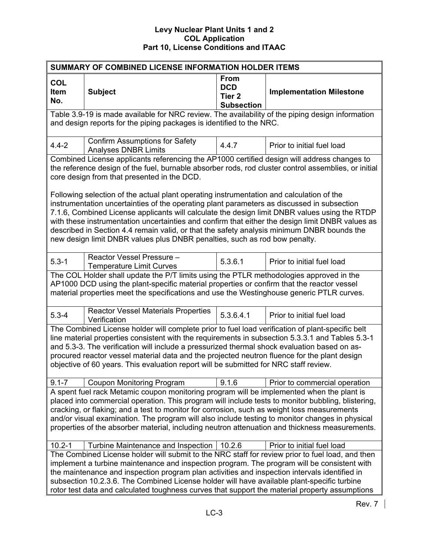| SUMMARY OF COMBINED LICENSE INFORMATION HOLDER ITEMS                                                                                                                                                                                                                                                                                                                                                                                                                                                |                                                                                                                                                                                                                                                                                                                                                                                                                                                                                                   |                                                                     |                                 |  |  |  |  |  |  |  |
|-----------------------------------------------------------------------------------------------------------------------------------------------------------------------------------------------------------------------------------------------------------------------------------------------------------------------------------------------------------------------------------------------------------------------------------------------------------------------------------------------------|---------------------------------------------------------------------------------------------------------------------------------------------------------------------------------------------------------------------------------------------------------------------------------------------------------------------------------------------------------------------------------------------------------------------------------------------------------------------------------------------------|---------------------------------------------------------------------|---------------------------------|--|--|--|--|--|--|--|
| <b>COL</b><br><b>Item</b><br>No.                                                                                                                                                                                                                                                                                                                                                                                                                                                                    | <b>Subject</b>                                                                                                                                                                                                                                                                                                                                                                                                                                                                                    | <b>From</b><br><b>DCD</b><br>Tier <sub>2</sub><br><b>Subsection</b> | <b>Implementation Milestone</b> |  |  |  |  |  |  |  |
|                                                                                                                                                                                                                                                                                                                                                                                                                                                                                                     | Table 3.9-19 is made available for NRC review. The availability of the piping design information<br>and design reports for the piping packages is identified to the NRC.                                                                                                                                                                                                                                                                                                                          |                                                                     |                                 |  |  |  |  |  |  |  |
| $4.4 - 2$                                                                                                                                                                                                                                                                                                                                                                                                                                                                                           | <b>Confirm Assumptions for Safety</b><br><b>Analyses DNBR Limits</b>                                                                                                                                                                                                                                                                                                                                                                                                                              | 4.4.7                                                               | Prior to initial fuel load      |  |  |  |  |  |  |  |
|                                                                                                                                                                                                                                                                                                                                                                                                                                                                                                     | Combined License applicants referencing the AP1000 certified design will address changes to<br>the reference design of the fuel, burnable absorber rods, rod cluster control assemblies, or initial<br>core design from that presented in the DCD.<br>Following selection of the actual plant operating instrumentation and calculation of the                                                                                                                                                    |                                                                     |                                 |  |  |  |  |  |  |  |
|                                                                                                                                                                                                                                                                                                                                                                                                                                                                                                     | instrumentation uncertainties of the operating plant parameters as discussed in subsection<br>7.1.6, Combined License applicants will calculate the design limit DNBR values using the RTDP<br>with these instrumentation uncertainties and confirm that either the design limit DNBR values as<br>described in Section 4.4 remain valid, or that the safety analysis minimum DNBR bounds the<br>new design limit DNBR values plus DNBR penalties, such as rod bow penalty.                       |                                                                     |                                 |  |  |  |  |  |  |  |
| $5.3 - 1$                                                                                                                                                                                                                                                                                                                                                                                                                                                                                           | Reactor Vessel Pressure -<br><b>Temperature Limit Curves</b>                                                                                                                                                                                                                                                                                                                                                                                                                                      | 5.3.6.1                                                             | Prior to initial fuel load      |  |  |  |  |  |  |  |
|                                                                                                                                                                                                                                                                                                                                                                                                                                                                                                     | The COL Holder shall update the P/T limits using the PTLR methodologies approved in the<br>AP1000 DCD using the plant-specific material properties or confirm that the reactor vessel<br>material properties meet the specifications and use the Westinghouse generic PTLR curves.                                                                                                                                                                                                                |                                                                     |                                 |  |  |  |  |  |  |  |
| $5.3 - 4$                                                                                                                                                                                                                                                                                                                                                                                                                                                                                           | <b>Reactor Vessel Materials Properties</b><br>Verification                                                                                                                                                                                                                                                                                                                                                                                                                                        | 5.3.6.4.1                                                           | Prior to initial fuel load      |  |  |  |  |  |  |  |
|                                                                                                                                                                                                                                                                                                                                                                                                                                                                                                     | The Combined License holder will complete prior to fuel load verification of plant-specific belt<br>line material properties consistent with the requirements in subsection 5.3.3.1 and Tables 5.3-1<br>and 5.3-3. The verification will include a pressurized thermal shock evaluation based on as-<br>procured reactor vessel material data and the projected neutron fluence for the plant design<br>objective of 60 years. This evaluation report will be submitted for NRC staff review.     |                                                                     |                                 |  |  |  |  |  |  |  |
| $9.1 - 7$                                                                                                                                                                                                                                                                                                                                                                                                                                                                                           | <b>Coupon Monitoring Program</b>                                                                                                                                                                                                                                                                                                                                                                                                                                                                  | 9.1.6                                                               | Prior to commercial operation   |  |  |  |  |  |  |  |
| A spent fuel rack Metamic coupon monitoring program will be implemented when the plant is<br>placed into commercial operation. This program will include tests to monitor bubbling, blistering,<br>cracking, or flaking; and a test to monitor for corrosion, such as weight loss measurements<br>and/or visual examination. The program will also include testing to monitor changes in physical<br>properties of the absorber material, including neutron attenuation and thickness measurements. |                                                                                                                                                                                                                                                                                                                                                                                                                                                                                                   |                                                                     |                                 |  |  |  |  |  |  |  |
| $10.2 - 1$                                                                                                                                                                                                                                                                                                                                                                                                                                                                                          | Turbine Maintenance and Inspection                                                                                                                                                                                                                                                                                                                                                                                                                                                                | 10.2.6                                                              | Prior to initial fuel load      |  |  |  |  |  |  |  |
|                                                                                                                                                                                                                                                                                                                                                                                                                                                                                                     | The Combined License holder will submit to the NRC staff for review prior to fuel load, and then<br>implement a turbine maintenance and inspection program. The program will be consistent with<br>the maintenance and inspection program plan activities and inspection intervals identified in<br>subsection 10.2.3.6. The Combined License holder will have available plant-specific turbine<br>rotor test data and calculated toughness curves that support the material property assumptions |                                                                     |                                 |  |  |  |  |  |  |  |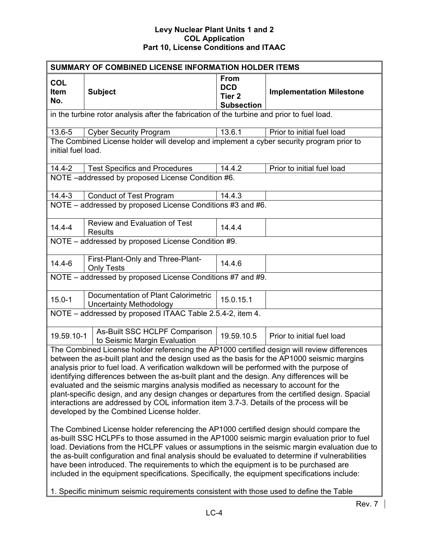|                           | SUMMARY OF COMBINED LICENSE INFORMATION HOLDER ITEMS                                                                                                                                                                                                                                                                                                                                                                                                                                                                                                                                                                                                                                                                                                                                                                                                                                                                                                                                                                                                                                                                                                                                                          |                                                                     |                                 |
|---------------------------|---------------------------------------------------------------------------------------------------------------------------------------------------------------------------------------------------------------------------------------------------------------------------------------------------------------------------------------------------------------------------------------------------------------------------------------------------------------------------------------------------------------------------------------------------------------------------------------------------------------------------------------------------------------------------------------------------------------------------------------------------------------------------------------------------------------------------------------------------------------------------------------------------------------------------------------------------------------------------------------------------------------------------------------------------------------------------------------------------------------------------------------------------------------------------------------------------------------|---------------------------------------------------------------------|---------------------------------|
| <b>COL</b><br>Item<br>No. | <b>Subject</b>                                                                                                                                                                                                                                                                                                                                                                                                                                                                                                                                                                                                                                                                                                                                                                                                                                                                                                                                                                                                                                                                                                                                                                                                | <b>From</b><br><b>DCD</b><br>Tier <sub>2</sub><br><b>Subsection</b> | <b>Implementation Milestone</b> |
|                           | in the turbine rotor analysis after the fabrication of the turbine and prior to fuel load.                                                                                                                                                                                                                                                                                                                                                                                                                                                                                                                                                                                                                                                                                                                                                                                                                                                                                                                                                                                                                                                                                                                    |                                                                     |                                 |
| 13.6-5                    | <b>Cyber Security Program</b>                                                                                                                                                                                                                                                                                                                                                                                                                                                                                                                                                                                                                                                                                                                                                                                                                                                                                                                                                                                                                                                                                                                                                                                 | 13.6.1                                                              | Prior to initial fuel load      |
| initial fuel load.        | The Combined License holder will develop and implement a cyber security program prior to                                                                                                                                                                                                                                                                                                                                                                                                                                                                                                                                                                                                                                                                                                                                                                                                                                                                                                                                                                                                                                                                                                                      |                                                                     |                                 |
| $14.4 - 2$                | <b>Test Specifics and Procedures</b>                                                                                                                                                                                                                                                                                                                                                                                                                                                                                                                                                                                                                                                                                                                                                                                                                                                                                                                                                                                                                                                                                                                                                                          | 14.4.2                                                              | Prior to initial fuel load      |
|                           | NOTE -addressed by proposed License Condition #6.                                                                                                                                                                                                                                                                                                                                                                                                                                                                                                                                                                                                                                                                                                                                                                                                                                                                                                                                                                                                                                                                                                                                                             |                                                                     |                                 |
| $14.4 - 3$                | <b>Conduct of Test Program</b>                                                                                                                                                                                                                                                                                                                                                                                                                                                                                                                                                                                                                                                                                                                                                                                                                                                                                                                                                                                                                                                                                                                                                                                | 14.4.3                                                              |                                 |
|                           | NOTE - addressed by proposed License Conditions #3 and #6.                                                                                                                                                                                                                                                                                                                                                                                                                                                                                                                                                                                                                                                                                                                                                                                                                                                                                                                                                                                                                                                                                                                                                    |                                                                     |                                 |
| $14.4 - 4$                | <b>Review and Evaluation of Test</b><br><b>Results</b>                                                                                                                                                                                                                                                                                                                                                                                                                                                                                                                                                                                                                                                                                                                                                                                                                                                                                                                                                                                                                                                                                                                                                        | 14.4.4                                                              |                                 |
|                           | NOTE - addressed by proposed License Condition #9.                                                                                                                                                                                                                                                                                                                                                                                                                                                                                                                                                                                                                                                                                                                                                                                                                                                                                                                                                                                                                                                                                                                                                            |                                                                     |                                 |
| $14.4 - 6$                | First-Plant-Only and Three-Plant-<br><b>Only Tests</b>                                                                                                                                                                                                                                                                                                                                                                                                                                                                                                                                                                                                                                                                                                                                                                                                                                                                                                                                                                                                                                                                                                                                                        | 14.4.6                                                              |                                 |
|                           | NOTE - addressed by proposed License Conditions #7 and #9.                                                                                                                                                                                                                                                                                                                                                                                                                                                                                                                                                                                                                                                                                                                                                                                                                                                                                                                                                                                                                                                                                                                                                    |                                                                     |                                 |
| $15.0 - 1$                | Documentation of Plant Calorimetric<br><b>Uncertainty Methodology</b>                                                                                                                                                                                                                                                                                                                                                                                                                                                                                                                                                                                                                                                                                                                                                                                                                                                                                                                                                                                                                                                                                                                                         | 15.0.15.1                                                           |                                 |
|                           | NOTE - addressed by proposed ITAAC Table 2.5.4-2, item 4.                                                                                                                                                                                                                                                                                                                                                                                                                                                                                                                                                                                                                                                                                                                                                                                                                                                                                                                                                                                                                                                                                                                                                     |                                                                     |                                 |
| 19.59.10-1                | As-Built SSC HCLPF Comparison<br>to Seismic Margin Evaluation                                                                                                                                                                                                                                                                                                                                                                                                                                                                                                                                                                                                                                                                                                                                                                                                                                                                                                                                                                                                                                                                                                                                                 | 19.59.10.5                                                          | Prior to initial fuel load      |
|                           | The Combined License holder referencing the AP1000 certified design will review differences<br>between the as-built plant and the design used as the basis for the AP1000 seismic margins<br>analysis prior to fuel load. A verification walkdown will be performed with the purpose of<br>identifying differences between the as-built plant and the design. Any differences will be<br>evaluated and the seismic margins analysis modified as necessary to account for the<br>plant-specific design, and any design changes or departures from the certified design. Spacial<br>interactions are addressed by COL information item 3.7-3. Details of the process will be<br>developed by the Combined License holder.<br>The Combined License holder referencing the AP1000 certified design should compare the<br>as-built SSC HCLPFs to those assumed in the AP1000 seismic margin evaluation prior to fuel<br>load. Deviations from the HCLPF values or assumptions in the seismic margin evaluation due to<br>the as-built configuration and final analysis should be evaluated to determine if vulnerabilities<br>have been introduced. The requirements to which the equipment is to be purchased are |                                                                     |                                 |
|                           | included in the equipment specifications. Specifically, the equipment specifications include:                                                                                                                                                                                                                                                                                                                                                                                                                                                                                                                                                                                                                                                                                                                                                                                                                                                                                                                                                                                                                                                                                                                 |                                                                     |                                 |
|                           | 1. Specific minimum seismic requirements consistent with those used to define the Table                                                                                                                                                                                                                                                                                                                                                                                                                                                                                                                                                                                                                                                                                                                                                                                                                                                                                                                                                                                                                                                                                                                       |                                                                     |                                 |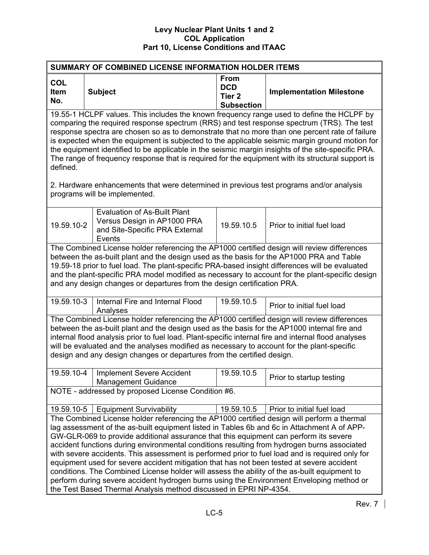| SUMMARY OF COMBINED LICENSE INFORMATION HOLDER ITEMS |                                                                                                                                                                                                                                                                                                                                                                                                                                                                                                                                                                                                                                                                                                                                                                                                                                                    |                                                                     |                                 |  |  |  |  |  |
|------------------------------------------------------|----------------------------------------------------------------------------------------------------------------------------------------------------------------------------------------------------------------------------------------------------------------------------------------------------------------------------------------------------------------------------------------------------------------------------------------------------------------------------------------------------------------------------------------------------------------------------------------------------------------------------------------------------------------------------------------------------------------------------------------------------------------------------------------------------------------------------------------------------|---------------------------------------------------------------------|---------------------------------|--|--|--|--|--|
| <b>COL</b><br>Item<br>No.                            | <b>Subject</b>                                                                                                                                                                                                                                                                                                                                                                                                                                                                                                                                                                                                                                                                                                                                                                                                                                     | <b>From</b><br><b>DCD</b><br>Tier <sub>2</sub><br><b>Subsection</b> | <b>Implementation Milestone</b> |  |  |  |  |  |
| defined.                                             | 19.55-1 HCLPF values. This includes the known frequency range used to define the HCLPF by<br>comparing the required response spectrum (RRS) and test response spectrum (TRS). The test<br>response spectra are chosen so as to demonstrate that no more than one percent rate of failure<br>is expected when the equipment is subjected to the applicable seismic margin ground motion for<br>the equipment identified to be applicable in the seismic margin insights of the site-specific PRA.<br>The range of frequency response that is required for the equipment with its structural support is<br>2. Hardware enhancements that were determined in previous test programs and/or analysis                                                                                                                                                   |                                                                     |                                 |  |  |  |  |  |
|                                                      | programs will be implemented.                                                                                                                                                                                                                                                                                                                                                                                                                                                                                                                                                                                                                                                                                                                                                                                                                      |                                                                     |                                 |  |  |  |  |  |
| 19.59.10-2                                           | <b>Evaluation of As-Built Plant</b><br>Versus Design in AP1000 PRA<br>and Site-Specific PRA External<br>Events                                                                                                                                                                                                                                                                                                                                                                                                                                                                                                                                                                                                                                                                                                                                     | 19.59.10.5                                                          | Prior to initial fuel load      |  |  |  |  |  |
|                                                      | The Combined License holder referencing the AP1000 certified design will review differences<br>between the as-built plant and the design used as the basis for the AP1000 PRA and Table<br>19.59-18 prior to fuel load. The plant-specific PRA-based insight differences will be evaluated<br>and the plant-specific PRA model modified as necessary to account for the plant-specific design<br>and any design changes or departures from the design certification PRA.                                                                                                                                                                                                                                                                                                                                                                           |                                                                     |                                 |  |  |  |  |  |
| 19.59.10-3                                           | Internal Fire and Internal Flood<br>Analyses                                                                                                                                                                                                                                                                                                                                                                                                                                                                                                                                                                                                                                                                                                                                                                                                       | 19.59.10.5                                                          | Prior to initial fuel load      |  |  |  |  |  |
|                                                      | The Combined License holder referencing the AP1000 certified design will review differences<br>between the as-built plant and the design used as the basis for the AP1000 internal fire and<br>internal flood analysis prior to fuel load. Plant-specific internal fire and internal flood analyses<br>will be evaluated and the analyses modified as necessary to account for the plant-specific<br>design and any design changes or departures from the certified design.                                                                                                                                                                                                                                                                                                                                                                        |                                                                     |                                 |  |  |  |  |  |
| 19.59.10-4                                           | <b>Implement Severe Accident</b><br><b>Management Guidance</b>                                                                                                                                                                                                                                                                                                                                                                                                                                                                                                                                                                                                                                                                                                                                                                                     | 19.59.10.5                                                          | Prior to startup testing        |  |  |  |  |  |
| NOTE - addressed by proposed License Condition #6.   |                                                                                                                                                                                                                                                                                                                                                                                                                                                                                                                                                                                                                                                                                                                                                                                                                                                    |                                                                     |                                 |  |  |  |  |  |
| 19.59.10-5                                           | <b>Equipment Survivability</b>                                                                                                                                                                                                                                                                                                                                                                                                                                                                                                                                                                                                                                                                                                                                                                                                                     | 19.59.10.5                                                          | Prior to initial fuel load      |  |  |  |  |  |
|                                                      | The Combined License holder referencing the AP1000 certified design will perform a thermal<br>lag assessment of the as-built equipment listed in Tables 6b and 6c in Attachment A of APP-<br>GW-GLR-069 to provide additional assurance that this equipment can perform its severe<br>accident functions during environmental conditions resulting from hydrogen burns associated<br>with severe accidents. This assessment is performed prior to fuel load and is required only for<br>equipment used for severe accident mitigation that has not been tested at severe accident<br>conditions. The Combined License holder will assess the ability of the as-built equipment to<br>perform during severe accident hydrogen burns using the Environment Enveloping method or<br>the Test Based Thermal Analysis method discussed in EPRI NP-4354. |                                                                     |                                 |  |  |  |  |  |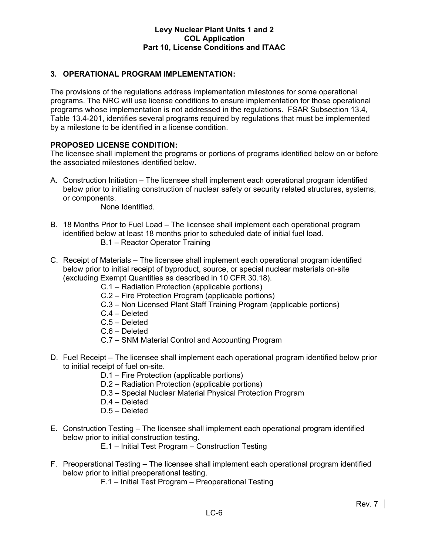# **3. OPERATIONAL PROGRAM IMPLEMENTATION:**

The provisions of the regulations address implementation milestones for some operational programs. The NRC will use license conditions to ensure implementation for those operational programs whose implementation is not addressed in the regulations. FSAR Subsection 13.4, Table 13.4-201, identifies several programs required by regulations that must be implemented by a milestone to be identified in a license condition.

# **PROPOSED LICENSE CONDITION:**

The licensee shall implement the programs or portions of programs identified below on or before the associated milestones identified below.

A. Construction Initiation – The licensee shall implement each operational program identified below prior to initiating construction of nuclear safety or security related structures, systems, or components.

None Identified.

- B. 18 Months Prior to Fuel Load The licensee shall implement each operational program identified below at least 18 months prior to scheduled date of initial fuel load. B.1 – Reactor Operator Training
- C. Receipt of Materials The licensee shall implement each operational program identified below prior to initial receipt of byproduct, source, or special nuclear materials on-site (excluding Exempt Quantities as described in 10 CFR 30.18).
	- C.1 Radiation Protection (applicable portions)
	- C.2 Fire Protection Program (applicable portions)
	- C.3 Non Licensed Plant Staff Training Program (applicable portions)
	- C.4 Deleted
	- C.5 Deleted
	- C.6 Deleted
	- C.7 SNM Material Control and Accounting Program
- D. Fuel Receipt The licensee shall implement each operational program identified below prior to initial receipt of fuel on-site.
	- D.1 Fire Protection (applicable portions)
	- D.2 Radiation Protection (applicable portions)
	- D.3 Special Nuclear Material Physical Protection Program
	- D.4 Deleted
	- D.5 Deleted
- E. Construction Testing The licensee shall implement each operational program identified below prior to initial construction testing.
	- E.1 Initial Test Program Construction Testing
- F. Preoperational Testing The licensee shall implement each operational program identified below prior to initial preoperational testing.
	- F.1 Initial Test Program Preoperational Testing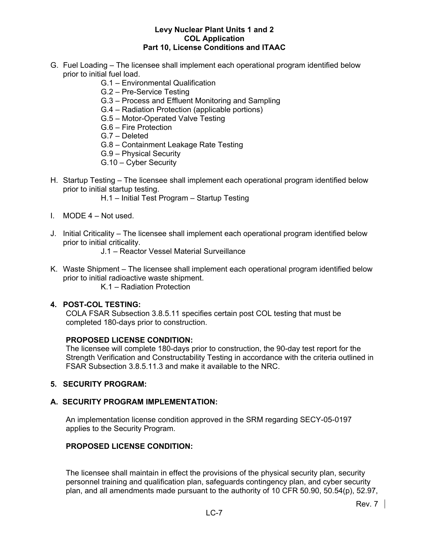- G. Fuel Loading The licensee shall implement each operational program identified below prior to initial fuel load.
	- G.1 Environmental Qualification
	- G.2 Pre-Service Testing
	- G.3 Process and Effluent Monitoring and Sampling
	- G.4 Radiation Protection (applicable portions)
	- G.5 Motor-Operated Valve Testing
	- G.6 Fire Protection
	- G.7 Deleted
	- G.8 Containment Leakage Rate Testing
	- G.9 Physical Security
	- G.10 Cyber Security
- H. Startup Testing The licensee shall implement each operational program identified below prior to initial startup testing.
	- H.1 Initial Test Program Startup Testing
- I. MODE 4 Not used.
- J. Initial Criticality The licensee shall implement each operational program identified below prior to initial criticality.
	- J.1 Reactor Vessel Material Surveillance
- K. Waste Shipment The licensee shall implement each operational program identified below prior to initial radioactive waste shipment.
	- K.1 Radiation Protection

#### **4. POST-COL TESTING:**

COLA FSAR Subsection 3.8.5.11 specifies certain post COL testing that must be completed 180-days prior to construction.

#### **PROPOSED LICENSE CONDITION:**

The licensee will complete 180-days prior to construction, the 90-day test report for the Strength Verification and Constructability Testing in accordance with the criteria outlined in FSAR Subsection 3.8.5.11.3 and make it available to the NRC.

#### **5. SECURITY PROGRAM:**

#### **A. SECURITY PROGRAM IMPLEMENTATION:**

An implementation license condition approved in the SRM regarding SECY-05-0197 applies to the Security Program.

# **PROPOSED LICENSE CONDITION:**

The licensee shall maintain in effect the provisions of the physical security plan, security personnel training and qualification plan, safeguards contingency plan, and cyber security plan, and all amendments made pursuant to the authority of 10 CFR 50.90, 50.54(p), 52.97,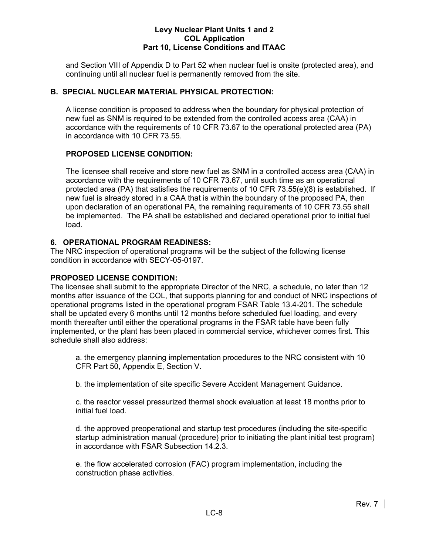and Section VIII of Appendix D to Part 52 when nuclear fuel is onsite (protected area), and continuing until all nuclear fuel is permanently removed from the site.

# **B. SPECIAL NUCLEAR MATERIAL PHYSICAL PROTECTION:**

A license condition is proposed to address when the boundary for physical protection of new fuel as SNM is required to be extended from the controlled access area (CAA) in accordance with the requirements of 10 CFR 73.67 to the operational protected area (PA) in accordance with 10 CFR 73.55.

# **PROPOSED LICENSE CONDITION:**

The licensee shall receive and store new fuel as SNM in a controlled access area (CAA) in accordance with the requirements of 10 CFR 73.67, until such time as an operational protected area (PA) that satisfies the requirements of 10 CFR 73.55(e)(8) is established. If new fuel is already stored in a CAA that is within the boundary of the proposed PA, then upon declaration of an operational PA, the remaining requirements of 10 CFR 73.55 shall be implemented. The PA shall be established and declared operational prior to initial fuel load.

# **6. OPERATIONAL PROGRAM READINESS:**

The NRC inspection of operational programs will be the subject of the following license condition in accordance with SECY-05-0197.

# **PROPOSED LICENSE CONDITION:**

The licensee shall submit to the appropriate Director of the NRC, a schedule, no later than 12 months after issuance of the COL, that supports planning for and conduct of NRC inspections of operational programs listed in the operational program FSAR Table 13.4-201. The schedule shall be updated every 6 months until 12 months before scheduled fuel loading, and every month thereafter until either the operational programs in the FSAR table have been fully implemented, or the plant has been placed in commercial service, whichever comes first. This schedule shall also address:

a. the emergency planning implementation procedures to the NRC consistent with 10 CFR Part 50, Appendix E, Section V.

b. the implementation of site specific Severe Accident Management Guidance.

c. the reactor vessel pressurized thermal shock evaluation at least 18 months prior to initial fuel load.

d. the approved preoperational and startup test procedures (including the site-specific startup administration manual (procedure) prior to initiating the plant initial test program) in accordance with FSAR Subsection 14.2.3.

e. the flow accelerated corrosion (FAC) program implementation, including the construction phase activities.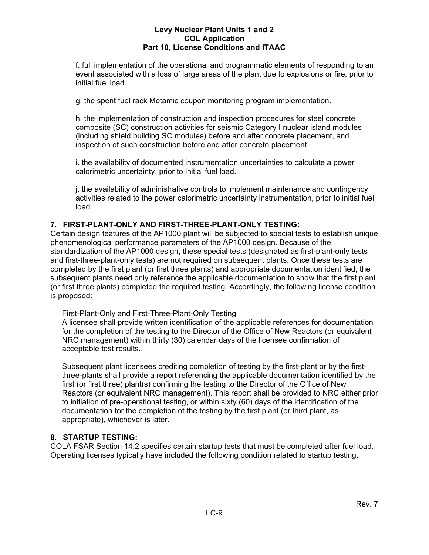f. full implementation of the operational and programmatic elements of responding to an event associated with a loss of large areas of the plant due to explosions or fire, prior to initial fuel load.

g. the spent fuel rack Metamic coupon monitoring program implementation.

h. the implementation of construction and inspection procedures for steel concrete composite (SC) construction activities for seismic Category I nuclear island modules (including shield building SC modules) before and after concrete placement, and inspection of such construction before and after concrete placement.

i. the availability of documented instrumentation uncertainties to calculate a power calorimetric uncertainty, prior to initial fuel load.

j. the availability of administrative controls to implement maintenance and contingency activities related to the power calorimetric uncertainty instrumentation, prior to initial fuel load.

# **7. FIRST-PLANT-ONLY AND FIRST-THREE-PLANT-ONLY TESTING:**

Certain design features of the AP1000 plant will be subjected to special tests to establish unique phenomenological performance parameters of the AP1000 design. Because of the standardization of the AP1000 design, these special tests (designated as first-plant-only tests and first-three-plant-only tests) are not required on subsequent plants. Once these tests are completed by the first plant (or first three plants) and appropriate documentation identified, the subsequent plants need only reference the applicable documentation to show that the first plant (or first three plants) completed the required testing. Accordingly, the following license condition is proposed:

# First-Plant-Only and First-Three-Plant-Only Testing

A licensee shall provide written identification of the applicable references for documentation for the completion of the testing to the Director of the Office of New Reactors (or equivalent NRC management) within thirty (30) calendar days of the licensee confirmation of acceptable test results..

Subsequent plant licensees crediting completion of testing by the first-plant or by the firstthree-plants shall provide a report referencing the applicable documentation identified by the first (or first three) plant(s) confirming the testing to the Director of the Office of New Reactors (or equivalent NRC management). This report shall be provided to NRC either prior to initiation of pre-operational testing, or within sixty (60) days of the identification of the documentation for the completion of the testing by the first plant (or third plant, as appropriate), whichever is later.

# **8. STARTUP TESTING:**

COLA FSAR Section 14.2 specifies certain startup tests that must be completed after fuel load. Operating licenses typically have included the following condition related to startup testing.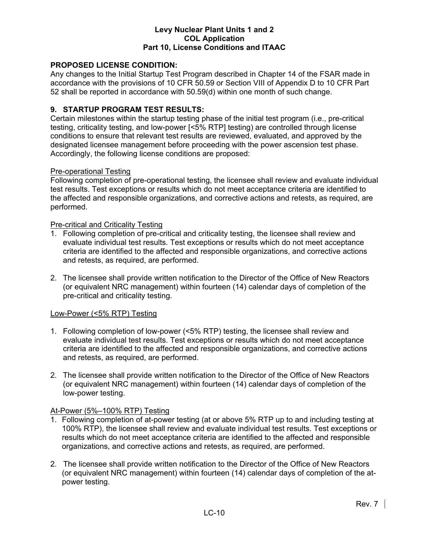# **PROPOSED LICENSE CONDITION:**

Any changes to the Initial Startup Test Program described in Chapter 14 of the FSAR made in accordance with the provisions of 10 CFR 50.59 or Section VIII of Appendix D to 10 CFR Part 52 shall be reported in accordance with 50.59(d) within one month of such change.

### **9. STARTUP PROGRAM TEST RESULTS:**

Certain milestones within the startup testing phase of the initial test program (i.e., pre-critical testing, criticality testing, and low-power [<5% RTP] testing) are controlled through license conditions to ensure that relevant test results are reviewed, evaluated, and approved by the designated licensee management before proceeding with the power ascension test phase. Accordingly, the following license conditions are proposed:

#### Pre-operational Testing

Following completion of pre-operational testing, the licensee shall review and evaluate individual test results. Test exceptions or results which do not meet acceptance criteria are identified to the affected and responsible organizations, and corrective actions and retests, as required, are performed.

#### Pre-critical and Criticality Testing

- 1. Following completion of pre-critical and criticality testing, the licensee shall review and evaluate individual test results. Test exceptions or results which do not meet acceptance criteria are identified to the affected and responsible organizations, and corrective actions and retests, as required, are performed.
- 2. The licensee shall provide written notification to the Director of the Office of New Reactors (or equivalent NRC management) within fourteen (14) calendar days of completion of the pre-critical and criticality testing.

#### Low-Power (<5% RTP) Testing

- 1. Following completion of low-power (<5% RTP) testing, the licensee shall review and evaluate individual test results. Test exceptions or results which do not meet acceptance criteria are identified to the affected and responsible organizations, and corrective actions and retests, as required, are performed.
- 2. The licensee shall provide written notification to the Director of the Office of New Reactors (or equivalent NRC management) within fourteen (14) calendar days of completion of the low-power testing.

### At-Power (5%–100% RTP) Testing

- 1. Following completion of at-power testing (at or above 5% RTP up to and including testing at 100% RTP), the licensee shall review and evaluate individual test results. Test exceptions or results which do not meet acceptance criteria are identified to the affected and responsible organizations, and corrective actions and retests, as required, are performed.
- 2. The licensee shall provide written notification to the Director of the Office of New Reactors (or equivalent NRC management) within fourteen (14) calendar days of completion of the atpower testing.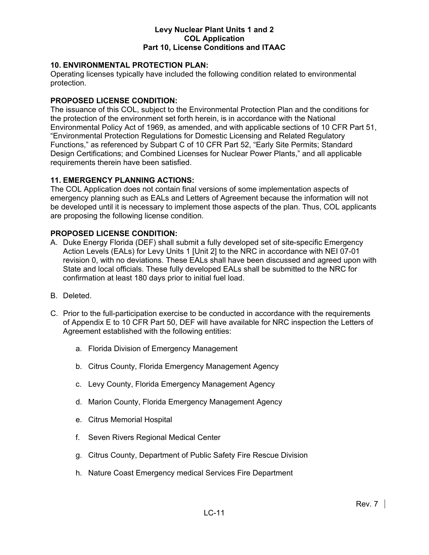# **10. ENVIRONMENTAL PROTECTION PLAN:**

Operating licenses typically have included the following condition related to environmental protection.

## **PROPOSED LICENSE CONDITION:**

The issuance of this COL, subject to the Environmental Protection Plan and the conditions for the protection of the environment set forth herein, is in accordance with the National Environmental Policy Act of 1969, as amended, and with applicable sections of 10 CFR Part 51, "Environmental Protection Regulations for Domestic Licensing and Related Regulatory Functions," as referenced by Subpart C of 10 CFR Part 52, "Early Site Permits; Standard Design Certifications; and Combined Licenses for Nuclear Power Plants," and all applicable requirements therein have been satisfied.

### **11. EMERGENCY PLANNING ACTIONS:**

The COL Application does not contain final versions of some implementation aspects of emergency planning such as EALs and Letters of Agreement because the information will not be developed until it is necessary to implement those aspects of the plan. Thus, COL applicants are proposing the following license condition.

### **PROPOSED LICENSE CONDITION:**

- A. Duke Energy Florida (DEF) shall submit a fully developed set of site-specific Emergency Action Levels (EALs) for Levy Units 1 [Unit 2] to the NRC in accordance with NEI 07-01 revision 0, with no deviations. These EALs shall have been discussed and agreed upon with State and local officials. These fully developed EALs shall be submitted to the NRC for confirmation at least 180 days prior to initial fuel load.
- B. Deleted.
- C. Prior to the full-participation exercise to be conducted in accordance with the requirements of Appendix E to 10 CFR Part 50, DEF will have available for NRC inspection the Letters of Agreement established with the following entities:
	- a. Florida Division of Emergency Management
	- b. Citrus County, Florida Emergency Management Agency
	- c. Levy County, Florida Emergency Management Agency
	- d. Marion County, Florida Emergency Management Agency
	- e. Citrus Memorial Hospital
	- f. Seven Rivers Regional Medical Center
	- g. Citrus County, Department of Public Safety Fire Rescue Division
	- h. Nature Coast Emergency medical Services Fire Department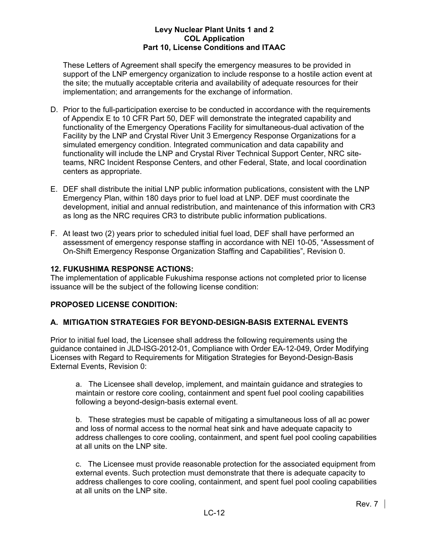These Letters of Agreement shall specify the emergency measures to be provided in support of the LNP emergency organization to include response to a hostile action event at the site; the mutually acceptable criteria and availability of adequate resources for their implementation; and arrangements for the exchange of information.

- D. Prior to the full-participation exercise to be conducted in accordance with the requirements of Appendix E to 10 CFR Part 50, DEF will demonstrate the integrated capability and functionality of the Emergency Operations Facility for simultaneous-dual activation of the Facility by the LNP and Crystal River Unit 3 Emergency Response Organizations for a simulated emergency condition. Integrated communication and data capability and functionality will include the LNP and Crystal River Technical Support Center, NRC siteteams, NRC Incident Response Centers, and other Federal, State, and local coordination centers as appropriate.
- E. DEF shall distribute the initial LNP public information publications, consistent with the LNP Emergency Plan, within 180 days prior to fuel load at LNP. DEF must coordinate the development, initial and annual redistribution, and maintenance of this information with CR3 as long as the NRC requires CR3 to distribute public information publications.
- F. At least two (2) years prior to scheduled initial fuel load, DEF shall have performed an assessment of emergency response staffing in accordance with NEI 10-05, "Assessment of On-Shift Emergency Response Organization Staffing and Capabilities", Revision 0.

# **12. FUKUSHIMA RESPONSE ACTIONS:**

The implementation of applicable Fukushima response actions not completed prior to license issuance will be the subject of the following license condition:

# **PROPOSED LICENSE CONDITION:**

# **A. MITIGATION STRATEGIES FOR BEYOND-DESIGN-BASIS EXTERNAL EVENTS**

Prior to initial fuel load, the Licensee shall address the following requirements using the guidance contained in JLD-ISG-2012-01, Compliance with Order EA-12-049, Order Modifying Licenses with Regard to Requirements for Mitigation Strategies for Beyond-Design-Basis External Events, Revision 0:

a. The Licensee shall develop, implement, and maintain guidance and strategies to maintain or restore core cooling, containment and spent fuel pool cooling capabilities following a beyond-design-basis external event.

b. These strategies must be capable of mitigating a simultaneous loss of all ac power and loss of normal access to the normal heat sink and have adequate capacity to address challenges to core cooling, containment, and spent fuel pool cooling capabilities at all units on the LNP site.

c. The Licensee must provide reasonable protection for the associated equipment from external events. Such protection must demonstrate that there is adequate capacity to address challenges to core cooling, containment, and spent fuel pool cooling capabilities at all units on the LNP site.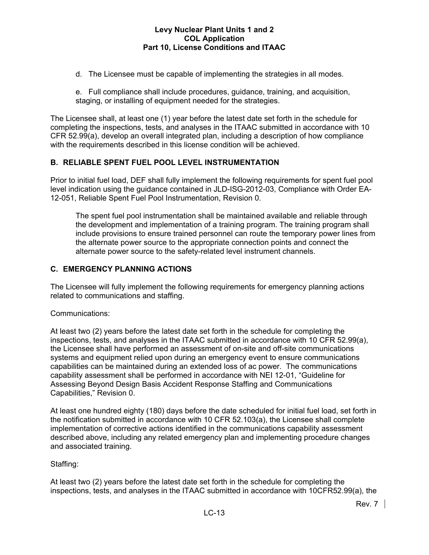- d. The Licensee must be capable of implementing the strategies in all modes.
- e. Full compliance shall include procedures, guidance, training, and acquisition, staging, or installing of equipment needed for the strategies.

The Licensee shall, at least one (1) year before the latest date set forth in the schedule for completing the inspections, tests, and analyses in the ITAAC submitted in accordance with 10 CFR 52.99(a), develop an overall integrated plan, including a description of how compliance with the requirements described in this license condition will be achieved.

# **B. RELIABLE SPENT FUEL POOL LEVEL INSTRUMENTATION**

Prior to initial fuel load, DEF shall fully implement the following requirements for spent fuel pool level indication using the guidance contained in JLD-ISG-2012-03, Compliance with Order EA-12-051, Reliable Spent Fuel Pool Instrumentation, Revision 0.

The spent fuel pool instrumentation shall be maintained available and reliable through the development and implementation of a training program. The training program shall include provisions to ensure trained personnel can route the temporary power lines from the alternate power source to the appropriate connection points and connect the alternate power source to the safety-related level instrument channels.

# **C. EMERGENCY PLANNING ACTIONS**

The Licensee will fully implement the following requirements for emergency planning actions related to communications and staffing.

# Communications:

At least two (2) years before the latest date set forth in the schedule for completing the inspections, tests, and analyses in the ITAAC submitted in accordance with 10 CFR 52.99(a), the Licensee shall have performed an assessment of on-site and off-site communications systems and equipment relied upon during an emergency event to ensure communications capabilities can be maintained during an extended loss of ac power. The communications capability assessment shall be performed in accordance with NEI 12-01, "Guideline for Assessing Beyond Design Basis Accident Response Staffing and Communications Capabilities," Revision 0.

At least one hundred eighty (180) days before the date scheduled for initial fuel load, set forth in the notification submitted in accordance with 10 CFR 52.103(a), the Licensee shall complete implementation of corrective actions identified in the communications capability assessment described above, including any related emergency plan and implementing procedure changes and associated training.

# Staffing:

At least two (2) years before the latest date set forth in the schedule for completing the inspections, tests, and analyses in the ITAAC submitted in accordance with 10CFR52.99(a), the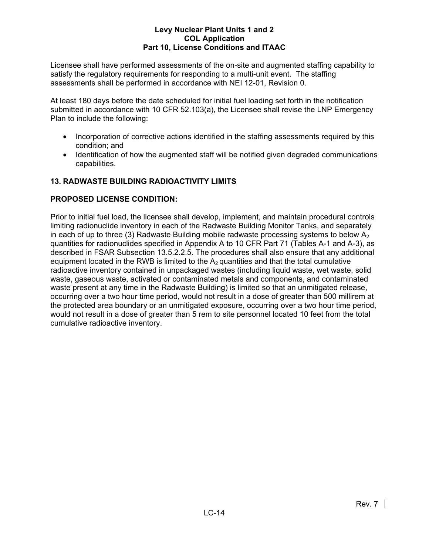Licensee shall have performed assessments of the on-site and augmented staffing capability to satisfy the regulatory requirements for responding to a multi-unit event. The staffing assessments shall be performed in accordance with NEI 12-01, Revision 0.

At least 180 days before the date scheduled for initial fuel loading set forth in the notification submitted in accordance with 10 CFR 52.103(a), the Licensee shall revise the LNP Emergency Plan to include the following:

- Incorporation of corrective actions identified in the staffing assessments required by this condition; and
- Identification of how the augmented staff will be notified given degraded communications capabilities.

# **13. RADWASTE BUILDING RADIOACTIVITY LIMITS**

# **PROPOSED LICENSE CONDITION:**

Prior to initial fuel load, the licensee shall develop, implement, and maintain procedural controls limiting radionuclide inventory in each of the Radwaste Building Monitor Tanks, and separately in each of up to three (3) Radwaste Building mobile radwaste processing systems to below  $A_2$ quantities for radionuclides specified in Appendix A to 10 CFR Part 71 (Tables A-1 and A-3), as described in FSAR Subsection 13.5.2.2.5. The procedures shall also ensure that any additional equipment located in the RWB is limited to the  $A_2$  quantities and that the total cumulative radioactive inventory contained in unpackaged wastes (including liquid waste, wet waste, solid waste, gaseous waste, activated or contaminated metals and components, and contaminated waste present at any time in the Radwaste Building) is limited so that an unmitigated release, occurring over a two hour time period, would not result in a dose of greater than 500 millirem at the protected area boundary or an unmitigated exposure, occurring over a two hour time period, would not result in a dose of greater than 5 rem to site personnel located 10 feet from the total cumulative radioactive inventory.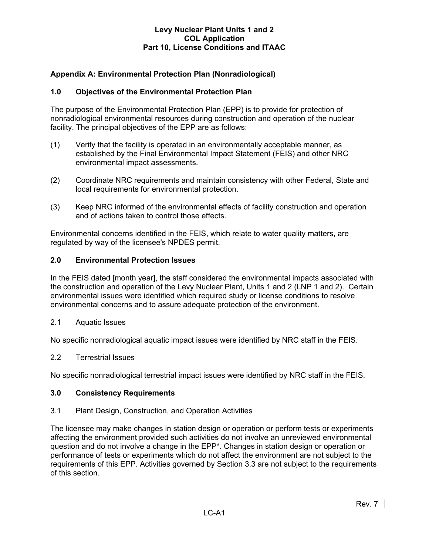# **Appendix A: Environmental Protection Plan (Nonradiological)**

## **1.0 Objectives of the Environmental Protection Plan**

The purpose of the Environmental Protection Plan (EPP) is to provide for protection of nonradiological environmental resources during construction and operation of the nuclear facility. The principal objectives of the EPP are as follows:

- (1) Verify that the facility is operated in an environmentally acceptable manner, as established by the Final Environmental Impact Statement (FEIS) and other NRC environmental impact assessments.
- (2) Coordinate NRC requirements and maintain consistency with other Federal, State and local requirements for environmental protection.
- (3) Keep NRC informed of the environmental effects of facility construction and operation and of actions taken to control those effects.

Environmental concerns identified in the FEIS, which relate to water quality matters, are regulated by way of the licensee's NPDES permit.

#### **2.0 Environmental Protection Issues**

In the FEIS dated [month year], the staff considered the environmental impacts associated with the construction and operation of the Levy Nuclear Plant, Units 1 and 2 (LNP 1 and 2). Certain environmental issues were identified which required study or license conditions to resolve environmental concerns and to assure adequate protection of the environment.

2.1 Aquatic Issues

No specific nonradiological aquatic impact issues were identified by NRC staff in the FEIS.

#### 2.2 Terrestrial Issues

No specific nonradiological terrestrial impact issues were identified by NRC staff in the FEIS.

#### **3.0 Consistency Requirements**

#### 3.1 Plant Design, Construction, and Operation Activities

The licensee may make changes in station design or operation or perform tests or experiments affecting the environment provided such activities do not involve an unreviewed environmental question and do not involve a change in the EPP\*. Changes in station design or operation or performance of tests or experiments which do not affect the environment are not subject to the requirements of this EPP. Activities governed by Section 3.3 are not subject to the requirements of this section.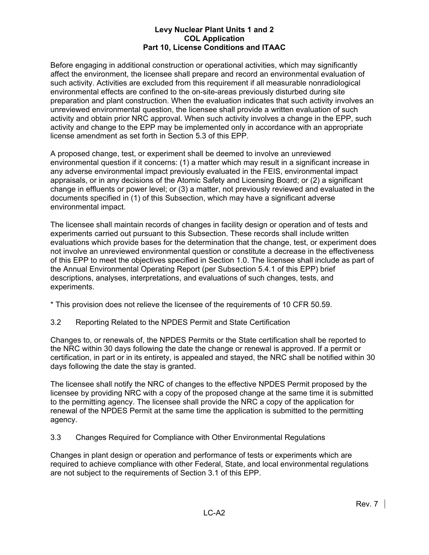Before engaging in additional construction or operational activities, which may significantly affect the environment, the licensee shall prepare and record an environmental evaluation of such activity. Activities are excluded from this requirement if all measurable nonradiological environmental effects are confined to the on-site-areas previously disturbed during site preparation and plant construction. When the evaluation indicates that such activity involves an unreviewed environmental question, the licensee shall provide a written evaluation of such activity and obtain prior NRC approval. When such activity involves a change in the EPP, such activity and change to the EPP may be implemented only in accordance with an appropriate license amendment as set forth in Section 5.3 of this EPP.

A proposed change, test, or experiment shall be deemed to involve an unreviewed environmental question if it concerns: (1) a matter which may result in a significant increase in any adverse environmental impact previously evaluated in the FEIS, environmental impact appraisals, or in any decisions of the Atomic Safety and Licensing Board; or (2) a significant change in effluents or power level; or (3) a matter, not previously reviewed and evaluated in the documents specified in (1) of this Subsection, which may have a significant adverse environmental impact.

The licensee shall maintain records of changes in facility design or operation and of tests and experiments carried out pursuant to this Subsection. These records shall include written evaluations which provide bases for the determination that the change, test, or experiment does not involve an unreviewed environmental question or constitute a decrease in the effectiveness of this EPP to meet the objectives specified in Section 1.0. The licensee shall include as part of the Annual Environmental Operating Report (per Subsection 5.4.1 of this EPP) brief descriptions, analyses, interpretations, and evaluations of such changes, tests, and experiments.

\* This provision does not relieve the licensee of the requirements of 10 CFR 50.59.

3.2 Reporting Related to the NPDES Permit and State Certification

Changes to, or renewals of, the NPDES Permits or the State certification shall be reported to the NRC within 30 days following the date the change or renewal is approved. If a permit or certification, in part or in its entirety, is appealed and stayed, the NRC shall be notified within 30 days following the date the stay is granted.

The licensee shall notify the NRC of changes to the effective NPDES Permit proposed by the licensee by providing NRC with a copy of the proposed change at the same time it is submitted to the permitting agency. The licensee shall provide the NRC a copy of the application for renewal of the NPDES Permit at the same time the application is submitted to the permitting agency.

3.3 Changes Required for Compliance with Other Environmental Regulations

Changes in plant design or operation and performance of tests or experiments which are required to achieve compliance with other Federal, State, and local environmental regulations are not subject to the requirements of Section 3.1 of this EPP.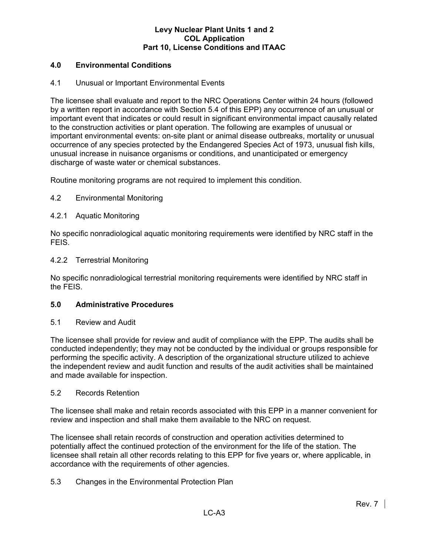# **4.0 Environmental Conditions**

## 4.1 Unusual or Important Environmental Events

The licensee shall evaluate and report to the NRC Operations Center within 24 hours (followed by a written report in accordance with Section 5.4 of this EPP) any occurrence of an unusual or important event that indicates or could result in significant environmental impact causally related to the construction activities or plant operation. The following are examples of unusual or important environmental events: on-site plant or animal disease outbreaks, mortality or unusual occurrence of any species protected by the Endangered Species Act of 1973, unusual fish kills, unusual increase in nuisance organisms or conditions, and unanticipated or emergency discharge of waste water or chemical substances.

Routine monitoring programs are not required to implement this condition.

# 4.2 Environmental Monitoring

### 4.2.1 Aquatic Monitoring

No specific nonradiological aquatic monitoring requirements were identified by NRC staff in the FEIS.

#### 4.2.2 Terrestrial Monitoring

No specific nonradiological terrestrial monitoring requirements were identified by NRC staff in the FEIS.

#### **5.0 Administrative Procedures**

#### 5.1 Review and Audit

The licensee shall provide for review and audit of compliance with the EPP. The audits shall be conducted independently; they may not be conducted by the individual or groups responsible for performing the specific activity. A description of the organizational structure utilized to achieve the independent review and audit function and results of the audit activities shall be maintained and made available for inspection.

#### 5.2 Records Retention

The licensee shall make and retain records associated with this EPP in a manner convenient for review and inspection and shall make them available to the NRC on request.

The licensee shall retain records of construction and operation activities determined to potentially affect the continued protection of the environment for the life of the station. The licensee shall retain all other records relating to this EPP for five years or, where applicable, in accordance with the requirements of other agencies.

# 5.3 Changes in the Environmental Protection Plan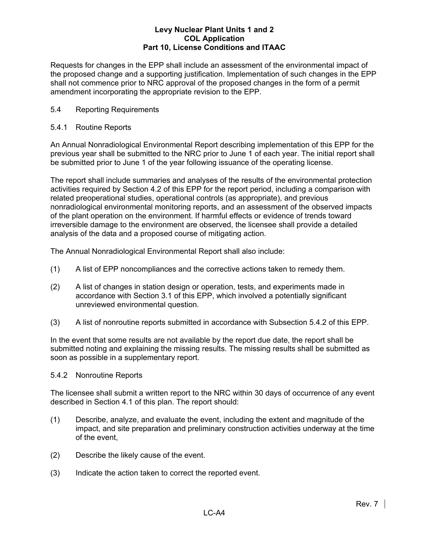Requests for changes in the EPP shall include an assessment of the environmental impact of the proposed change and a supporting justification. Implementation of such changes in the EPP shall not commence prior to NRC approval of the proposed changes in the form of a permit amendment incorporating the appropriate revision to the EPP.

# 5.4 Reporting Requirements

# 5.4.1 Routine Reports

An Annual Nonradiological Environmental Report describing implementation of this EPP for the previous year shall be submitted to the NRC prior to June 1 of each year. The initial report shall be submitted prior to June 1 of the year following issuance of the operating license.

The report shall include summaries and analyses of the results of the environmental protection activities required by Section 4.2 of this EPP for the report period, including a comparison with related preoperational studies, operational controls (as appropriate), and previous nonradiological environmental monitoring reports, and an assessment of the observed impacts of the plant operation on the environment. If harmful effects or evidence of trends toward irreversible damage to the environment are observed, the licensee shall provide a detailed analysis of the data and a proposed course of mitigating action.

The Annual Nonradiological Environmental Report shall also include:

- (1) A list of EPP noncompliances and the corrective actions taken to remedy them.
- (2) A list of changes in station design or operation, tests, and experiments made in accordance with Section 3.1 of this EPP, which involved a potentially significant unreviewed environmental question.
- (3) A list of nonroutine reports submitted in accordance with Subsection 5.4.2 of this EPP.

In the event that some results are not available by the report due date, the report shall be submitted noting and explaining the missing results. The missing results shall be submitted as soon as possible in a supplementary report.

# 5.4.2 Nonroutine Reports

The licensee shall submit a written report to the NRC within 30 days of occurrence of any event described in Section 4.1 of this plan. The report should:

- (1) Describe, analyze, and evaluate the event, including the extent and magnitude of the impact, and site preparation and preliminary construction activities underway at the time of the event,
- (2) Describe the likely cause of the event.
- (3) Indicate the action taken to correct the reported event.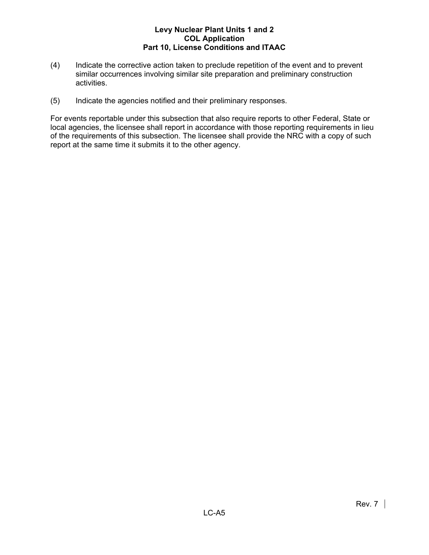- (4) Indicate the corrective action taken to preclude repetition of the event and to prevent similar occurrences involving similar site preparation and preliminary construction activities.
- (5) Indicate the agencies notified and their preliminary responses.

For events reportable under this subsection that also require reports to other Federal, State or local agencies, the licensee shall report in accordance with those reporting requirements in lieu of the requirements of this subsection. The licensee shall provide the NRC with a copy of such report at the same time it submits it to the other agency.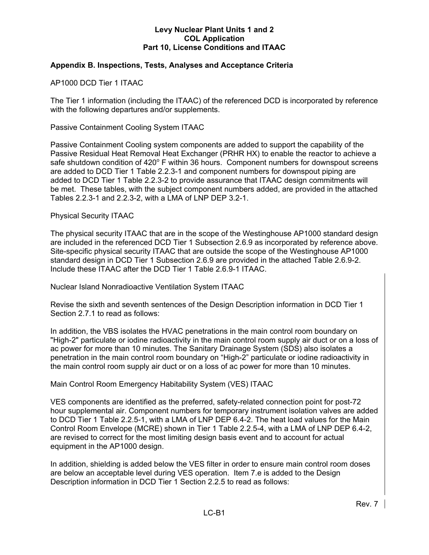# **Appendix B. Inspections, Tests, Analyses and Acceptance Criteria**

AP1000 DCD Tier 1 ITAAC

The Tier 1 information (including the ITAAC) of the referenced DCD is incorporated by reference with the following departures and/or supplements.

Passive Containment Cooling System ITAAC

Passive Containment Cooling system components are added to support the capability of the Passive Residual Heat Removal Heat Exchanger (PRHR HX) to enable the reactor to achieve a safe shutdown condition of 420° F within 36 hours. Component numbers for downspout screens are added to DCD Tier 1 Table 2.2.3-1 and component numbers for downspout piping are added to DCD Tier 1 Table 2.2.3-2 to provide assurance that ITAAC design commitments will be met. These tables, with the subject component numbers added, are provided in the attached Tables 2.2.3-1 and 2.2.3-2, with a LMA of LNP DEP 3.2-1.

#### Physical Security ITAAC

The physical security ITAAC that are in the scope of the Westinghouse AP1000 standard design are included in the referenced DCD Tier 1 Subsection 2.6.9 as incorporated by reference above. Site-specific physical security ITAAC that are outside the scope of the Westinghouse AP1000 standard design in DCD Tier 1 Subsection 2.6.9 are provided in the attached Table 2.6.9-2. Include these ITAAC after the DCD Tier 1 Table 2.6.9-1 ITAAC.

Nuclear Island Nonradioactive Ventilation System ITAAC

Revise the sixth and seventh sentences of the Design Description information in DCD Tier 1 Section 2.7.1 to read as follows:

In addition, the VBS isolates the HVAC penetrations in the main control room boundary on "High-2" particulate or iodine radioactivity in the main control room supply air duct or on a loss of ac power for more than 10 minutes. The Sanitary Drainage System (SDS) also isolates a penetration in the main control room boundary on "High-2" particulate or iodine radioactivity in the main control room supply air duct or on a loss of ac power for more than 10 minutes.

Main Control Room Emergency Habitability System (VES) ITAAC

VES components are identified as the preferred, safety-related connection point for post-72 hour supplemental air. Component numbers for temporary instrument isolation valves are added to DCD Tier 1 Table 2.2.5-1, with a LMA of LNP DEP 6.4-2. The heat load values for the Main Control Room Envelope (MCRE) shown in Tier 1 Table 2.2.5-4, with a LMA of LNP DEP 6.4-2, are revised to correct for the most limiting design basis event and to account for actual equipment in the AP1000 design.

In addition, shielding is added below the VES filter in order to ensure main control room doses are below an acceptable level during VES operation. Item 7.e is added to the Design Description information in DCD Tier 1 Section 2.2.5 to read as follows: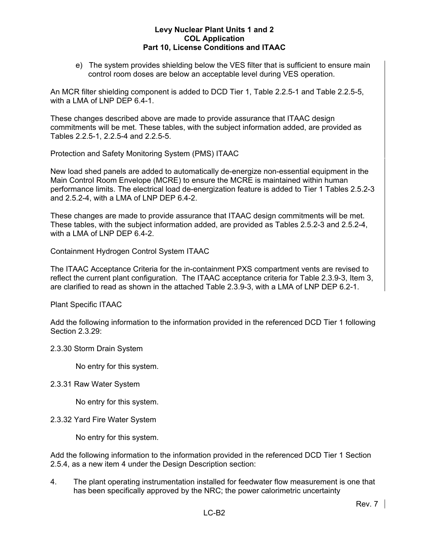e) The system provides shielding below the VES filter that is sufficient to ensure main control room doses are below an acceptable level during VES operation.

An MCR filter shielding component is added to DCD Tier 1, Table 2.2.5-1 and Table 2.2.5-5, with a LMA of LNP DEP 6.4-1.

These changes described above are made to provide assurance that ITAAC design commitments will be met. These tables, with the subject information added, are provided as Tables 2.2.5-1, 2.2.5-4 and 2.2.5-5.

Protection and Safety Monitoring System (PMS) ITAAC

New load shed panels are added to automatically de-energize non-essential equipment in the Main Control Room Envelope (MCRE) to ensure the MCRE is maintained within human performance limits. The electrical load de-energization feature is added to Tier 1 Tables 2.5.2-3 and 2.5.2-4, with a LMA of LNP DEP 6.4-2.

These changes are made to provide assurance that ITAAC design commitments will be met. These tables, with the subject information added, are provided as Tables 2.5.2-3 and 2.5.2-4, with a LMA of LNP DEP 6.4-2.

Containment Hydrogen Control System ITAAC

The ITAAC Acceptance Criteria for the in-containment PXS compartment vents are revised to reflect the current plant configuration. The ITAAC acceptance criteria for Table 2.3.9-3, Item 3, are clarified to read as shown in the attached Table 2.3.9-3, with a LMA of LNP DEP 6.2-1.

Plant Specific ITAAC

Add the following information to the information provided in the referenced DCD Tier 1 following Section 2.3.29:

# 2.3.30 Storm Drain System

No entry for this system.

# 2.3.31 Raw Water System

No entry for this system.

2.3.32 Yard Fire Water System

No entry for this system.

Add the following information to the information provided in the referenced DCD Tier 1 Section 2.5.4, as a new item 4 under the Design Description section:

4. The plant operating instrumentation installed for feedwater flow measurement is one that has been specifically approved by the NRC; the power calorimetric uncertainty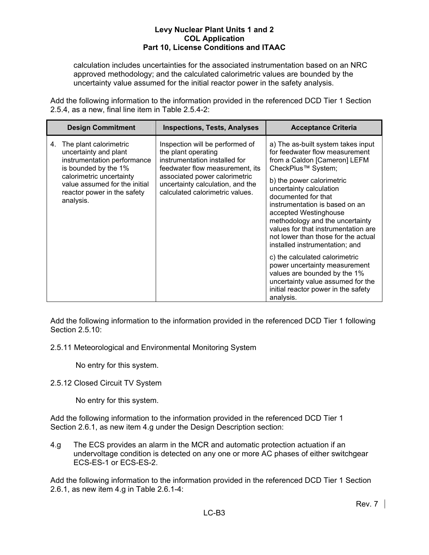calculation includes uncertainties for the associated instrumentation based on an NRC approved methodology; and the calculated calorimetric values are bounded by the uncertainty value assumed for the initial reactor power in the safety analysis.

Add the following information to the information provided in the referenced DCD Tier 1 Section 2.5.4, as a new, final line item in Table 2.5.4-2:

|    | <b>Design Commitment</b>                                                                                                                                                                                        | <b>Inspections, Tests, Analyses</b>                                                                                                                                                                                                | <b>Acceptance Criteria</b>                                                                                                                                                                                                                                                                                                                                                                                                                                                                                                                                                                                          |
|----|-----------------------------------------------------------------------------------------------------------------------------------------------------------------------------------------------------------------|------------------------------------------------------------------------------------------------------------------------------------------------------------------------------------------------------------------------------------|---------------------------------------------------------------------------------------------------------------------------------------------------------------------------------------------------------------------------------------------------------------------------------------------------------------------------------------------------------------------------------------------------------------------------------------------------------------------------------------------------------------------------------------------------------------------------------------------------------------------|
| 4. | The plant calorimetric<br>uncertainty and plant<br>instrumentation performance<br>is bounded by the 1%<br>calorimetric uncertainty<br>value assumed for the initial<br>reactor power in the safety<br>analysis. | Inspection will be performed of<br>the plant operating<br>instrumentation installed for<br>feedwater flow measurement, its<br>associated power calorimetric<br>uncertainty calculation, and the<br>calculated calorimetric values. | a) The as-built system takes input<br>for feedwater flow measurement<br>from a Caldon [Cameron] LEFM<br>CheckPlus™ System;<br>b) the power calorimetric<br>uncertainty calculation<br>documented for that<br>instrumentation is based on an<br>accepted Westinghouse<br>methodology and the uncertainty<br>values for that instrumentation are<br>not lower than those for the actual<br>installed instrumentation; and<br>c) the calculated calorimetric<br>power uncertainty measurement<br>values are bounded by the 1%<br>uncertainty value assumed for the<br>initial reactor power in the safety<br>analysis. |

Add the following information to the information provided in the referenced DCD Tier 1 following Section 2.5.10:

2.5.11 Meteorological and Environmental Monitoring System

No entry for this system.

2.5.12 Closed Circuit TV System

No entry for this system.

Add the following information to the information provided in the referenced DCD Tier 1 Section 2.6.1, as new item 4.g under the Design Description section:

4.g The ECS provides an alarm in the MCR and automatic protection actuation if an undervoltage condition is detected on any one or more AC phases of either switchgear ECS-ES-1 or ECS-ES-2.

Add the following information to the information provided in the referenced DCD Tier 1 Section 2.6.1, as new item 4.g in Table 2.6.1-4: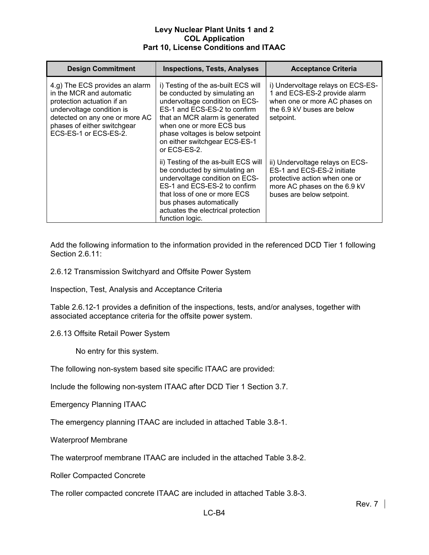| <b>Design Commitment</b>                                                                                                                                                                                        | <b>Inspections, Tests, Analyses</b>                                                                                                                                                                                                                                                          | <b>Acceptance Criteria</b>                                                                                                                                  |
|-----------------------------------------------------------------------------------------------------------------------------------------------------------------------------------------------------------------|----------------------------------------------------------------------------------------------------------------------------------------------------------------------------------------------------------------------------------------------------------------------------------------------|-------------------------------------------------------------------------------------------------------------------------------------------------------------|
| 4.g) The ECS provides an alarm<br>in the MCR and automatic<br>protection actuation if an<br>undervoltage condition is<br>detected on any one or more AC<br>phases of either switchgear<br>ECS-ES-1 or ECS-ES-2. | i) Testing of the as-built ECS will<br>be conducted by simulating an<br>undervoltage condition on ECS-<br>ES-1 and ECS-ES-2 to confirm<br>that an MCR alarm is generated<br>when one or more ECS bus<br>phase voltages is below setpoint<br>on either switchgear ECS-ES-1<br>or $FCS-ES-2$ . | i) Undervoltage relays on ECS-ES-<br>1 and ECS-ES-2 provide alarm<br>when one or more AC phases on<br>the 6.9 kV buses are below<br>setpoint.               |
|                                                                                                                                                                                                                 | ii) Testing of the as-built ECS will<br>be conducted by simulating an<br>undervoltage condition on ECS-<br>ES-1 and ECS-ES-2 to confirm<br>that loss of one or more ECS<br>bus phases automatically<br>actuates the electrical protection<br>function logic.                                 | ii) Undervoltage relays on ECS-<br>ES-1 and ECS-ES-2 initiate<br>protective action when one or<br>more AC phases on the 6.9 kV<br>buses are below setpoint. |

Add the following information to the information provided in the referenced DCD Tier 1 following Section 2.6.11:

2.6.12 Transmission Switchyard and Offsite Power System

Inspection, Test, Analysis and Acceptance Criteria

Table 2.6.12-1 provides a definition of the inspections, tests, and/or analyses, together with associated acceptance criteria for the offsite power system.

2.6.13 Offsite Retail Power System

No entry for this system.

The following non-system based site specific ITAAC are provided:

Include the following non-system ITAAC after DCD Tier 1 Section 3.7.

Emergency Planning ITAAC

The emergency planning ITAAC are included in attached Table 3.8-1.

Waterproof Membrane

The waterproof membrane ITAAC are included in the attached Table 3.8-2.

Roller Compacted Concrete

The roller compacted concrete ITAAC are included in attached Table 3.8-3.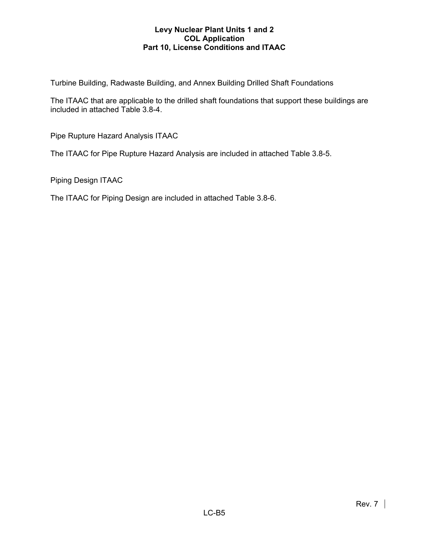Turbine Building, Radwaste Building, and Annex Building Drilled Shaft Foundations

The ITAAC that are applicable to the drilled shaft foundations that support these buildings are included in attached Table 3.8-4.

Pipe Rupture Hazard Analysis ITAAC

The ITAAC for Pipe Rupture Hazard Analysis are included in attached Table 3.8-5.

Piping Design ITAAC

The ITAAC for Piping Design are included in attached Table 3.8-6.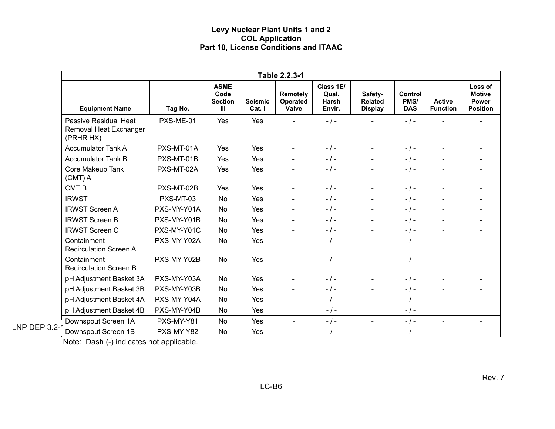|                      |                                                              |             |                                                                      |                          | Table 2.2.3-1                        |                                       |                                             |                               |                                  |                                                             |
|----------------------|--------------------------------------------------------------|-------------|----------------------------------------------------------------------|--------------------------|--------------------------------------|---------------------------------------|---------------------------------------------|-------------------------------|----------------------------------|-------------------------------------------------------------|
|                      | <b>Equipment Name</b>                                        | Tag No.     | <b>ASME</b><br>Code<br><b>Section</b><br>$\mathop{\rm III}\nolimits$ | <b>Seismic</b><br>Cat. I | Remotely<br><b>Operated</b><br>Valve | Class 1E/<br>Qual.<br>Harsh<br>Envir. | Safety-<br><b>Related</b><br><b>Display</b> | Control<br>PMS/<br><b>DAS</b> | <b>Active</b><br><b>Function</b> | Loss of<br><b>Motive</b><br><b>Power</b><br><b>Position</b> |
|                      | Passive Residual Heat<br>Removal Heat Exchanger<br>(PRHR HX) | PXS-ME-01   | Yes                                                                  | Yes                      |                                      | $-1 -$                                |                                             | $-1$ -                        |                                  |                                                             |
|                      | <b>Accumulator Tank A</b>                                    | PXS-MT-01A  | Yes                                                                  | Yes                      |                                      | $-$ / $-$                             |                                             | $-1-$                         |                                  |                                                             |
|                      | <b>Accumulator Tank B</b>                                    | PXS-MT-01B  | Yes                                                                  | Yes                      |                                      | $-1-$                                 |                                             | $-1-$                         |                                  |                                                             |
|                      | Core Makeup Tank<br>$(CMT)$ A                                | PXS-MT-02A  | Yes                                                                  | Yes                      |                                      | $-1-$                                 |                                             | $-1-$                         |                                  |                                                             |
|                      | <b>CMTB</b>                                                  | PXS-MT-02B  | Yes                                                                  | Yes                      |                                      | $-1-$                                 |                                             | $-1-$                         |                                  |                                                             |
|                      | <b>IRWST</b>                                                 | PXS-MT-03   | No                                                                   | Yes                      |                                      | $-1-$                                 | $\blacksquare$                              | $-1$ -                        |                                  |                                                             |
|                      | <b>IRWST Screen A</b>                                        | PXS-MY-Y01A | No                                                                   | Yes                      |                                      | $-$ / $-$                             | $\blacksquare$                              | $-1$ -                        |                                  |                                                             |
|                      | <b>IRWST Screen B</b>                                        | PXS-MY-Y01B | No                                                                   | Yes                      |                                      | $-$ / $-$                             | $\blacksquare$                              | $-1$ -                        |                                  |                                                             |
|                      | <b>IRWST Screen C</b>                                        | PXS-MY-Y01C | No                                                                   | Yes                      |                                      | $-$ / $-$                             |                                             | $-1-$                         |                                  |                                                             |
|                      | Containment<br><b>Recirculation Screen A</b>                 | PXS-MY-Y02A | No                                                                   | Yes                      |                                      | $-$ / $-$                             |                                             | $-1-$                         |                                  |                                                             |
|                      | Containment<br><b>Recirculation Screen B</b>                 | PXS-MY-Y02B | No                                                                   | Yes                      |                                      | $-1-$                                 |                                             | $-1-$                         |                                  |                                                             |
|                      | pH Adjustment Basket 3A                                      | PXS-MY-Y03A | <b>No</b>                                                            | Yes                      |                                      | $-1 -$                                |                                             | $-1-$                         |                                  |                                                             |
|                      | pH Adjustment Basket 3B                                      | PXS-MY-Y03B | No                                                                   | Yes                      |                                      | $-1 -$                                |                                             | $-1-$                         |                                  |                                                             |
|                      | pH Adjustment Basket 4A                                      | PXS-MY-Y04A | No                                                                   | Yes                      |                                      | $-$ / $-$                             |                                             | $-1-$                         |                                  |                                                             |
|                      | pH Adjustment Basket 4B                                      | PXS-MY-Y04B | No                                                                   | Yes                      |                                      | $-$ / $-$                             |                                             | $-$ / $-$                     |                                  |                                                             |
|                      | Downspout Screen 1A                                          | PXS-MY-Y81  | No                                                                   | Yes                      |                                      | $-$ / $-$                             |                                             | $-1-$                         |                                  |                                                             |
| <b>LNP DEP 3.2-1</b> | Downspout Screen 1B                                          | PXS-MY-Y82  | No                                                                   | Yes                      |                                      | $-$ / $-$                             |                                             | $-1 -$                        |                                  |                                                             |

Note: Dash (-) indicates not applicable.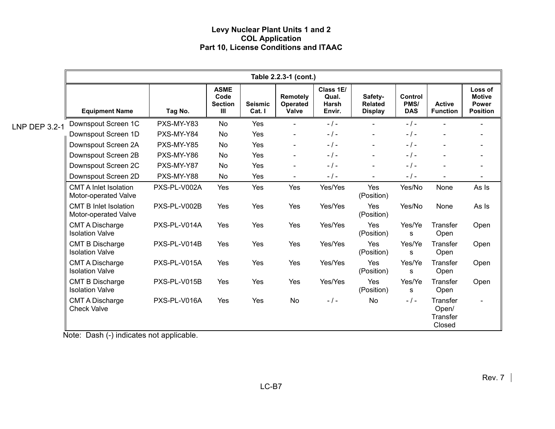|                      |                                                      |              |                                                         |                          | Table 2.2.3-1 (cont.)                |                                       |                                             |                                      |                                         |                                                             |
|----------------------|------------------------------------------------------|--------------|---------------------------------------------------------|--------------------------|--------------------------------------|---------------------------------------|---------------------------------------------|--------------------------------------|-----------------------------------------|-------------------------------------------------------------|
|                      | <b>Equipment Name</b>                                | Tag No.      | <b>ASME</b><br>Code<br><b>Section</b><br>$\mathbf{III}$ | <b>Seismic</b><br>Cat. I | Remotely<br>Operated<br><b>Valve</b> | Class 1E/<br>Qual.<br>Harsh<br>Envir. | Safety-<br><b>Related</b><br><b>Display</b> | <b>Control</b><br>PMS/<br><b>DAS</b> | <b>Active</b><br><b>Function</b>        | Loss of<br><b>Motive</b><br><b>Power</b><br><b>Position</b> |
| <b>LNP DEP 3.2-1</b> | Downspout Screen 1C                                  | PXS-MY-Y83   | <b>No</b>                                               | Yes                      |                                      | $-1-$                                 |                                             | $-1-$                                |                                         |                                                             |
|                      | Downspout Screen 1D                                  | PXS-MY-Y84   | No                                                      | Yes                      | $\blacksquare$                       | $-1-$                                 | $\blacksquare$                              | $-1-$                                | $\overline{\phantom{0}}$                |                                                             |
|                      | Downspout Screen 2A                                  | PXS-MY-Y85   | No                                                      | Yes                      | $\blacksquare$                       | $-$ / $-$                             | $\blacksquare$                              | $-1-$                                |                                         |                                                             |
|                      | Downspout Screen 2B                                  | PXS-MY-Y86   | No                                                      | Yes                      | $\blacksquare$                       | $-1-$                                 | $\blacksquare$                              | $-1-$                                | $\blacksquare$                          |                                                             |
|                      | Downspout Screen 2C                                  | PXS-MY-Y87   | No                                                      | Yes                      | $\overline{\phantom{0}}$             | $-1-$                                 | $\blacksquare$                              | $-1-$                                |                                         |                                                             |
|                      | Downspout Screen 2D                                  | PXS-MY-Y88   | <b>No</b>                                               | Yes                      | $\blacksquare$                       | $-$ / $-$                             | $\sim$                                      | $-$ / $-$                            | $\blacksquare$                          | $\overline{\phantom{a}}$                                    |
|                      | <b>CMT A Inlet Isolation</b><br>Motor-operated Valve | PXS-PL-V002A | Yes                                                     | Yes                      | Yes                                  | Yes/Yes                               | Yes<br>(Position)                           | Yes/No                               | None                                    | As Is                                                       |
|                      | <b>CMT B Inlet Isolation</b><br>Motor-operated Valve | PXS-PL-V002B | Yes                                                     | Yes                      | Yes                                  | Yes/Yes                               | Yes<br>(Position)                           | Yes/No                               | None                                    | As Is                                                       |
|                      | <b>CMT A Discharge</b><br><b>Isolation Valve</b>     | PXS-PL-V014A | Yes                                                     | Yes                      | Yes                                  | Yes/Yes                               | Yes<br>(Position)                           | Yes/Ye<br>s                          | Transfer<br>Open                        | Open                                                        |
|                      | <b>CMT B Discharge</b><br><b>Isolation Valve</b>     | PXS-PL-V014B | Yes                                                     | Yes                      | Yes                                  | Yes/Yes                               | Yes<br>(Position)                           | Yes/Ye<br>s                          | Transfer<br>Open                        | Open                                                        |
|                      | <b>CMT A Discharge</b><br><b>Isolation Valve</b>     | PXS-PL-V015A | Yes                                                     | Yes                      | Yes                                  | Yes/Yes                               | Yes<br>(Position)                           | Yes/Ye<br>s                          | Transfer<br>Open                        | Open                                                        |
|                      | <b>CMT B Discharge</b><br><b>Isolation Valve</b>     | PXS-PL-V015B | Yes                                                     | Yes                      | Yes                                  | Yes/Yes                               | Yes<br>(Position)                           | Yes/Ye<br>s                          | Transfer<br>Open                        | Open                                                        |
|                      | <b>CMT A Discharge</b><br><b>Check Valve</b>         | PXS-PL-V016A | Yes                                                     | Yes                      | <b>No</b>                            | $-1-$                                 | <b>No</b>                                   | $-1-$                                | Transfer<br>Open/<br>Transfer<br>Closed |                                                             |

Note: Dash (-) indicates not applicable.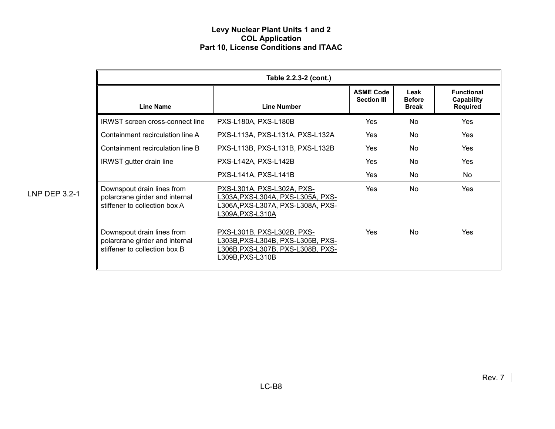|                      |                                                                                               | Table 2.2.3-2 (cont.)                                                                                                         |                                        |                                       |                                                    |
|----------------------|-----------------------------------------------------------------------------------------------|-------------------------------------------------------------------------------------------------------------------------------|----------------------------------------|---------------------------------------|----------------------------------------------------|
|                      | <b>Line Name</b>                                                                              | <b>Line Number</b>                                                                                                            | <b>ASME Code</b><br><b>Section III</b> | Leak<br><b>Before</b><br><b>Break</b> | <b>Functional</b><br>Capability<br><b>Required</b> |
|                      | <b>IRWST</b> screen cross-connect line                                                        | PXS-L180A, PXS-L180B                                                                                                          | Yes                                    | No                                    | Yes                                                |
|                      | Containment recirculation line A                                                              | PXS-L113A, PXS-L131A, PXS-L132A                                                                                               | Yes                                    | <b>No</b>                             | Yes                                                |
|                      | Containment recirculation line B                                                              | PXS-L113B, PXS-L131B, PXS-L132B                                                                                               | Yes                                    | No.                                   | <b>Yes</b>                                         |
|                      | <b>IRWST</b> gutter drain line                                                                | PXS-L142A, PXS-L142B                                                                                                          | Yes                                    | No                                    | Yes                                                |
|                      |                                                                                               | PXS-L141A, PXS-L141B                                                                                                          | Yes                                    | No                                    | No                                                 |
| <b>LNP DEP 3.2-1</b> | Downspout drain lines from<br>polarcrane girder and internal<br>stiffener to collection box A | PXS-L301A, PXS-L302A, PXS-<br>L303A,PXS-L304A, PXS-L305A, PXS-<br>L306A, PXS-L307A, PXS-L308A, PXS-<br>L309A,PXS-L310A        | <b>Yes</b>                             | N <sub>o</sub>                        | Yes                                                |
|                      | Downspout drain lines from<br>polarcrane girder and internal<br>stiffener to collection box B | PXS-L301B, PXS-L302B, PXS-<br>L303B, PXS-L304B, PXS-L305B, PXS-<br><u>L306B,PXS-L307B, PXS-L308B, PXS-</u><br>L309B,PXS-L310B | Yes                                    | N <sub>o</sub>                        | Yes                                                |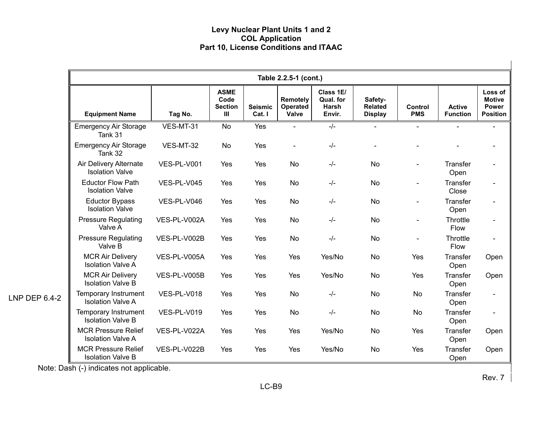|               | Table 2.2.5-1 (cont.)                                  |              |                                                         |                          |                               |                                           |                                             |                          |                                  |                                                      |
|---------------|--------------------------------------------------------|--------------|---------------------------------------------------------|--------------------------|-------------------------------|-------------------------------------------|---------------------------------------------|--------------------------|----------------------------------|------------------------------------------------------|
|               | <b>Equipment Name</b>                                  | Tag No.      | <b>ASME</b><br>Code<br><b>Section</b><br>$\mathbf{III}$ | <b>Seismic</b><br>Cat. I | Remotely<br>Operated<br>Valve | Class 1E/<br>Qual. for<br>Harsh<br>Envir. | Safety-<br><b>Related</b><br><b>Display</b> | Control<br><b>PMS</b>    | <b>Active</b><br><b>Function</b> | Loss of<br><b>Motive</b><br>Power<br><b>Position</b> |
|               | <b>Emergency Air Storage</b><br>Tank 31                | VES-MT-31    | <b>No</b>                                               | Yes                      | $\blacksquare$                | $-/-$                                     | $\blacksquare$                              | $\overline{\phantom{a}}$ |                                  |                                                      |
|               | <b>Emergency Air Storage</b><br>Tank 32                | VES-MT-32    | No                                                      | Yes                      | $\blacksquare$                | $-/-$                                     |                                             |                          |                                  |                                                      |
|               | Air Delivery Alternate<br><b>Isolation Valve</b>       | VES-PL-V001  | Yes                                                     | Yes                      | No                            | $-/-$                                     | <b>No</b>                                   |                          | <b>Transfer</b><br>Open          |                                                      |
|               | <b>Eductor Flow Path</b><br><b>Isolation Valve</b>     | VES-PL-V045  | Yes                                                     | Yes                      | No                            | $-/-$                                     | <b>No</b>                                   |                          | Transfer<br>Close                |                                                      |
|               | <b>Eductor Bypass</b><br><b>Isolation Valve</b>        | VES-PL-V046  | Yes                                                     | Yes                      | No                            | $-/-$                                     | <b>No</b>                                   |                          | Transfer<br>Open                 |                                                      |
|               | <b>Pressure Regulating</b><br>Valve A                  | VES-PL-V002A | Yes                                                     | Yes                      | <b>No</b>                     | $-/-$                                     | No                                          |                          | Throttle<br>Flow                 |                                                      |
|               | <b>Pressure Regulating</b><br>Valve B                  | VES-PL-V002B | Yes                                                     | Yes                      | <b>No</b>                     | $-/-$                                     | No                                          |                          | Throttle<br>Flow                 |                                                      |
|               | <b>MCR Air Delivery</b><br><b>Isolation Valve A</b>    | VES-PL-V005A | Yes                                                     | Yes                      | Yes                           | Yes/No                                    | <b>No</b>                                   | Yes                      | Transfer<br>Open                 | Open                                                 |
|               | <b>MCR Air Delivery</b><br><b>Isolation Valve B</b>    | VES-PL-V005B | Yes                                                     | Yes                      | Yes                           | Yes/No                                    | <b>No</b>                                   | Yes                      | Transfer<br>Open                 | Open                                                 |
| LNP DEP 6.4-2 | Temporary Instrument<br><b>Isolation Valve A</b>       | VES-PL-V018  | Yes                                                     | Yes                      | <b>No</b>                     | $-l$                                      | <b>No</b>                                   | <b>No</b>                | Transfer<br>Open                 | $\blacksquare$                                       |
|               | Temporary Instrument<br><b>Isolation Valve B</b>       | VES-PL-V019  | Yes                                                     | Yes                      | <b>No</b>                     | $-/-$                                     | <b>No</b>                                   | <b>No</b>                | Transfer<br>Open                 |                                                      |
|               | <b>MCR Pressure Relief</b><br><b>Isolation Valve A</b> | VES-PL-V022A | Yes                                                     | Yes                      | Yes                           | Yes/No                                    | <b>No</b>                                   | Yes                      | Transfer<br>Open                 | Open                                                 |
|               | <b>MCR Pressure Relief</b><br><b>Isolation Valve B</b> | VES-PL-V022B | Yes                                                     | Yes                      | Yes                           | Yes/No                                    | No                                          | Yes                      | Transfer<br>Open                 | Open                                                 |

Note: Dash (-) indicates not applicable.

Rev. 7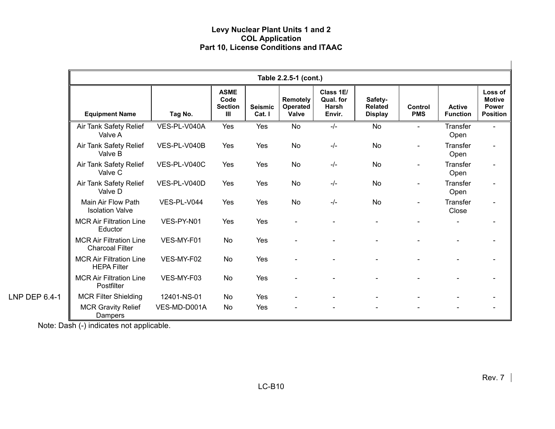|               |                                                          | Table 2.2.5-1 (cont.) |                                              |                          |                               |                                           |                                             |                       |                                  |                                                             |  |
|---------------|----------------------------------------------------------|-----------------------|----------------------------------------------|--------------------------|-------------------------------|-------------------------------------------|---------------------------------------------|-----------------------|----------------------------------|-------------------------------------------------------------|--|
|               | <b>Equipment Name</b>                                    | Tag No.               | <b>ASME</b><br>Code<br><b>Section</b><br>III | <b>Seismic</b><br>Cat. I | Remotely<br>Operated<br>Valve | Class 1E/<br>Qual. for<br>Harsh<br>Envir. | Safety-<br><b>Related</b><br><b>Display</b> | Control<br><b>PMS</b> | <b>Active</b><br><b>Function</b> | Loss of<br><b>Motive</b><br><b>Power</b><br><b>Position</b> |  |
|               | Air Tank Safety Relief<br>Valve A                        | VES-PL-V040A          | Yes                                          | Yes                      | <b>No</b>                     | $-/-$                                     | <b>No</b>                                   | $\sim$                | Transfer<br>Open                 | $\blacksquare$                                              |  |
|               | Air Tank Safety Relief<br>Valve B                        | VES-PL-V040B          | Yes                                          | Yes                      | No                            | $-/-$                                     | <b>No</b>                                   |                       | Transfer<br>Open                 | $\overline{\phantom{a}}$                                    |  |
|               | Air Tank Safety Relief<br>Valve C                        | VES-PL-V040C          | Yes                                          | Yes                      | <b>No</b>                     | $-/-$                                     | No                                          |                       | Transfer<br>Open                 | $\overline{\phantom{0}}$                                    |  |
|               | Air Tank Safety Relief<br>Valve D                        | VES-PL-V040D          | Yes                                          | Yes                      | <b>No</b>                     | $-/-$                                     | <b>No</b>                                   |                       | Transfer<br>Open                 | $\blacksquare$                                              |  |
|               | Main Air Flow Path<br><b>Isolation Valve</b>             | VES-PL-V044           | Yes                                          | Yes                      | <b>No</b>                     | $-/-$                                     | <b>No</b>                                   |                       | Transfer<br>Close                | $\overline{\phantom{a}}$                                    |  |
|               | <b>MCR Air Filtration Line</b><br>Eductor                | VES-PY-N01            | Yes                                          | Yes                      | $\blacksquare$                |                                           |                                             |                       |                                  |                                                             |  |
|               | <b>MCR Air Filtration Line</b><br><b>Charcoal Filter</b> | VES-MY-F01            | No                                           | Yes                      |                               |                                           |                                             |                       |                                  |                                                             |  |
|               | <b>MCR Air Filtration Line</b><br><b>HEPA Filter</b>     | VES-MY-F02            | <b>No</b>                                    | Yes                      |                               |                                           |                                             |                       |                                  |                                                             |  |
|               | <b>MCR Air Filtration Line</b><br>Postfilter             | VES-MY-F03            | <b>No</b>                                    | Yes                      | $\blacksquare$                |                                           |                                             |                       |                                  |                                                             |  |
| LNP DEP 6.4-1 | <b>MCR Filter Shielding</b>                              | 12401-NS-01           | <b>No</b>                                    | Yes                      |                               |                                           |                                             |                       |                                  |                                                             |  |
|               | <b>MCR Gravity Relief</b><br>Dampers                     | VES-MD-D001A          | No                                           | Yes                      |                               |                                           |                                             |                       |                                  |                                                             |  |

Note: Dash (-) indicates not applicable.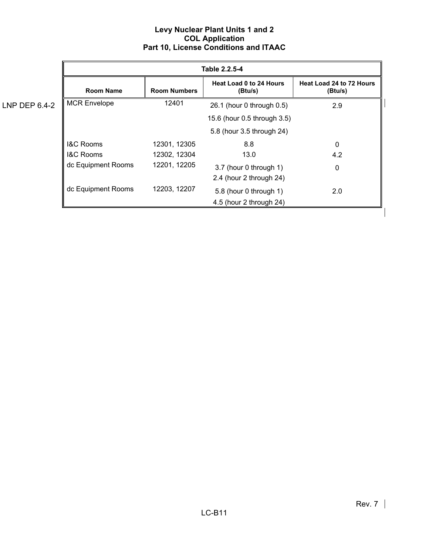|               |                      |                     | Table 2.2.5-4                                     |                                     |
|---------------|----------------------|---------------------|---------------------------------------------------|-------------------------------------|
|               | Room Name            | <b>Room Numbers</b> | <b>Heat Load 0 to 24 Hours</b><br>(Btu/s)         | Heat Load 24 to 72 Hours<br>(Btu/s) |
| LNP DEP 6.4-2 | <b>MCR Envelope</b>  | 12401               | 26.1 (hour 0 through 0.5)                         | 2.9                                 |
|               |                      |                     | 15.6 (hour 0.5 through 3.5)                       |                                     |
|               |                      |                     | 5.8 (hour 3.5 through 24)                         |                                     |
|               | <b>I&amp;C Rooms</b> | 12301, 12305        | 8.8                                               | 0                                   |
|               | <b>I&amp;C Rooms</b> | 12302, 12304        | 13.0                                              | 4.2                                 |
|               | dc Equipment Rooms   | 12201, 12205        | 3.7 (hour 0 through 1)<br>2.4 (hour 2 through 24) | $\mathbf 0$                         |
|               | dc Equipment Rooms   | 12203, 12207        | 5.8 (hour 0 through 1)<br>4.5 (hour 2 through 24) | 2.0                                 |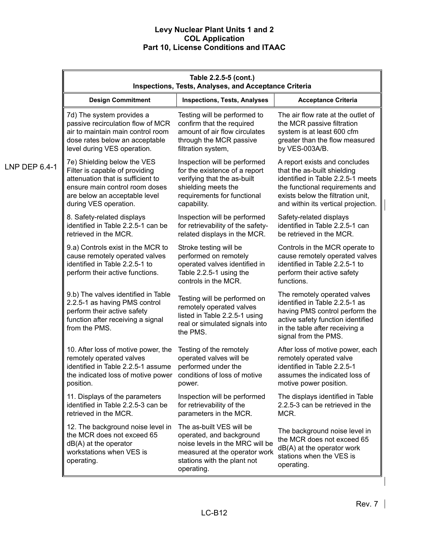|               | Table 2.2.5-5 (cont.)<br><b>Inspections, Tests, Analyses, and Acceptance Criteria</b>                                                                     |                                                                                                                                                                       |                                                                                                                                                                                                 |  |
|---------------|-----------------------------------------------------------------------------------------------------------------------------------------------------------|-----------------------------------------------------------------------------------------------------------------------------------------------------------------------|-------------------------------------------------------------------------------------------------------------------------------------------------------------------------------------------------|--|
|               | <b>Design Commitment</b>                                                                                                                                  | <b>Inspections, Tests, Analyses</b>                                                                                                                                   | <b>Acceptance Criteria</b>                                                                                                                                                                      |  |
|               | 7d) The system provides a                                                                                                                                 | Testing will be performed to                                                                                                                                          | The air flow rate at the outlet of                                                                                                                                                              |  |
|               | passive recirculation flow of MCR                                                                                                                         | confirm that the required                                                                                                                                             | the MCR passive filtration                                                                                                                                                                      |  |
|               | air to maintain main control room                                                                                                                         | amount of air flow circulates                                                                                                                                         | system is at least 600 cfm                                                                                                                                                                      |  |
|               | dose rates below an acceptable                                                                                                                            | through the MCR passive                                                                                                                                               | greater than the flow measured                                                                                                                                                                  |  |
|               | level during VES operation.                                                                                                                               | filtration system,                                                                                                                                                    | by VES-003A/B.                                                                                                                                                                                  |  |
| LNP DEP 6.4-1 | 7e) Shielding below the VES                                                                                                                               | Inspection will be performed                                                                                                                                          | A report exists and concludes                                                                                                                                                                   |  |
|               | Filter is capable of providing                                                                                                                            | for the existence of a report                                                                                                                                         | that the as-built shielding                                                                                                                                                                     |  |
|               | attenuation that is sufficient to                                                                                                                         | verifying that the as-built                                                                                                                                           | identified in Table 2.2.5-1 meets                                                                                                                                                               |  |
|               | ensure main control room doses                                                                                                                            | shielding meets the                                                                                                                                                   | the functional requirements and                                                                                                                                                                 |  |
|               | are below an acceptable level                                                                                                                             | requirements for functional                                                                                                                                           | exists below the filtration unit,                                                                                                                                                               |  |
|               | during VES operation.                                                                                                                                     | capability.                                                                                                                                                           | and within its vertical projection.                                                                                                                                                             |  |
|               | 8. Safety-related displays                                                                                                                                | Inspection will be performed                                                                                                                                          | Safety-related displays                                                                                                                                                                         |  |
|               | identified in Table 2.2.5-1 can be                                                                                                                        | for retrievability of the safety-                                                                                                                                     | identified in Table 2.2.5-1 can                                                                                                                                                                 |  |
|               | retrieved in the MCR.                                                                                                                                     | related displays in the MCR.                                                                                                                                          | be retrieved in the MCR.                                                                                                                                                                        |  |
|               | 9.a) Controls exist in the MCR to<br>cause remotely operated valves<br>identified in Table 2.2.5-1 to<br>perform their active functions.                  | Stroke testing will be<br>performed on remotely<br>operated valves identified in<br>Table 2.2.5-1 using the<br>controls in the MCR.                                   | Controls in the MCR operate to<br>cause remotely operated valves<br>identified in Table 2.2.5-1 to<br>perform their active safety<br>functions.                                                 |  |
|               | 9.b) The valves identified in Table<br>2.2.5-1 as having PMS control<br>perform their active safety<br>function after receiving a signal<br>from the PMS. | Testing will be performed on<br>remotely operated valves<br>listed in Table 2.2.5-1 using<br>real or simulated signals into<br>the PMS.                               | The remotely operated valves<br>identified in Table 2.2.5-1 as<br>having PMS control perform the<br>active safety function identified<br>in the table after receiving a<br>signal from the PMS. |  |
|               | 10. After loss of motive power, the                                                                                                                       | Testing of the remotely                                                                                                                                               | After loss of motive power, each                                                                                                                                                                |  |
|               | remotely operated valves                                                                                                                                  | operated valves will be                                                                                                                                               | remotely operated valve                                                                                                                                                                         |  |
|               | identified in Table 2.2.5-1 assume                                                                                                                        | performed under the                                                                                                                                                   | identified in Table 2.2.5-1                                                                                                                                                                     |  |
|               | the indicated loss of motive power                                                                                                                        | conditions of loss of motive                                                                                                                                          | assumes the indicated loss of                                                                                                                                                                   |  |
|               | position.                                                                                                                                                 | power.                                                                                                                                                                | motive power position.                                                                                                                                                                          |  |
|               | 11. Displays of the parameters                                                                                                                            | Inspection will be performed                                                                                                                                          | The displays identified in Table                                                                                                                                                                |  |
|               | identified in Table 2.2.5-3 can be                                                                                                                        | for retrievability of the                                                                                                                                             | 2.2.5-3 can be retrieved in the                                                                                                                                                                 |  |
|               | retrieved in the MCR.                                                                                                                                     | parameters in the MCR.                                                                                                                                                | MCR.                                                                                                                                                                                            |  |
|               | 12. The background noise level in<br>the MCR does not exceed 65<br>$dB(A)$ at the operator<br>workstations when VES is<br>operating.                      | The as-built VES will be<br>operated, and background<br>noise levels in the MRC will be<br>measured at the operator work<br>stations with the plant not<br>operating. | The background noise level in<br>the MCR does not exceed 65<br>$dB(A)$ at the operator work<br>stations when the VES is<br>operating.                                                           |  |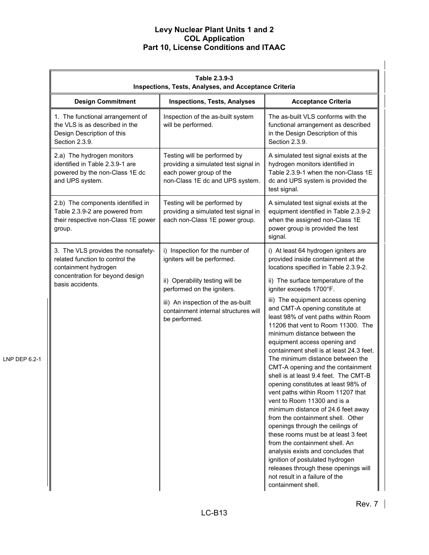|               | Table 2.3.9-3<br>Inspections, Tests, Analyses, and Acceptance Criteria                                                                               |                                                                                                                                    |                                                                                                                                                                                                                                                                                                                                                                                                                                                                                                                                                                                                                                                                                                                                                                                                                                       |  |
|---------------|------------------------------------------------------------------------------------------------------------------------------------------------------|------------------------------------------------------------------------------------------------------------------------------------|---------------------------------------------------------------------------------------------------------------------------------------------------------------------------------------------------------------------------------------------------------------------------------------------------------------------------------------------------------------------------------------------------------------------------------------------------------------------------------------------------------------------------------------------------------------------------------------------------------------------------------------------------------------------------------------------------------------------------------------------------------------------------------------------------------------------------------------|--|
|               | <b>Design Commitment</b>                                                                                                                             | <b>Inspections, Tests, Analyses</b>                                                                                                | <b>Acceptance Criteria</b>                                                                                                                                                                                                                                                                                                                                                                                                                                                                                                                                                                                                                                                                                                                                                                                                            |  |
|               | 1. The functional arrangement of<br>the VLS is as described in the<br>Design Description of this<br>Section 2.3.9.                                   | Inspection of the as-built system<br>will be performed.                                                                            | The as-built VLS conforms with the<br>functional arrangement as described<br>in the Design Description of this<br>Section 2.3.9.                                                                                                                                                                                                                                                                                                                                                                                                                                                                                                                                                                                                                                                                                                      |  |
|               | 2.a) The hydrogen monitors<br>identified in Table 2.3.9-1 are<br>powered by the non-Class 1E dc<br>and UPS system.                                   | Testing will be performed by<br>providing a simulated test signal in<br>each power group of the<br>non-Class 1E dc and UPS system. | A simulated test signal exists at the<br>hydrogen monitors identified in<br>Table 2.3.9-1 when the non-Class 1E<br>dc and UPS system is provided the<br>test signal.                                                                                                                                                                                                                                                                                                                                                                                                                                                                                                                                                                                                                                                                  |  |
|               | 2.b) The components identified in<br>Table 2.3.9-2 are powered from<br>their respective non-Class 1E power<br>group.                                 | Testing will be performed by<br>providing a simulated test signal in<br>each non-Class 1E power group.                             | A simulated test signal exists at the<br>equipment identified in Table 2.3.9-2<br>when the assigned non-Class 1E<br>power group is provided the test<br>signal.                                                                                                                                                                                                                                                                                                                                                                                                                                                                                                                                                                                                                                                                       |  |
|               | 3. The VLS provides the nonsafety-<br>related function to control the<br>containment hydrogen<br>concentration for beyond design<br>basis accidents. | i) Inspection for the number of<br>igniters will be performed.<br>ii) Operability testing will be<br>performed on the igniters.    | i) At least 64 hydrogen igniters are<br>provided inside containment at the<br>locations specified in Table 2.3.9-2.<br>ii) The surface temperature of the<br>igniter exceeds 1700°F.                                                                                                                                                                                                                                                                                                                                                                                                                                                                                                                                                                                                                                                  |  |
| LNP DEP 6.2-1 |                                                                                                                                                      | iii) An inspection of the as-built<br>containment internal structures will<br>be performed.                                        | iii) The equipment access opening<br>and CMT-A opening constitute at<br>least 98% of vent paths within Room<br>11206 that vent to Room 11300. The<br>minimum distance between the<br>equipment access opening and<br>containment shell is at least 24.3 feet.<br>The minimum distance between the<br>CMT-A opening and the containment<br>shell is at least 9.4 feet. The CMT-B<br>opening constitutes at least 98% of<br>vent paths within Room 11207 that<br>vent to Room 11300 and is a<br>minimum distance of 24.6 feet away<br>from the containment shell. Other<br>openings through the ceilings of<br>these rooms must be at least 3 feet<br>from the containment shell. An<br>analysis exists and concludes that<br>ignition of postulated hydrogen<br>releases through these openings will<br>not result in a failure of the |  |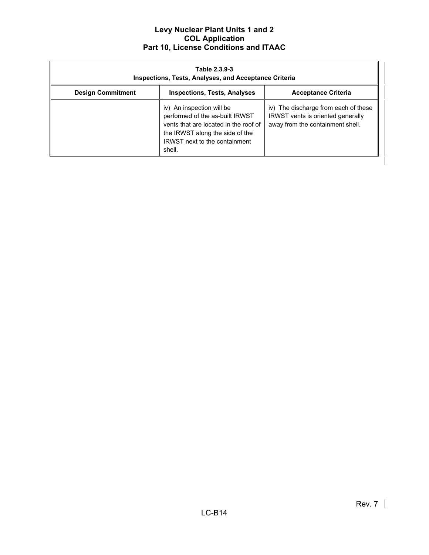| Table 2.3.9-3<br><b>Inspections, Tests, Analyses, and Acceptance Criteria</b> |                                                                                                                                                                                            |                                                                                                               |  |  |
|-------------------------------------------------------------------------------|--------------------------------------------------------------------------------------------------------------------------------------------------------------------------------------------|---------------------------------------------------------------------------------------------------------------|--|--|
| <b>Design Commitment</b>                                                      | <b>Inspections, Tests, Analyses</b>                                                                                                                                                        | <b>Acceptance Criteria</b>                                                                                    |  |  |
|                                                                               | iv) An inspection will be<br>performed of the as-built IRWST<br>vents that are located in the roof of<br>the IRWST along the side of the<br><b>IRWST</b> next to the containment<br>shell. | iv) The discharge from each of these<br>IRWST vents is oriented generally<br>away from the containment shell. |  |  |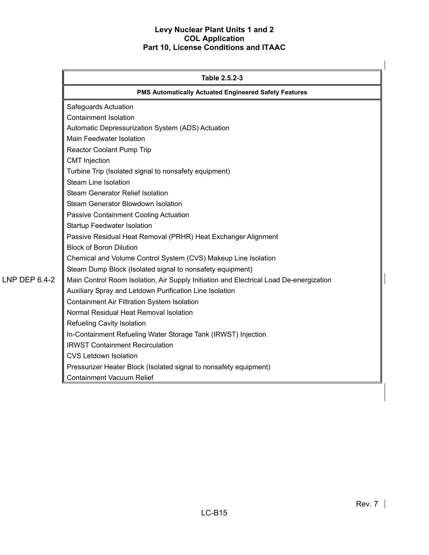|                      | Table 2.5.2-3                                                                          |  |
|----------------------|----------------------------------------------------------------------------------------|--|
|                      | <b>PMS Automatically Actuated Engineered Safety Features</b>                           |  |
|                      | Safeguards Actuation                                                                   |  |
|                      | <b>Containment Isolation</b>                                                           |  |
|                      | Automatic Depressurization System (ADS) Actuation                                      |  |
|                      | Main Feedwater Isolation                                                               |  |
|                      | Reactor Coolant Pump Trip                                                              |  |
|                      | <b>CMT</b> Injection                                                                   |  |
|                      | Turbine Trip (Isolated signal to nonsafety equipment)                                  |  |
|                      | <b>Steam Line Isolation</b>                                                            |  |
|                      | Steam Generator Relief Isolation                                                       |  |
|                      | Steam Generator Blowdown Isolation                                                     |  |
|                      | Passive Containment Cooling Actuation                                                  |  |
|                      | <b>Startup Feedwater Isolation</b>                                                     |  |
|                      | Passive Residual Heat Removal (PRHR) Heat Exchanger Alignment                          |  |
|                      | <b>Block of Boron Dilution</b>                                                         |  |
|                      | Chemical and Volume Control System (CVS) Makeup Line Isolation                         |  |
|                      | Steam Dump Block (Isolated signal to nonsafety equipment)                              |  |
| <b>LNP DEP 6.4-2</b> | Main Control Room Isolation, Air Supply Initiation and Electrical Load De-energization |  |
|                      | Auxiliary Spray and Letdown Purification Line Isolation                                |  |
|                      | Containment Air Filtration System Isolation                                            |  |
|                      | Normal Residual Heat Removal Isolation                                                 |  |
|                      | <b>Refueling Cavity Isolation</b>                                                      |  |
|                      | In-Containment Refueling Water Storage Tank (IRWST) Injection                          |  |
|                      | <b>IRWST Containment Recirculation</b>                                                 |  |
|                      | <b>CVS Letdown Isolation</b>                                                           |  |
|                      | Pressurizer Heater Block (Isolated signal to nonsafety equipment)                      |  |
|                      | Containment Vacuum Relief                                                              |  |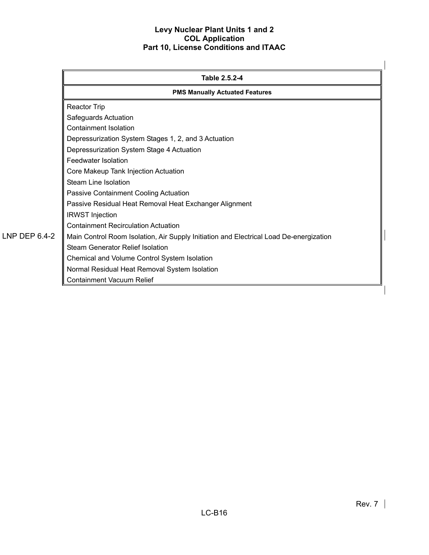|               | Table 2.5.2-4<br><b>PMS Manually Actuated Features</b>                                 |  |  |
|---------------|----------------------------------------------------------------------------------------|--|--|
|               |                                                                                        |  |  |
|               | Reactor Trip                                                                           |  |  |
|               | Safeguards Actuation                                                                   |  |  |
|               | <b>Containment Isolation</b>                                                           |  |  |
|               | Depressurization System Stages 1, 2, and 3 Actuation                                   |  |  |
|               | Depressurization System Stage 4 Actuation                                              |  |  |
|               | Feedwater Isolation                                                                    |  |  |
|               | Core Makeup Tank Injection Actuation                                                   |  |  |
|               | <b>Steam Line Isolation</b>                                                            |  |  |
|               | Passive Containment Cooling Actuation                                                  |  |  |
|               | Passive Residual Heat Removal Heat Exchanger Alignment                                 |  |  |
|               | <b>IRWST</b> Injection                                                                 |  |  |
|               | <b>Containment Recirculation Actuation</b>                                             |  |  |
| LNP DEP 6.4-2 | Main Control Room Isolation, Air Supply Initiation and Electrical Load De-energization |  |  |
|               | <b>Steam Generator Relief Isolation</b>                                                |  |  |
|               | Chemical and Volume Control System Isolation                                           |  |  |
|               | Normal Residual Heat Removal System Isolation                                          |  |  |
|               | <b>Containment Vacuum Relief</b>                                                       |  |  |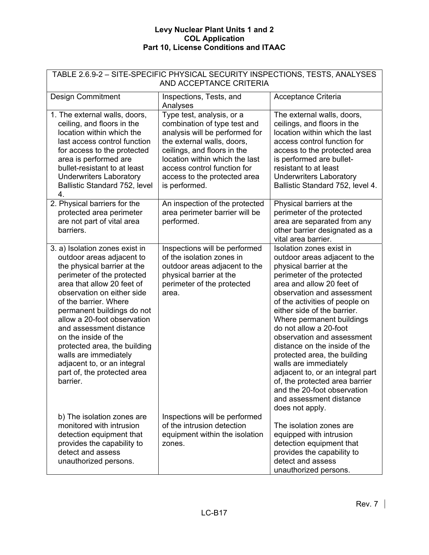| TABLE 2.6.9-2 - SITE-SPECIFIC PHYSICAL SECURITY INSPECTIONS, TESTS, ANALYSES<br>AND ACCEPTANCE CRITERIA                                                                                                                                                                                                                                                                                                                                                          |                                                                                                                                                                                                                                                                            |                                                                                                                                                                                                                                                                                                                                                                                                                                                                                                                                                                                  |  |
|------------------------------------------------------------------------------------------------------------------------------------------------------------------------------------------------------------------------------------------------------------------------------------------------------------------------------------------------------------------------------------------------------------------------------------------------------------------|----------------------------------------------------------------------------------------------------------------------------------------------------------------------------------------------------------------------------------------------------------------------------|----------------------------------------------------------------------------------------------------------------------------------------------------------------------------------------------------------------------------------------------------------------------------------------------------------------------------------------------------------------------------------------------------------------------------------------------------------------------------------------------------------------------------------------------------------------------------------|--|
| <b>Design Commitment</b>                                                                                                                                                                                                                                                                                                                                                                                                                                         | Inspections, Tests, and<br>Analyses                                                                                                                                                                                                                                        | Acceptance Criteria                                                                                                                                                                                                                                                                                                                                                                                                                                                                                                                                                              |  |
| 1. The external walls, doors,<br>ceiling, and floors in the<br>location within which the<br>last access control function<br>for access to the protected<br>area is performed are<br>bullet-resistant to at least<br><b>Underwriters Laboratory</b><br>Ballistic Standard 752, level<br>4.                                                                                                                                                                        | Type test, analysis, or a<br>combination of type test and<br>analysis will be performed for<br>the external walls, doors,<br>ceilings, and floors in the<br>location within which the last<br>access control function for<br>access to the protected area<br>is performed. | The external walls, doors,<br>ceilings, and floors in the<br>location within which the last<br>access control function for<br>access to the protected area<br>is performed are bullet-<br>resistant to at least<br><b>Underwriters Laboratory</b><br>Ballistic Standard 752, level 4.                                                                                                                                                                                                                                                                                            |  |
| 2. Physical barriers for the<br>protected area perimeter<br>are not part of vital area<br>barriers.                                                                                                                                                                                                                                                                                                                                                              | An inspection of the protected<br>area perimeter barrier will be<br>performed.                                                                                                                                                                                             | Physical barriers at the<br>perimeter of the protected<br>area are separated from any<br>other barrier designated as a<br>vital area barrier.                                                                                                                                                                                                                                                                                                                                                                                                                                    |  |
| 3. a) Isolation zones exist in<br>outdoor areas adjacent to<br>the physical barrier at the<br>perimeter of the protected<br>area that allow 20 feet of<br>observation on either side<br>of the barrier. Where<br>permanent buildings do not<br>allow a 20-foot observation<br>and assessment distance<br>on the inside of the<br>protected area, the building<br>walls are immediately<br>adjacent to, or an integral<br>part of, the protected area<br>barrier. | Inspections will be performed<br>of the isolation zones in<br>outdoor areas adjacent to the<br>physical barrier at the<br>perimeter of the protected<br>area.                                                                                                              | Isolation zones exist in<br>outdoor areas adjacent to the<br>physical barrier at the<br>perimeter of the protected<br>area and allow 20 feet of<br>observation and assessment<br>of the activities of people on<br>either side of the barrier.<br>Where permanent buildings<br>do not allow a 20-foot<br>observation and assessment<br>distance on the inside of the<br>protected area, the building<br>walls are immediately<br>adjacent to, or an integral part<br>of, the protected area barrier<br>and the 20-foot observation<br>and assessment distance<br>does not apply. |  |
| b) The isolation zones are<br>monitored with intrusion<br>detection equipment that<br>provides the capability to<br>detect and assess<br>unauthorized persons.                                                                                                                                                                                                                                                                                                   | Inspections will be performed<br>of the intrusion detection<br>equipment within the isolation<br>zones.                                                                                                                                                                    | The isolation zones are<br>equipped with intrusion<br>detection equipment that<br>provides the capability to<br>detect and assess<br>unauthorized persons.                                                                                                                                                                                                                                                                                                                                                                                                                       |  |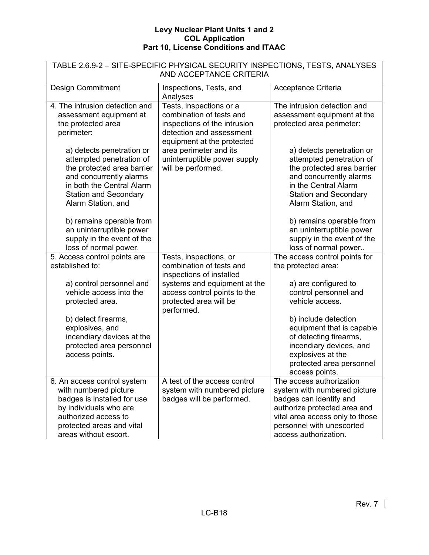| TABLE 2.6.9-2 - SITE-SPECIFIC PHYSICAL SECURITY INSPECTIONS, TESTS, ANALYSES<br>AND ACCEPTANCE CRITERIA                                                                                           |                                                                                                                                               |                                                                                                                                                                                                              |  |  |
|---------------------------------------------------------------------------------------------------------------------------------------------------------------------------------------------------|-----------------------------------------------------------------------------------------------------------------------------------------------|--------------------------------------------------------------------------------------------------------------------------------------------------------------------------------------------------------------|--|--|
| <b>Design Commitment</b>                                                                                                                                                                          | Inspections, Tests, and<br>Analyses                                                                                                           | Acceptance Criteria                                                                                                                                                                                          |  |  |
| 4. The intrusion detection and<br>assessment equipment at<br>the protected area<br>perimeter:                                                                                                     | Tests, inspections or a<br>combination of tests and<br>inspections of the intrusion<br>detection and assessment<br>equipment at the protected | The intrusion detection and<br>assessment equipment at the<br>protected area perimeter:                                                                                                                      |  |  |
| a) detects penetration or<br>attempted penetration of<br>the protected area barrier<br>and concurrently alarms<br>in both the Central Alarm<br><b>Station and Secondary</b><br>Alarm Station, and | area perimeter and its<br>uninterruptible power supply<br>will be performed.                                                                  | a) detects penetration or<br>attempted penetration of<br>the protected area barrier<br>and concurrently alarms<br>in the Central Alarm<br><b>Station and Secondary</b><br>Alarm Station, and                 |  |  |
| b) remains operable from<br>an uninterruptible power<br>supply in the event of the<br>loss of normal power.                                                                                       |                                                                                                                                               | b) remains operable from<br>an uninterruptible power<br>supply in the event of the<br>loss of normal power                                                                                                   |  |  |
| 5. Access control points are<br>established to:                                                                                                                                                   | Tests, inspections, or<br>combination of tests and<br>inspections of installed                                                                | The access control points for<br>the protected area:                                                                                                                                                         |  |  |
| a) control personnel and<br>vehicle access into the<br>protected area.                                                                                                                            | systems and equipment at the<br>access control points to the<br>protected area will be<br>performed.                                          | a) are configured to<br>control personnel and<br>vehicle access.                                                                                                                                             |  |  |
| b) detect firearms,<br>explosives, and<br>incendiary devices at the<br>protected area personnel<br>access points.                                                                                 |                                                                                                                                               | b) include detection<br>equipment that is capable<br>of detecting firearms,<br>incendiary devices, and<br>explosives at the<br>protected area personnel<br>access points.                                    |  |  |
| 6. An access control system<br>with numbered picture<br>badges is installed for use<br>by individuals who are<br>authorized access to<br>protected areas and vital<br>areas without escort.       | A test of the access control<br>system with numbered picture<br>badges will be performed.                                                     | The access authorization<br>system with numbered picture<br>badges can identify and<br>authorize protected area and<br>vital area access only to those<br>personnel with unescorted<br>access authorization. |  |  |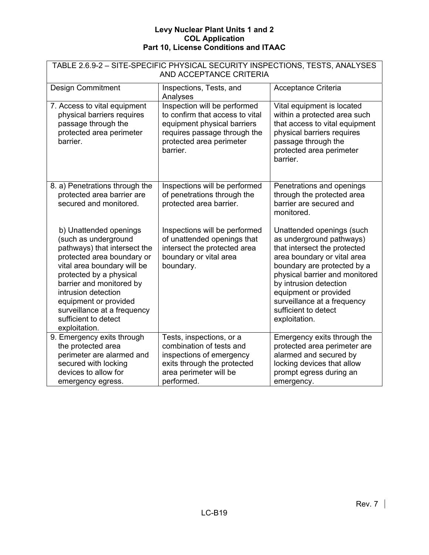| TABLE 2.6.9-2 - SITE-SPECIFIC PHYSICAL SECURITY INSPECTIONS, TESTS, ANALYSES<br>AND ACCEPTANCE CRITERIA                                                                                                                                                                                                                    |                                                                                                                                                                        |                                                                                                                                                                                                                                                                                                                  |  |
|----------------------------------------------------------------------------------------------------------------------------------------------------------------------------------------------------------------------------------------------------------------------------------------------------------------------------|------------------------------------------------------------------------------------------------------------------------------------------------------------------------|------------------------------------------------------------------------------------------------------------------------------------------------------------------------------------------------------------------------------------------------------------------------------------------------------------------|--|
| <b>Design Commitment</b>                                                                                                                                                                                                                                                                                                   | Inspections, Tests, and<br>Analyses                                                                                                                                    | Acceptance Criteria                                                                                                                                                                                                                                                                                              |  |
| 7. Access to vital equipment<br>physical barriers requires<br>passage through the<br>protected area perimeter<br>barrier.                                                                                                                                                                                                  | Inspection will be performed<br>to confirm that access to vital<br>equipment physical barriers<br>requires passage through the<br>protected area perimeter<br>barrier. | Vital equipment is located<br>within a protected area such<br>that access to vital equipment<br>physical barriers requires<br>passage through the<br>protected area perimeter<br>barrier.                                                                                                                        |  |
| 8. a) Penetrations through the<br>protected area barrier are<br>secured and monitored.                                                                                                                                                                                                                                     | Inspections will be performed<br>of penetrations through the<br>protected area barrier.                                                                                | Penetrations and openings<br>through the protected area<br>barrier are secured and<br>monitored.                                                                                                                                                                                                                 |  |
| b) Unattended openings<br>(such as underground<br>pathways) that intersect the<br>protected area boundary or<br>vital area boundary will be<br>protected by a physical<br>barrier and monitored by<br>intrusion detection<br>equipment or provided<br>surveillance at a frequency<br>sufficient to detect<br>exploitation. | Inspections will be performed<br>of unattended openings that<br>intersect the protected area<br>boundary or vital area<br>boundary.                                    | Unattended openings (such<br>as underground pathways)<br>that intersect the protected<br>area boundary or vital area<br>boundary are protected by a<br>physical barrier and monitored<br>by intrusion detection<br>equipment or provided<br>surveillance at a frequency<br>sufficient to detect<br>exploitation. |  |
| 9. Emergency exits through<br>the protected area<br>perimeter are alarmed and<br>secured with locking<br>devices to allow for<br>emergency egress.                                                                                                                                                                         | Tests, inspections, or a<br>combination of tests and<br>inspections of emergency<br>exits through the protected<br>area perimeter will be<br>performed.                | Emergency exits through the<br>protected area perimeter are<br>alarmed and secured by<br>locking devices that allow<br>prompt egress during an<br>emergency.                                                                                                                                                     |  |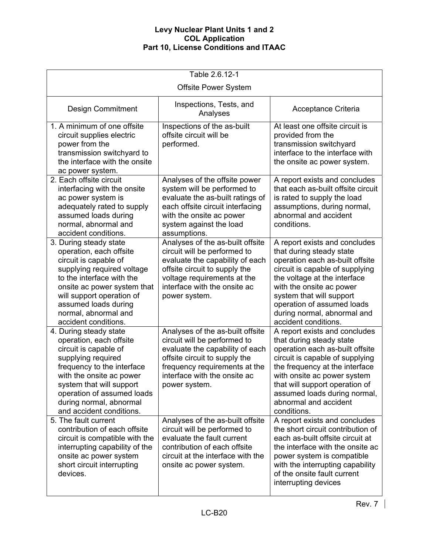| Table 2.6.12-1                                                                                                                                                                                                                                                              |                                                                                                                                                                                                                        |                                                                                                                                                                                                                                                                                                              |  |
|-----------------------------------------------------------------------------------------------------------------------------------------------------------------------------------------------------------------------------------------------------------------------------|------------------------------------------------------------------------------------------------------------------------------------------------------------------------------------------------------------------------|--------------------------------------------------------------------------------------------------------------------------------------------------------------------------------------------------------------------------------------------------------------------------------------------------------------|--|
|                                                                                                                                                                                                                                                                             | <b>Offsite Power System</b>                                                                                                                                                                                            |                                                                                                                                                                                                                                                                                                              |  |
| <b>Design Commitment</b>                                                                                                                                                                                                                                                    | Inspections, Tests, and<br>Analyses                                                                                                                                                                                    | Acceptance Criteria                                                                                                                                                                                                                                                                                          |  |
| 1. A minimum of one offsite<br>circuit supplies electric<br>power from the<br>transmission switchyard to<br>the interface with the onsite<br>ac power system.                                                                                                               | Inspections of the as-built<br>offsite circuit will be<br>performed.                                                                                                                                                   | At least one offsite circuit is<br>provided from the<br>transmission switchyard<br>interface to the interface with<br>the onsite ac power system.                                                                                                                                                            |  |
| 2. Each offsite circuit<br>interfacing with the onsite<br>ac power system is<br>adequately rated to supply<br>assumed loads during<br>normal, abnormal and<br>accident conditions.                                                                                          | Analyses of the offsite power<br>system will be performed to<br>evaluate the as-built ratings of<br>each offsite circuit interfacing<br>with the onsite ac power<br>system against the load<br>assumptions.            | A report exists and concludes<br>that each as-built offsite circuit<br>is rated to supply the load<br>assumptions, during normal,<br>abnormal and accident<br>conditions.                                                                                                                                    |  |
| 3. During steady state<br>operation, each offsite<br>circuit is capable of<br>supplying required voltage<br>to the interface with the<br>onsite ac power system that<br>will support operation of<br>assumed loads during<br>normal, abnormal and<br>accident conditions.   | Analyses of the as-built offsite<br>circuit will be performed to<br>evaluate the capability of each<br>offsite circuit to supply the<br>voltage requirements at the<br>interface with the onsite ac<br>power system.   | A report exists and concludes<br>that during steady state<br>operation each as-built offsite<br>circuit is capable of supplying<br>the voltage at the interface<br>with the onsite ac power<br>system that will support<br>operation of assumed loads<br>during normal, abnormal and<br>accident conditions. |  |
| 4. During steady state<br>operation, each offsite<br>circuit is capable of<br>supplying required<br>frequency to the interface<br>with the onsite ac power<br>system that will support<br>operation of assumed loads<br>during normal, abnormal<br>and accident conditions. | Analyses of the as-built offsite<br>circuit will be performed to<br>evaluate the capability of each<br>offsite circuit to supply the<br>frequency requirements at the<br>interface with the onsite ac<br>power system. | A report exists and concludes<br>that during steady state<br>operation each as-built offsite<br>circuit is capable of supplying<br>the frequency at the interface<br>with onsite ac power system<br>that will support operation of<br>assumed loads during normal,<br>abnormal and accident<br>conditions.   |  |
| 5. The fault current<br>contribution of each offsite<br>circuit is compatible with the<br>interrupting capability of the<br>onsite ac power system<br>short circuit interrupting<br>devices.                                                                                | Analyses of the as-built offsite<br>circuit will be performed to<br>evaluate the fault current<br>contribution of each offsite<br>circuit at the interface with the<br>onsite ac power system.                         | A report exists and concludes<br>the short circuit contribution of<br>each as-built offsite circuit at<br>the interface with the onsite ac<br>power system is compatible<br>with the interrupting capability<br>of the onsite fault current<br>interrupting devices                                          |  |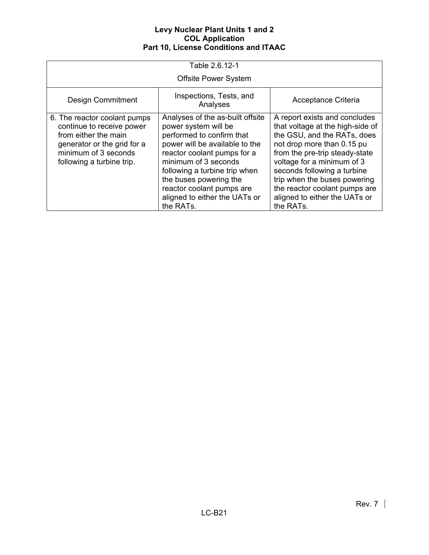| Table 2.6.12-1                                                                                                                                                        |                                                                                                                                                                                                                                                                                                                      |                                                                                                                                                                                                                                                                                                                                              |  |  |
|-----------------------------------------------------------------------------------------------------------------------------------------------------------------------|----------------------------------------------------------------------------------------------------------------------------------------------------------------------------------------------------------------------------------------------------------------------------------------------------------------------|----------------------------------------------------------------------------------------------------------------------------------------------------------------------------------------------------------------------------------------------------------------------------------------------------------------------------------------------|--|--|
|                                                                                                                                                                       | <b>Offsite Power System</b>                                                                                                                                                                                                                                                                                          |                                                                                                                                                                                                                                                                                                                                              |  |  |
| <b>Design Commitment</b>                                                                                                                                              | Inspections, Tests, and<br>Analyses                                                                                                                                                                                                                                                                                  | Acceptance Criteria                                                                                                                                                                                                                                                                                                                          |  |  |
| 6. The reactor coolant pumps<br>continue to receive power<br>from either the main<br>generator or the grid for a<br>minimum of 3 seconds<br>following a turbine trip. | Analyses of the as-built offsite<br>power system will be<br>performed to confirm that<br>power will be available to the<br>reactor coolant pumps for a<br>minimum of 3 seconds<br>following a turbine trip when<br>the buses powering the<br>reactor coolant pumps are<br>aligned to either the UATs or<br>the RATs. | A report exists and concludes<br>that voltage at the high-side of<br>the GSU, and the RATs, does<br>not drop more than 0.15 pu<br>from the pre-trip steady-state<br>voltage for a minimum of 3<br>seconds following a turbine<br>trip when the buses powering<br>the reactor coolant pumps are<br>aligned to either the UATs or<br>the RATs. |  |  |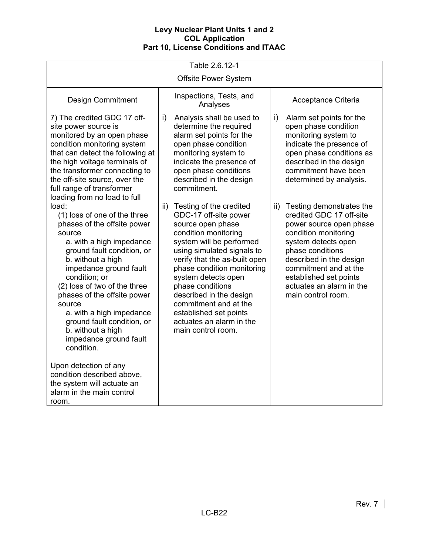| Table 2.6.12-1                                                                                                                                                                                                                                                                                                                                                                                                                                                                                                                      |                                                                                                                                                                                                                                                                                                                                                                                                          |                                                                                                                                                                                                                                                                                        |  |  |
|-------------------------------------------------------------------------------------------------------------------------------------------------------------------------------------------------------------------------------------------------------------------------------------------------------------------------------------------------------------------------------------------------------------------------------------------------------------------------------------------------------------------------------------|----------------------------------------------------------------------------------------------------------------------------------------------------------------------------------------------------------------------------------------------------------------------------------------------------------------------------------------------------------------------------------------------------------|----------------------------------------------------------------------------------------------------------------------------------------------------------------------------------------------------------------------------------------------------------------------------------------|--|--|
| <b>Offsite Power System</b>                                                                                                                                                                                                                                                                                                                                                                                                                                                                                                         |                                                                                                                                                                                                                                                                                                                                                                                                          |                                                                                                                                                                                                                                                                                        |  |  |
| <b>Design Commitment</b>                                                                                                                                                                                                                                                                                                                                                                                                                                                                                                            | Inspections, Tests, and<br>Analyses                                                                                                                                                                                                                                                                                                                                                                      | Acceptance Criteria                                                                                                                                                                                                                                                                    |  |  |
| 7) The credited GDC 17 off-<br>site power source is<br>monitored by an open phase<br>condition monitoring system<br>that can detect the following at<br>the high voltage terminals of<br>the transformer connecting to<br>the off-site source, over the<br>full range of transformer<br>loading from no load to full                                                                                                                                                                                                                | Analysis shall be used to<br>i)<br>determine the required<br>alarm set points for the<br>open phase condition<br>monitoring system to<br>indicate the presence of<br>open phase conditions<br>described in the design<br>commitment.                                                                                                                                                                     | i)<br>Alarm set points for the<br>open phase condition<br>monitoring system to<br>indicate the presence of<br>open phase conditions as<br>described in the design<br>commitment have been<br>determined by analysis.                                                                   |  |  |
| load:<br>(1) loss of one of the three<br>phases of the offsite power<br>source<br>a. with a high impedance<br>ground fault condition, or<br>b. without a high<br>impedance ground fault<br>condition; or<br>(2) loss of two of the three<br>phases of the offsite power<br>source<br>a. with a high impedance<br>ground fault condition, or<br>b. without a high<br>impedance ground fault<br>condition.<br>Upon detection of any<br>condition described above,<br>the system will actuate an<br>alarm in the main control<br>room. | Testing of the credited<br>ii)<br>GDC-17 off-site power<br>source open phase<br>condition monitoring<br>system will be performed<br>using simulated signals to<br>verify that the as-built open<br>phase condition monitoring<br>system detects open<br>phase conditions<br>described in the design<br>commitment and at the<br>established set points<br>actuates an alarm in the<br>main control room. | ii) Testing demonstrates the<br>credited GDC 17 off-site<br>power source open phase<br>condition monitoring<br>system detects open<br>phase conditions<br>described in the design<br>commitment and at the<br>established set points<br>actuates an alarm in the<br>main control room. |  |  |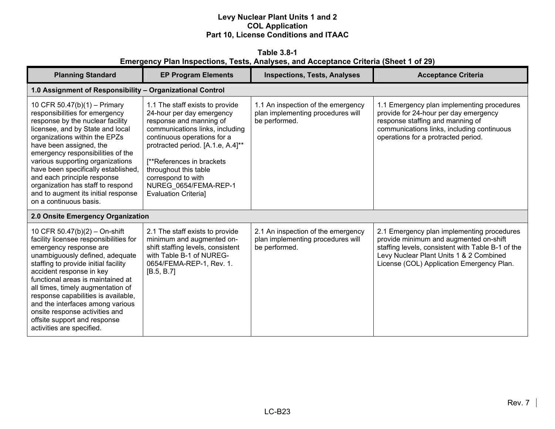**Table 3.8-1 Emergency Plan Inspections, Tests, Analyses, and Acceptance Criteria (Sheet 1 of 29)** 

| <b>Planning Standard</b>                                                                                                                                                                                                                                                                                                                                                                                                                                     | <b>EP Program Elements</b>                                                                                                                                                                                                                                                                                                          | <b>Inspections, Tests, Analyses</b>                                                      | <b>Acceptance Criteria</b>                                                                                                                                                                                                        |  |
|--------------------------------------------------------------------------------------------------------------------------------------------------------------------------------------------------------------------------------------------------------------------------------------------------------------------------------------------------------------------------------------------------------------------------------------------------------------|-------------------------------------------------------------------------------------------------------------------------------------------------------------------------------------------------------------------------------------------------------------------------------------------------------------------------------------|------------------------------------------------------------------------------------------|-----------------------------------------------------------------------------------------------------------------------------------------------------------------------------------------------------------------------------------|--|
|                                                                                                                                                                                                                                                                                                                                                                                                                                                              | 1.0 Assignment of Responsibility - Organizational Control                                                                                                                                                                                                                                                                           |                                                                                          |                                                                                                                                                                                                                                   |  |
| 10 CFR 50.47(b)(1) - Primary<br>responsibilities for emergency<br>response by the nuclear facility<br>licensee, and by State and local<br>organizations within the EPZs<br>have been assigned, the<br>emergency responsibilities of the<br>various supporting organizations<br>have been specifically established,<br>and each principle response<br>organization has staff to respond<br>and to augment its initial response<br>on a continuous basis.      | 1.1 The staff exists to provide<br>24-hour per day emergency<br>response and manning of<br>communications links, including<br>continuous operations for a<br>protracted period. [A.1.e, A.4]**<br>[**References in brackets]<br>throughout this table<br>correspond to with<br>NUREG 0654/FEMA-REP-1<br><b>Evaluation Criterial</b> | 1.1 An inspection of the emergency<br>plan implementing procedures will<br>be performed. | 1.1 Emergency plan implementing procedures<br>provide for 24-hour per day emergency<br>response staffing and manning of<br>communications links, including continuous<br>operations for a protracted period.                      |  |
| 2.0 Onsite Emergency Organization                                                                                                                                                                                                                                                                                                                                                                                                                            |                                                                                                                                                                                                                                                                                                                                     |                                                                                          |                                                                                                                                                                                                                                   |  |
| 10 CFR 50.47(b)(2) - On-shift<br>facility licensee responsibilities for<br>emergency response are<br>unambiguously defined, adequate<br>staffing to provide initial facility<br>accident response in key<br>functional areas is maintained at<br>all times, timely augmentation of<br>response capabilities is available,<br>and the interfaces among various<br>onsite response activities and<br>offsite support and response<br>activities are specified. | 2.1 The staff exists to provide<br>minimum and augmented on-<br>shift staffing levels, consistent<br>with Table B-1 of NUREG-<br>0654/FEMA-REP-1, Rev. 1.<br>[B.5, B.7]                                                                                                                                                             | 2.1 An inspection of the emergency<br>plan implementing procedures will<br>be performed. | 2.1 Emergency plan implementing procedures<br>provide minimum and augmented on-shift<br>staffing levels, consistent with Table B-1 of the<br>Levy Nuclear Plant Units 1 & 2 Combined<br>License (COL) Application Emergency Plan. |  |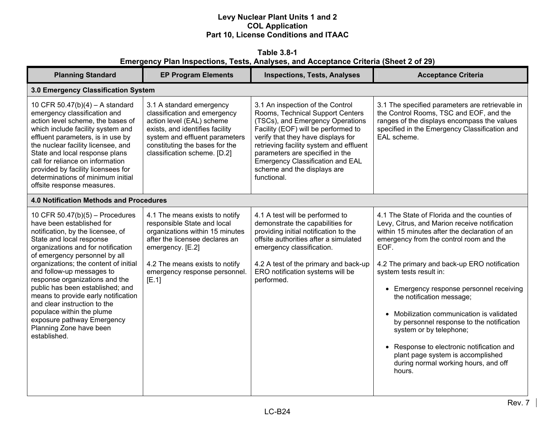**Table 3.8-1 Emergency Plan Inspections, Tests, Analyses, and Acceptance Criteria (Sheet 2 of 29)** 

| <b>Planning Standard</b>                                                                                                                                                                                                                                                                                                                                                                                                                                                                                                      | <b>EP Program Elements</b>                                                                                                                                                                                                         | <b>Inspections, Tests, Analyses</b>                                                                                                                                                                                                                                                                                                                          | <b>Acceptance Criteria</b>                                                                                                                                                                                                                                                                                                                                                                                                                                                                                                                                                                                     |
|-------------------------------------------------------------------------------------------------------------------------------------------------------------------------------------------------------------------------------------------------------------------------------------------------------------------------------------------------------------------------------------------------------------------------------------------------------------------------------------------------------------------------------|------------------------------------------------------------------------------------------------------------------------------------------------------------------------------------------------------------------------------------|--------------------------------------------------------------------------------------------------------------------------------------------------------------------------------------------------------------------------------------------------------------------------------------------------------------------------------------------------------------|----------------------------------------------------------------------------------------------------------------------------------------------------------------------------------------------------------------------------------------------------------------------------------------------------------------------------------------------------------------------------------------------------------------------------------------------------------------------------------------------------------------------------------------------------------------------------------------------------------------|
| 3.0 Emergency Classification System                                                                                                                                                                                                                                                                                                                                                                                                                                                                                           |                                                                                                                                                                                                                                    |                                                                                                                                                                                                                                                                                                                                                              |                                                                                                                                                                                                                                                                                                                                                                                                                                                                                                                                                                                                                |
| 10 CFR 50.47(b)(4) - A standard<br>emergency classification and<br>action level scheme, the bases of<br>which include facility system and<br>effluent parameters, is in use by<br>the nuclear facility licensee, and<br>State and local response plans<br>call for reliance on information<br>provided by facility licensees for<br>determinations of minimum initial<br>offsite response measures.                                                                                                                           | 3.1 A standard emergency<br>classification and emergency<br>action level (EAL) scheme<br>exists, and identifies facility<br>system and effluent parameters<br>constituting the bases for the<br>classification scheme. [D.2]       | 3.1 An inspection of the Control<br>Rooms, Technical Support Centers<br>(TSCs), and Emergency Operations<br>Facility (EOF) will be performed to<br>verify that they have displays for<br>retrieving facility system and effluent<br>parameters are specified in the<br><b>Emergency Classification and EAL</b><br>scheme and the displays are<br>functional. | 3.1 The specified parameters are retrievable in<br>the Control Rooms, TSC and EOF, and the<br>ranges of the displays encompass the values<br>specified in the Emergency Classification and<br>EAL scheme.                                                                                                                                                                                                                                                                                                                                                                                                      |
| <b>4.0 Notification Methods and Procedures</b>                                                                                                                                                                                                                                                                                                                                                                                                                                                                                |                                                                                                                                                                                                                                    |                                                                                                                                                                                                                                                                                                                                                              |                                                                                                                                                                                                                                                                                                                                                                                                                                                                                                                                                                                                                |
| 10 CFR 50.47(b)(5) - Procedures<br>have been established for<br>notification, by the licensee, of<br>State and local response<br>organizations and for notification<br>of emergency personnel by all<br>organizations; the content of initial<br>and follow-up messages to<br>response organizations and the<br>public has been established; and<br>means to provide early notification<br>and clear instruction to the<br>populace within the plume<br>exposure pathway Emergency<br>Planning Zone have been<br>established. | 4.1 The means exists to notify<br>responsible State and local<br>organizations within 15 minutes<br>after the licensee declares an<br>emergency. [E.2]<br>4.2 The means exists to notify<br>emergency response personnel.<br>[E.1] | 4.1 A test will be performed to<br>demonstrate the capabilities for<br>providing initial notification to the<br>offsite authorities after a simulated<br>emergency classification.<br>4.2 A test of the primary and back-up<br>ERO notification systems will be<br>performed.                                                                                | 4.1 The State of Florida and the counties of<br>Levy, Citrus, and Marion receive notification<br>within 15 minutes after the declaration of an<br>emergency from the control room and the<br>EOF.<br>4.2 The primary and back-up ERO notification<br>system tests result in:<br>• Emergency response personnel receiving<br>the notification message;<br>• Mobilization communication is validated<br>by personnel response to the notification<br>system or by telephone;<br>• Response to electronic notification and<br>plant page system is accomplished<br>during normal working hours, and off<br>hours. |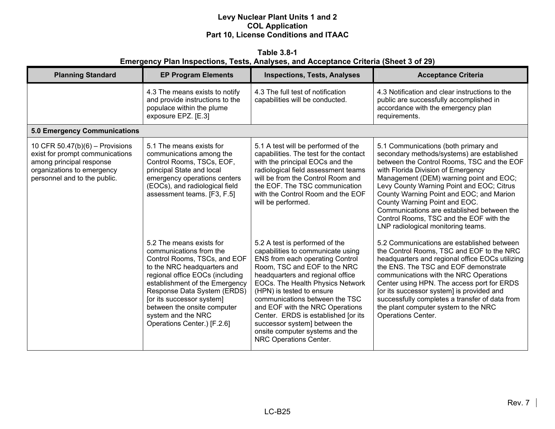**Table 3.8-1 Emergency Plan Inspections, Tests, Analyses, and Acceptance Criteria (Sheet 3 of 29)** 

| <b>Planning Standard</b>                                                                                                                                       | <b>EP Program Elements</b>                                                                                                                                                                                                                                                                                                              | <b>Inspections, Tests, Analyses</b>                                                                                                                                                                                                                                                                                                                                                                                                                   | <b>Acceptance Criteria</b>                                                                                                                                                                                                                                                                                                                                                                                                                                                 |
|----------------------------------------------------------------------------------------------------------------------------------------------------------------|-----------------------------------------------------------------------------------------------------------------------------------------------------------------------------------------------------------------------------------------------------------------------------------------------------------------------------------------|-------------------------------------------------------------------------------------------------------------------------------------------------------------------------------------------------------------------------------------------------------------------------------------------------------------------------------------------------------------------------------------------------------------------------------------------------------|----------------------------------------------------------------------------------------------------------------------------------------------------------------------------------------------------------------------------------------------------------------------------------------------------------------------------------------------------------------------------------------------------------------------------------------------------------------------------|
|                                                                                                                                                                | 4.3 The means exists to notify<br>and provide instructions to the<br>populace within the plume<br>exposure EPZ. [E.3]                                                                                                                                                                                                                   | 4.3 The full test of notification<br>capabilities will be conducted.                                                                                                                                                                                                                                                                                                                                                                                  | 4.3 Notification and clear instructions to the<br>public are successfully accomplished in<br>accordance with the emergency plan<br>requirements.                                                                                                                                                                                                                                                                                                                           |
| <b>5.0 Emergency Communications</b>                                                                                                                            |                                                                                                                                                                                                                                                                                                                                         |                                                                                                                                                                                                                                                                                                                                                                                                                                                       |                                                                                                                                                                                                                                                                                                                                                                                                                                                                            |
| 10 CFR $50.47(b)(6)$ – Provisions<br>exist for prompt communications<br>among principal response<br>organizations to emergency<br>personnel and to the public. | 5.1 The means exists for<br>communications among the<br>Control Rooms, TSCs, EOF,<br>principal State and local<br>emergency operations centers<br>(EOCs), and radiological field<br>assessment teams. [F3, F.5]                                                                                                                         | 5.1 A test will be performed of the<br>capabilities. The test for the contact<br>with the principal EOCs and the<br>radiological field assessment teams<br>will be from the Control Room and<br>the EOF. The TSC communication<br>with the Control Room and the EOF<br>will be performed.                                                                                                                                                             | 5.1 Communications (both primary and<br>secondary methods/systems) are established<br>between the Control Rooms, TSC and the EOF<br>with Florida Division of Emergency<br>Management (DEM) warning point and EOC;<br>Levy County Warning Point and EOC; Citrus<br>County Warning Point and EOC; and Marion<br>County Warning Point and EOC.<br>Communications are established between the<br>Control Rooms, TSC and the EOF with the<br>LNP radiological monitoring teams. |
|                                                                                                                                                                | 5.2 The means exists for<br>communications from the<br>Control Rooms, TSCs, and EOF<br>to the NRC headquarters and<br>regional office EOCs (including<br>establishment of the Emergency<br>Response Data System (ERDS)<br>[or its successor system]<br>between the onsite computer<br>system and the NRC<br>Operations Center.) [F.2.6] | 5.2 A test is performed of the<br>capabilities to communicate using<br>ENS from each operating Control<br>Room, TSC and EOF to the NRC<br>headquarters and regional office<br>EOCs. The Health Physics Network<br>(HPN) is tested to ensure<br>communications between the TSC<br>and EOF with the NRC Operations<br>Center. ERDS is established [or its<br>successor system] between the<br>onsite computer systems and the<br>NRC Operations Center. | 5.2 Communications are established between<br>the Control Rooms, TSC and EOF to the NRC<br>headquarters and regional office EOCs utilizing<br>the ENS. The TSC and EOF demonstrate<br>communications with the NRC Operations<br>Center using HPN. The access port for ERDS<br>[or its successor system] is provided and<br>successfully completes a transfer of data from<br>the plant computer system to the NRC<br><b>Operations Center.</b>                             |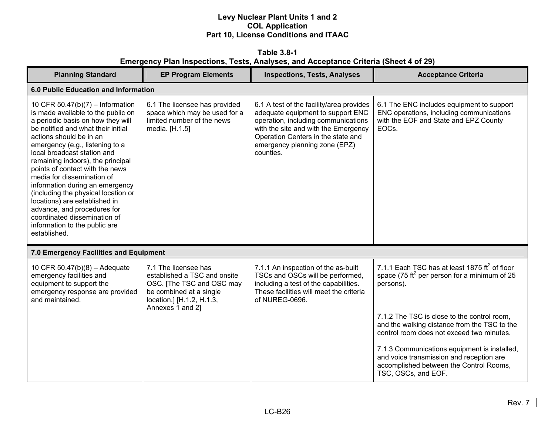**Table 3.8-1 Emergency Plan Inspections, Tests, Analyses, and Acceptance Criteria (Sheet 4 of 29)** 

| <b>Planning Standard</b>                                                                                                                                                                                                                                                                                                                                                                                                                                                                                                                                                        | <b>EP Program Elements</b>                                                                                                                                    | <b>Inspections, Tests, Analyses</b>                                                                                                                                                                                                              | <b>Acceptance Criteria</b>                                                                                                                                 |
|---------------------------------------------------------------------------------------------------------------------------------------------------------------------------------------------------------------------------------------------------------------------------------------------------------------------------------------------------------------------------------------------------------------------------------------------------------------------------------------------------------------------------------------------------------------------------------|---------------------------------------------------------------------------------------------------------------------------------------------------------------|--------------------------------------------------------------------------------------------------------------------------------------------------------------------------------------------------------------------------------------------------|------------------------------------------------------------------------------------------------------------------------------------------------------------|
| 6.0 Public Education and Information                                                                                                                                                                                                                                                                                                                                                                                                                                                                                                                                            |                                                                                                                                                               |                                                                                                                                                                                                                                                  |                                                                                                                                                            |
| 10 CFR 50.47(b)(7) - Information<br>is made available to the public on<br>a periodic basis on how they will<br>be notified and what their initial<br>actions should be in an<br>emergency (e.g., listening to a<br>local broadcast station and<br>remaining indoors), the principal<br>points of contact with the news<br>media for dissemination of<br>information during an emergency<br>(including the physical location or<br>locations) are established in<br>advance, and procedures for<br>coordinated dissemination of<br>information to the public are<br>established. | 6.1 The licensee has provided<br>space which may be used for a<br>limited number of the news<br>media. [H.1.5]                                                | 6.1 A test of the facility/area provides<br>adequate equipment to support ENC<br>operation, including communications<br>with the site and with the Emergency<br>Operation Centers in the state and<br>emergency planning zone (EPZ)<br>counties. | 6.1 The ENC includes equipment to support<br>ENC operations, including communications<br>with the EOF and State and EPZ County<br>EOC <sub>s</sub>         |
| 7.0 Emergency Facilities and Equipment                                                                                                                                                                                                                                                                                                                                                                                                                                                                                                                                          |                                                                                                                                                               |                                                                                                                                                                                                                                                  |                                                                                                                                                            |
| 10 CFR 50.47(b)(8) - Adequate<br>emergency facilities and<br>equipment to support the<br>emergency response are provided<br>and maintained.                                                                                                                                                                                                                                                                                                                                                                                                                                     | 7.1 The licensee has<br>established a TSC and onsite<br>OSC. [The TSC and OSC may<br>be combined at a single<br>location.] [H.1.2, H.1.3,<br>Annexes 1 and 2] | 7.1.1 An inspection of the as-built<br>TSCs and OSCs will be performed,<br>including a test of the capabilities.<br>These facilities will meet the criteria<br>of NUREG-0696.                                                                    | 7.1.1 Each TSC has at least 1875 $\text{ft}^2$ of floor<br>space (75 ft <sup>2</sup> per person for a minimum of 25<br>persons).                           |
|                                                                                                                                                                                                                                                                                                                                                                                                                                                                                                                                                                                 |                                                                                                                                                               |                                                                                                                                                                                                                                                  | 7.1.2 The TSC is close to the control room,<br>and the walking distance from the TSC to the<br>control room does not exceed two minutes.                   |
|                                                                                                                                                                                                                                                                                                                                                                                                                                                                                                                                                                                 |                                                                                                                                                               |                                                                                                                                                                                                                                                  | 7.1.3 Communications equipment is installed,<br>and voice transmission and reception are<br>accomplished between the Control Rooms,<br>TSC, OSCs, and EOF. |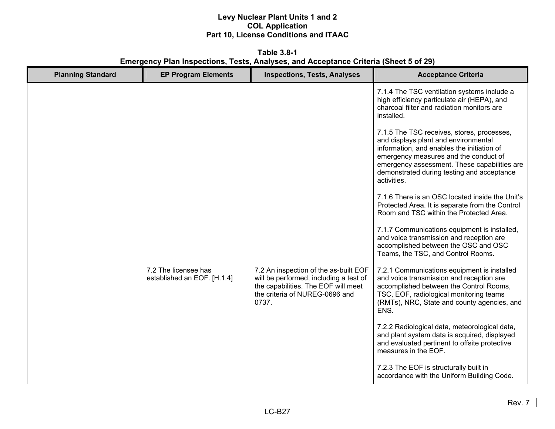**Table 3.8-1 Emergency Plan Inspections, Tests, Analyses, and Acceptance Criteria (Sheet 5 of 29)** 

| <b>Planning Standard</b> | <b>EP Program Elements</b>                          | <b>Inspections, Tests, Analyses</b>                                                                                                                               | <b>Acceptance Criteria</b>                                                                                                                                                                                                                                                             |
|--------------------------|-----------------------------------------------------|-------------------------------------------------------------------------------------------------------------------------------------------------------------------|----------------------------------------------------------------------------------------------------------------------------------------------------------------------------------------------------------------------------------------------------------------------------------------|
|                          |                                                     |                                                                                                                                                                   | 7.1.4 The TSC ventilation systems include a<br>high efficiency particulate air (HEPA), and<br>charcoal filter and radiation monitors are<br>installed.                                                                                                                                 |
|                          |                                                     |                                                                                                                                                                   | 7.1.5 The TSC receives, stores, processes,<br>and displays plant and environmental<br>information, and enables the initiation of<br>emergency measures and the conduct of<br>emergency assessment. These capabilities are<br>demonstrated during testing and acceptance<br>activities. |
|                          |                                                     |                                                                                                                                                                   | 7.1.6 There is an OSC located inside the Unit's<br>Protected Area. It is separate from the Control<br>Room and TSC within the Protected Area.                                                                                                                                          |
|                          |                                                     |                                                                                                                                                                   | 7.1.7 Communications equipment is installed,<br>and voice transmission and reception are<br>accomplished between the OSC and OSC<br>Teams, the TSC, and Control Rooms.                                                                                                                 |
|                          | 7.2 The licensee has<br>established an EOF. [H.1.4] | 7.2 An inspection of the as-built EOF<br>will be performed, including a test of<br>the capabilities. The EOF will meet<br>the criteria of NUREG-0696 and<br>0737. | 7.2.1 Communications equipment is installed<br>and voice transmission and reception are<br>accomplished between the Control Rooms,<br>TSC, EOF, radiological monitoring teams<br>(RMTs), NRC, State and county agencies, and<br>ENS.                                                   |
|                          |                                                     |                                                                                                                                                                   | 7.2.2 Radiological data, meteorological data,<br>and plant system data is acquired, displayed<br>and evaluated pertinent to offsite protective<br>measures in the EOF.                                                                                                                 |
|                          |                                                     |                                                                                                                                                                   | 7.2.3 The EOF is structurally built in<br>accordance with the Uniform Building Code.                                                                                                                                                                                                   |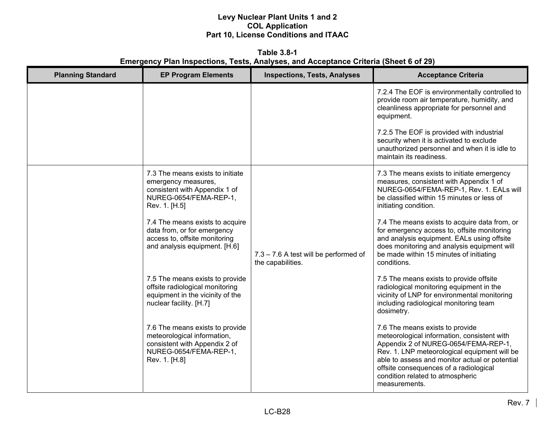**Table 3.8-1 Emergency Plan Inspections, Tests, Analyses, and Acceptance Criteria (Sheet 6 of 29)** 

| <b>Planning Standard</b> | <b>EP Program Elements</b>                                                                                                                 | <b>Inspections, Tests, Analyses</b>                        | <b>Acceptance Criteria</b>                                                                                                                                                                                                                                                                                              |
|--------------------------|--------------------------------------------------------------------------------------------------------------------------------------------|------------------------------------------------------------|-------------------------------------------------------------------------------------------------------------------------------------------------------------------------------------------------------------------------------------------------------------------------------------------------------------------------|
|                          |                                                                                                                                            |                                                            | 7.2.4 The EOF is environmentally controlled to<br>provide room air temperature, humidity, and<br>cleanliness appropriate for personnel and<br>equipment.                                                                                                                                                                |
|                          |                                                                                                                                            |                                                            | 7.2.5 The EOF is provided with industrial<br>security when it is activated to exclude<br>unauthorized personnel and when it is idle to<br>maintain its readiness.                                                                                                                                                       |
|                          | 7.3 The means exists to initiate<br>emergency measures,<br>consistent with Appendix 1 of<br>NUREG-0654/FEMA-REP-1,<br>Rev. 1. [H.5]        |                                                            | 7.3 The means exists to initiate emergency<br>measures, consistent with Appendix 1 of<br>NUREG-0654/FEMA-REP-1, Rev. 1. EALs will<br>be classified within 15 minutes or less of<br>initiating condition.                                                                                                                |
|                          | 7.4 The means exists to acquire<br>data from, or for emergency<br>access to, offsite monitoring<br>and analysis equipment. [H.6]           | 7.3 - 7.6 A test will be performed of<br>the capabilities. | 7.4 The means exists to acquire data from, or<br>for emergency access to, offsite monitoring<br>and analysis equipment. EALs using offsite<br>does monitoring and analysis equipment will<br>be made within 15 minutes of initiating<br>conditions.                                                                     |
|                          | 7.5 The means exists to provide<br>offsite radiological monitoring<br>equipment in the vicinity of the<br>nuclear facility. [H.7]          |                                                            | 7.5 The means exists to provide offsite<br>radiological monitoring equipment in the<br>vicinity of LNP for environmental monitoring<br>including radiological monitoring team<br>dosimetry.                                                                                                                             |
|                          | 7.6 The means exists to provide<br>meteorological information,<br>consistent with Appendix 2 of<br>NUREG-0654/FEMA-REP-1,<br>Rev. 1. [H.8] |                                                            | 7.6 The means exists to provide<br>meteorological information, consistent with<br>Appendix 2 of NUREG-0654/FEMA-REP-1,<br>Rev. 1. LNP meteorological equipment will be<br>able to assess and monitor actual or potential<br>offsite consequences of a radiological<br>condition related to atmospheric<br>measurements. |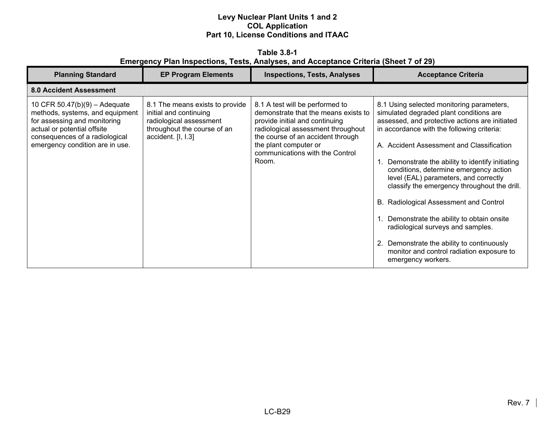**Table 3.8-1 Emergency Plan Inspections, Tests, Analyses, and Acceptance Criteria (Sheet 7 of 29)** 

| <b>Planning Standard</b>                                                                                                                                                                               | <b>EP Program Elements</b>                                                                                                                | <b>Inspections, Tests, Analyses</b>                                                                                                                                                                                                                       | <b>Acceptance Criteria</b>                                                                                                                                                                                                                                                                                                                                                                                                                                                                                                                                                                                                                                         |
|--------------------------------------------------------------------------------------------------------------------------------------------------------------------------------------------------------|-------------------------------------------------------------------------------------------------------------------------------------------|-----------------------------------------------------------------------------------------------------------------------------------------------------------------------------------------------------------------------------------------------------------|--------------------------------------------------------------------------------------------------------------------------------------------------------------------------------------------------------------------------------------------------------------------------------------------------------------------------------------------------------------------------------------------------------------------------------------------------------------------------------------------------------------------------------------------------------------------------------------------------------------------------------------------------------------------|
| <b>8.0 Accident Assessment</b>                                                                                                                                                                         |                                                                                                                                           |                                                                                                                                                                                                                                                           |                                                                                                                                                                                                                                                                                                                                                                                                                                                                                                                                                                                                                                                                    |
| 10 CFR $50.47(b)(9) -$ Adequate<br>methods, systems, and equipment<br>for assessing and monitoring<br>actual or potential offsite<br>consequences of a radiological<br>emergency condition are in use. | 8.1 The means exists to provide<br>initial and continuing<br>radiological assessment<br>throughout the course of an<br>accident. [I, I.3] | 8.1 A test will be performed to<br>demonstrate that the means exists to<br>provide initial and continuing<br>radiological assessment throughout<br>the course of an accident through<br>the plant computer or<br>communications with the Control<br>Room. | 8.1 Using selected monitoring parameters,<br>simulated degraded plant conditions are<br>assessed, and protective actions are initiated<br>in accordance with the following criteria:<br>A. Accident Assessment and Classification<br>Demonstrate the ability to identify initiating<br>conditions, determine emergency action<br>level (EAL) parameters, and correctly<br>classify the emergency throughout the drill.<br>B. Radiological Assessment and Control<br>Demonstrate the ability to obtain onsite<br>radiological surveys and samples.<br>2. Demonstrate the ability to continuously<br>monitor and control radiation exposure to<br>emergency workers. |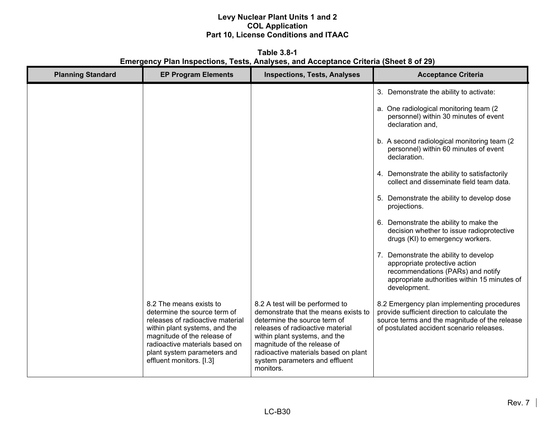**Table 3.8-1 Emergency Plan Inspections, Tests, Analyses, and Acceptance Criteria (Sheet 8 of 29)** 

| <b>Planning Standard</b> | <b>EP Program Elements</b>                                                                                                                                                                                                                               | <b>Inspections, Tests, Analyses</b>                                                                                                                                                                                                                                                                | <b>Acceptance Criteria</b>                                                                                                                                                                |
|--------------------------|----------------------------------------------------------------------------------------------------------------------------------------------------------------------------------------------------------------------------------------------------------|----------------------------------------------------------------------------------------------------------------------------------------------------------------------------------------------------------------------------------------------------------------------------------------------------|-------------------------------------------------------------------------------------------------------------------------------------------------------------------------------------------|
|                          |                                                                                                                                                                                                                                                          |                                                                                                                                                                                                                                                                                                    | 3. Demonstrate the ability to activate:                                                                                                                                                   |
|                          |                                                                                                                                                                                                                                                          |                                                                                                                                                                                                                                                                                                    | a. One radiological monitoring team (2)<br>personnel) within 30 minutes of event<br>declaration and.                                                                                      |
|                          |                                                                                                                                                                                                                                                          |                                                                                                                                                                                                                                                                                                    | b. A second radiological monitoring team (2)<br>personnel) within 60 minutes of event<br>declaration.                                                                                     |
|                          |                                                                                                                                                                                                                                                          |                                                                                                                                                                                                                                                                                                    | 4. Demonstrate the ability to satisfactorily<br>collect and disseminate field team data.                                                                                                  |
|                          |                                                                                                                                                                                                                                                          |                                                                                                                                                                                                                                                                                                    | 5. Demonstrate the ability to develop dose<br>projections.                                                                                                                                |
|                          |                                                                                                                                                                                                                                                          |                                                                                                                                                                                                                                                                                                    | 6. Demonstrate the ability to make the<br>decision whether to issue radioprotective<br>drugs (KI) to emergency workers.                                                                   |
|                          |                                                                                                                                                                                                                                                          |                                                                                                                                                                                                                                                                                                    | 7. Demonstrate the ability to develop<br>appropriate protective action<br>recommendations (PARs) and notify<br>appropriate authorities within 15 minutes of<br>development.               |
|                          | 8.2 The means exists to<br>determine the source term of<br>releases of radioactive material<br>within plant systems, and the<br>magnitude of the release of<br>radioactive materials based on<br>plant system parameters and<br>effluent monitors. [I.3] | 8.2 A test will be performed to<br>demonstrate that the means exists to<br>determine the source term of<br>releases of radioactive material<br>within plant systems, and the<br>magnitude of the release of<br>radioactive materials based on plant<br>system parameters and effluent<br>monitors. | 8.2 Emergency plan implementing procedures<br>provide sufficient direction to calculate the<br>source terms and the magnitude of the release<br>of postulated accident scenario releases. |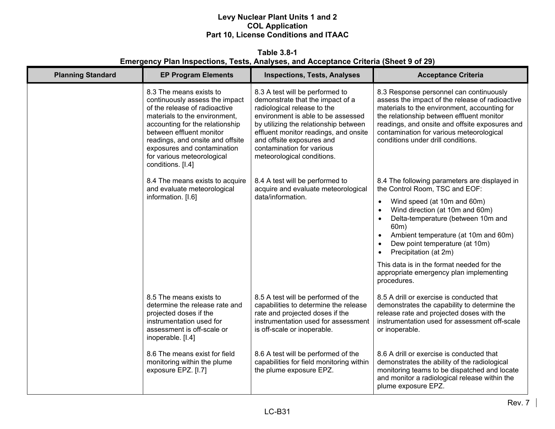## **Table 3.8-1 Emergency Plan Inspections, Tests, Analyses, and Acceptance Criteria (Sheet 9 of 29)**

| <b>Planning Standard</b> | <b>EP Program Elements</b>                                                                                                                                                                                                                                                                                       | <b>Inspections, Tests, Analyses</b>                                                                                                                                                                                                                                                                                | <b>Acceptance Criteria</b>                                                                                                                                                                                                                                                                                                  |
|--------------------------|------------------------------------------------------------------------------------------------------------------------------------------------------------------------------------------------------------------------------------------------------------------------------------------------------------------|--------------------------------------------------------------------------------------------------------------------------------------------------------------------------------------------------------------------------------------------------------------------------------------------------------------------|-----------------------------------------------------------------------------------------------------------------------------------------------------------------------------------------------------------------------------------------------------------------------------------------------------------------------------|
|                          | 8.3 The means exists to<br>continuously assess the impact<br>of the release of radioactive<br>materials to the environment,<br>accounting for the relationship<br>between effluent monitor<br>readings, and onsite and offsite<br>exposures and contamination<br>for various meteorological<br>conditions. [I.4] | 8.3 A test will be performed to<br>demonstrate that the impact of a<br>radiological release to the<br>environment is able to be assessed<br>by utilizing the relationship between<br>effluent monitor readings, and onsite<br>and offsite exposures and<br>contamination for various<br>meteorological conditions. | 8.3 Response personnel can continuously<br>assess the impact of the release of radioactive<br>materials to the environment, accounting for<br>the relationship between effluent monitor<br>readings, and onsite and offsite exposures and<br>contamination for various meteorological<br>conditions under drill conditions. |
|                          | 8.4 The means exists to acquire<br>and evaluate meteorological                                                                                                                                                                                                                                                   | 8.4 A test will be performed to<br>acquire and evaluate meteorological                                                                                                                                                                                                                                             | 8.4 The following parameters are displayed in<br>the Control Room, TSC and EOF:                                                                                                                                                                                                                                             |
|                          | information. [I.6]                                                                                                                                                                                                                                                                                               | data/information.                                                                                                                                                                                                                                                                                                  | Wind speed (at 10m and 60m)<br>$\bullet$<br>Wind direction (at 10m and 60m)<br>$\bullet$<br>Delta-temperature (between 10m and<br>$\bullet$<br>60m)<br>Ambient temperature (at 10m and 60m)<br>$\bullet$<br>Dew point temperature (at 10m)<br>$\bullet$<br>Precipitation (at 2m)<br>$\bullet$                               |
|                          |                                                                                                                                                                                                                                                                                                                  |                                                                                                                                                                                                                                                                                                                    | This data is in the format needed for the<br>appropriate emergency plan implementing<br>procedures.                                                                                                                                                                                                                         |
|                          | 8.5 The means exists to<br>determine the release rate and<br>projected doses if the<br>instrumentation used for<br>assessment is off-scale or<br>inoperable. [I.4]                                                                                                                                               | 8.5 A test will be performed of the<br>capabilities to determine the release<br>rate and projected doses if the<br>instrumentation used for assessment<br>is off-scale or inoperable.                                                                                                                              | 8.5 A drill or exercise is conducted that<br>demonstrates the capability to determine the<br>release rate and projected doses with the<br>instrumentation used for assessment off-scale<br>or inoperable.                                                                                                                   |
|                          | 8.6 The means exist for field<br>monitoring within the plume<br>exposure EPZ. [I.7]                                                                                                                                                                                                                              | 8.6 A test will be performed of the<br>capabilities for field monitoring within<br>the plume exposure EPZ.                                                                                                                                                                                                         | 8.6 A drill or exercise is conducted that<br>demonstrates the ability of the radiological<br>monitoring teams to be dispatched and locate<br>and monitor a radiological release within the<br>plume exposure EPZ.                                                                                                           |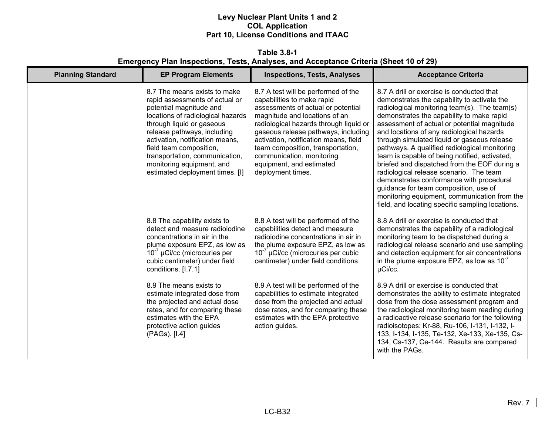**Table 3.8-1 Emergency Plan Inspections, Tests, Analyses, and Acceptance Criteria (Sheet 10 of 29)** 

| <b>Planning Standard</b> | <b>EP Program Elements</b>                                                                                                                                                                                                                                                                                                                                 | <b>Inspections, Tests, Analyses</b>                                                                                                                                                                                                                                                                                                                                                   | <b>Acceptance Criteria</b>                                                                                                                                                                                                                                                                                                                                                                                                                                                                                                                                                                                                                                                                                             |
|--------------------------|------------------------------------------------------------------------------------------------------------------------------------------------------------------------------------------------------------------------------------------------------------------------------------------------------------------------------------------------------------|---------------------------------------------------------------------------------------------------------------------------------------------------------------------------------------------------------------------------------------------------------------------------------------------------------------------------------------------------------------------------------------|------------------------------------------------------------------------------------------------------------------------------------------------------------------------------------------------------------------------------------------------------------------------------------------------------------------------------------------------------------------------------------------------------------------------------------------------------------------------------------------------------------------------------------------------------------------------------------------------------------------------------------------------------------------------------------------------------------------------|
|                          | 8.7 The means exists to make<br>rapid assessments of actual or<br>potential magnitude and<br>locations of radiological hazards<br>through liquid or gaseous<br>release pathways, including<br>activation, notification means,<br>field team composition,<br>transportation, communication,<br>monitoring equipment, and<br>estimated deployment times. [I] | 8.7 A test will be performed of the<br>capabilities to make rapid<br>assessments of actual or potential<br>magnitude and locations of an<br>radiological hazards through liquid or<br>gaseous release pathways, including<br>activation, notification means, field<br>team composition, transportation,<br>communication, monitoring<br>equipment, and estimated<br>deployment times. | 8.7 A drill or exercise is conducted that<br>demonstrates the capability to activate the<br>radiological monitoring team(s). The team(s)<br>demonstrates the capability to make rapid<br>assessment of actual or potential magnitude<br>and locations of any radiological hazards<br>through simulated liquid or gaseous release<br>pathways. A qualified radiological monitoring<br>team is capable of being notified, activated,<br>briefed and dispatched from the EOF during a<br>radiological release scenario. The team<br>demonstrates conformance with procedural<br>guidance for team composition, use of<br>monitoring equipment, communication from the<br>field, and locating specific sampling locations. |
|                          | 8.8 The capability exists to<br>detect and measure radioiodine<br>concentrations in air in the<br>plume exposure EPZ, as low as<br>$10^{-7}$ µCi/cc (microcuries per<br>cubic centimeter) under field<br>conditions. [I.7.1]                                                                                                                               | 8.8 A test will be performed of the<br>capabilities detect and measure<br>radioiodine concentrations in air in<br>the plume exposure EPZ, as low as<br>$10^{-7}$ µCi/cc (microcuries per cubic<br>centimeter) under field conditions.                                                                                                                                                 | 8.8 A drill or exercise is conducted that<br>demonstrates the capability of a radiological<br>monitoring team to be dispatched during a<br>radiological release scenario and use sampling<br>and detection equipment for air concentrations<br>in the plume exposure EPZ, as low as $10^{-7}$<br>µCi/cc.                                                                                                                                                                                                                                                                                                                                                                                                               |
|                          | 8.9 The means exists to<br>estimate integrated dose from<br>the projected and actual dose<br>rates, and for comparing these<br>estimates with the EPA<br>protective action guides<br>(PAGs). [I.4]                                                                                                                                                         | 8.9 A test will be performed of the<br>capabilities to estimate integrated<br>dose from the projected and actual<br>dose rates, and for comparing these<br>estimates with the EPA protective<br>action guides.                                                                                                                                                                        | 8.9 A drill or exercise is conducted that<br>demonstrates the ability to estimate integrated<br>dose from the dose assessment program and<br>the radiological monitoring team reading during<br>a radioactive release scenario for the following<br>radioisotopes: Kr-88, Ru-106, I-131, I-132, I-<br>133, I-134, I-135, Te-132, Xe-133, Xe-135, Cs-<br>134, Cs-137, Ce-144. Results are compared<br>with the PAGs.                                                                                                                                                                                                                                                                                                    |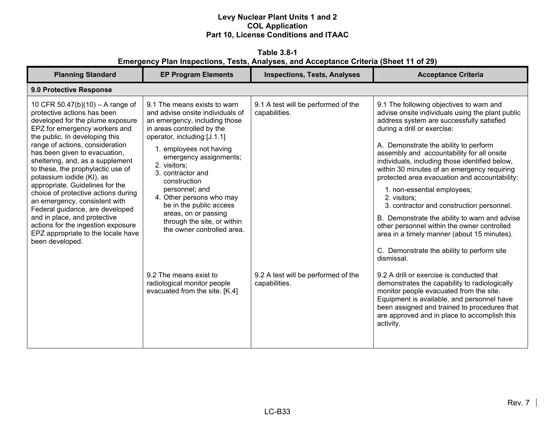**Table 3.8-1 Emergency Plan Inspections, Tests, Analyses, and Acceptance Criteria (Sheet 11 of 29)** 

| <b>Planning Standard</b>                                                                                                                                                                                                                                                                                                                                                                                                                                                                                                                                                                                                      | <b>EP Program Elements</b>                                                                                                                                                                                                                                                                                                                                                                                                                                                                                                        | <b>Inspections, Tests, Analyses</b>                                                                          | <b>Acceptance Criteria</b>                                                                                                                                                                                                                                                                                                                                                                                                                                                                                                                                                                                                                                                                                                                                                                                                                                                                                                                                                                                                   |  |  |
|-------------------------------------------------------------------------------------------------------------------------------------------------------------------------------------------------------------------------------------------------------------------------------------------------------------------------------------------------------------------------------------------------------------------------------------------------------------------------------------------------------------------------------------------------------------------------------------------------------------------------------|-----------------------------------------------------------------------------------------------------------------------------------------------------------------------------------------------------------------------------------------------------------------------------------------------------------------------------------------------------------------------------------------------------------------------------------------------------------------------------------------------------------------------------------|--------------------------------------------------------------------------------------------------------------|------------------------------------------------------------------------------------------------------------------------------------------------------------------------------------------------------------------------------------------------------------------------------------------------------------------------------------------------------------------------------------------------------------------------------------------------------------------------------------------------------------------------------------------------------------------------------------------------------------------------------------------------------------------------------------------------------------------------------------------------------------------------------------------------------------------------------------------------------------------------------------------------------------------------------------------------------------------------------------------------------------------------------|--|--|
| 9.0 Protective Response                                                                                                                                                                                                                                                                                                                                                                                                                                                                                                                                                                                                       |                                                                                                                                                                                                                                                                                                                                                                                                                                                                                                                                   |                                                                                                              |                                                                                                                                                                                                                                                                                                                                                                                                                                                                                                                                                                                                                                                                                                                                                                                                                                                                                                                                                                                                                              |  |  |
| 10 CFR 50.47(b)(10) – A range of<br>protective actions has been<br>developed for the plume exposure<br>EPZ for emergency workers and<br>the public. In developing this<br>range of actions, consideration<br>has been given to evacuation,<br>sheltering, and, as a supplement<br>to these, the prophylactic use of<br>potassium iodide (KI), as<br>appropriate. Guidelines for the<br>choice of protective actions during<br>an emergency, consistent with<br>Federal guidance, are developed<br>and in place, and protective<br>actions for the ingestion exposure<br>EPZ appropriate to the locale have<br>been developed. | 9.1 The means exists to warn<br>and advise onsite individuals of<br>an emergency, including those<br>in areas controlled by the<br>operator, including:[J.1.1]<br>1. employees not having<br>emergency assignments;<br>2. visitors;<br>3. contractor and<br>construction<br>personnel; and<br>4. Other persons who may<br>be in the public access<br>areas, on or passing<br>through the site, or within<br>the owner controlled area.<br>9.2 The means exist to<br>radiological monitor people<br>evacuated from the site. [K.4] | 9.1 A test will be performed of the<br>capabilities.<br>9.2 A test will be performed of the<br>capabilities. | 9.1 The following objectives to warn and<br>advise onsite individuals using the plant public<br>address system are successfully satisfied<br>during a drill or exercise:<br>A. Demonstrate the ability to perform<br>assembly and accountability for all onsite<br>individuals, including those identified below,<br>within 30 minutes of an emergency requiring<br>protected area evacuation and accountability:<br>1. non-essential employees;<br>2. visitors;<br>3. contractor and construction personnel.<br>B. Demonstrate the ability to warn and advise<br>other personnel within the owner controlled<br>area in a timely manner (about 15 minutes).<br>C. Demonstrate the ability to perform site<br>dismissal.<br>9.2 A drill or exercise is conducted that<br>demonstrates the capability to radiologically<br>monitor people evacuated from the site.<br>Equipment is available, and personnel have<br>been assigned and trained to procedures that<br>are approved and in place to accomplish this<br>activity. |  |  |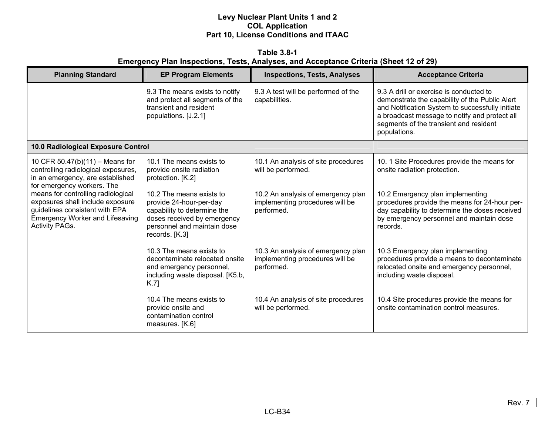**Table 3.8-1 Emergency Plan Inspections, Tests, Analyses, and Acceptance Criteria (Sheet 12 of 29)** 

| <b>Planning Standard</b>                                                                                                                                                    | <b>EP Program Elements</b>                                                                                                                                         | <b>Inspections, Tests, Analyses</b>                                                 | <b>Acceptance Criteria</b>                                                                                                                                                                                                                               |
|-----------------------------------------------------------------------------------------------------------------------------------------------------------------------------|--------------------------------------------------------------------------------------------------------------------------------------------------------------------|-------------------------------------------------------------------------------------|----------------------------------------------------------------------------------------------------------------------------------------------------------------------------------------------------------------------------------------------------------|
|                                                                                                                                                                             | 9.3 The means exists to notify<br>and protect all segments of the<br>transient and resident<br>populations. [J.2.1]                                                | 9.3 A test will be performed of the<br>capabilities.                                | 9.3 A drill or exercise is conducted to<br>demonstrate the capability of the Public Alert<br>and Notification System to successfully initiate<br>a broadcast message to notify and protect all<br>segments of the transient and resident<br>populations. |
| 10.0 Radiological Exposure Control                                                                                                                                          |                                                                                                                                                                    |                                                                                     |                                                                                                                                                                                                                                                          |
| 10 CFR 50.47(b)(11) - Means for<br>controlling radiological exposures,<br>in an emergency, are established<br>for emergency workers. The                                    | 10.1 The means exists to<br>provide onsite radiation<br>protection. [K.2]                                                                                          | 10.1 An analysis of site procedures<br>will be performed.                           | 10. 1 Site Procedures provide the means for<br>onsite radiation protection.                                                                                                                                                                              |
| means for controlling radiological<br>exposures shall include exposure<br>guidelines consistent with EPA<br><b>Emergency Worker and Lifesaving</b><br><b>Activity PAGs.</b> | 10.2 The means exists to<br>provide 24-hour-per-day<br>capability to determine the<br>doses received by emergency<br>personnel and maintain dose<br>records. [K.3] | 10.2 An analysis of emergency plan<br>implementing procedures will be<br>performed. | 10.2 Emergency plan implementing<br>procedures provide the means for 24-hour per-<br>day capability to determine the doses received<br>by emergency personnel and maintain dose<br>records.                                                              |
|                                                                                                                                                                             | 10.3 The means exists to<br>decontaminate relocated onsite<br>and emergency personnel,<br>including waste disposal. [K5.b,<br>K.7                                  | 10.3 An analysis of emergency plan<br>implementing procedures will be<br>performed. | 10.3 Emergency plan implementing<br>procedures provide a means to decontaminate<br>relocated onsite and emergency personnel,<br>including waste disposal.                                                                                                |
|                                                                                                                                                                             | 10.4 The means exists to<br>provide onsite and<br>contamination control<br>measures. [K.6]                                                                         | 10.4 An analysis of site procedures<br>will be performed.                           | 10.4 Site procedures provide the means for<br>onsite contamination control measures.                                                                                                                                                                     |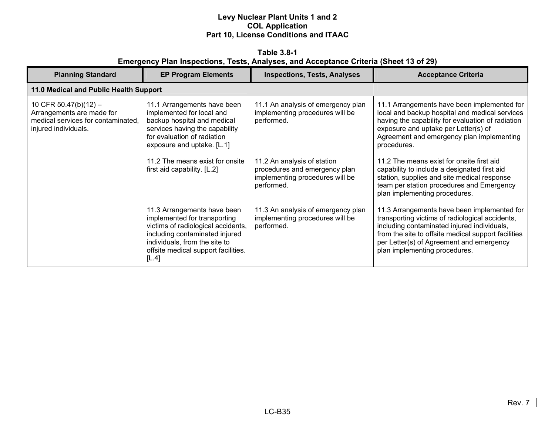**Table 3.8-1 Emergency Plan Inspections, Tests, Analyses, and Acceptance Criteria (Sheet 13 of 29)** 

| <b>Planning Standard</b>                                                                                         | <b>EP Program Elements</b>                                                                                                                                                                                           | <b>Inspections, Tests, Analyses</b>                                                                           | <b>Acceptance Criteria</b>                                                                                                                                                                                                                                                        |
|------------------------------------------------------------------------------------------------------------------|----------------------------------------------------------------------------------------------------------------------------------------------------------------------------------------------------------------------|---------------------------------------------------------------------------------------------------------------|-----------------------------------------------------------------------------------------------------------------------------------------------------------------------------------------------------------------------------------------------------------------------------------|
| 11.0 Medical and Public Health Support                                                                           |                                                                                                                                                                                                                      |                                                                                                               |                                                                                                                                                                                                                                                                                   |
| 10 CFR 50.47(b)(12) -<br>Arrangements are made for<br>medical services for contaminated.<br>injured individuals. | 11.1 Arrangements have been<br>implemented for local and<br>backup hospital and medical<br>services having the capability<br>for evaluation of radiation<br>exposure and uptake. [L.1]                               | 11.1 An analysis of emergency plan<br>implementing procedures will be<br>performed.                           | 11.1 Arrangements have been implemented for<br>local and backup hospital and medical services<br>having the capability for evaluation of radiation<br>exposure and uptake per Letter(s) of<br>Agreement and emergency plan implementing<br>procedures.                            |
|                                                                                                                  | 11.2 The means exist for onsite<br>first aid capability. [L.2]                                                                                                                                                       | 11.2 An analysis of station<br>procedures and emergency plan<br>implementing procedures will be<br>performed. | 11.2 The means exist for onsite first aid<br>capability to include a designated first aid<br>station, supplies and site medical response<br>team per station procedures and Emergency<br>plan implementing procedures.                                                            |
|                                                                                                                  | 11.3 Arrangements have been<br>implemented for transporting<br>victims of radiological accidents,<br>including contaminated injured<br>individuals, from the site to<br>offsite medical support facilities.<br>[L.4] | 11.3 An analysis of emergency plan<br>implementing procedures will be<br>performed.                           | 11.3 Arrangements have been implemented for<br>transporting victims of radiological accidents,<br>including contaminated injured individuals,<br>from the site to offsite medical support facilities<br>per Letter(s) of Agreement and emergency<br>plan implementing procedures. |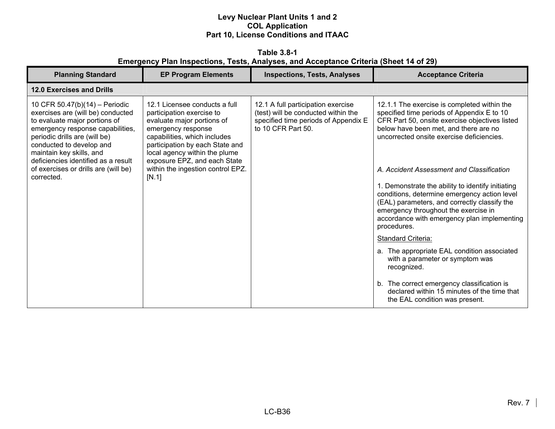**Table 3.8-1 Emergency Plan Inspections, Tests, Analyses, and Acceptance Criteria (Sheet 14 of 29)** 

| <b>Planning Standard</b>                                                                                                                                                                                                                                                                                                       | <b>EP Program Elements</b>                                                                                                                                                                                                                                                                       | <b>Inspections, Tests, Analyses</b>                                                                                                     | <b>Acceptance Criteria</b>                                                                                                                                                                                                                                                                                                                                                                                                                                                                                                                                                                                                                                       |
|--------------------------------------------------------------------------------------------------------------------------------------------------------------------------------------------------------------------------------------------------------------------------------------------------------------------------------|--------------------------------------------------------------------------------------------------------------------------------------------------------------------------------------------------------------------------------------------------------------------------------------------------|-----------------------------------------------------------------------------------------------------------------------------------------|------------------------------------------------------------------------------------------------------------------------------------------------------------------------------------------------------------------------------------------------------------------------------------------------------------------------------------------------------------------------------------------------------------------------------------------------------------------------------------------------------------------------------------------------------------------------------------------------------------------------------------------------------------------|
| 12.0 Exercises and Drills                                                                                                                                                                                                                                                                                                      |                                                                                                                                                                                                                                                                                                  |                                                                                                                                         |                                                                                                                                                                                                                                                                                                                                                                                                                                                                                                                                                                                                                                                                  |
| 10 CFR 50.47(b)(14) - Periodic<br>exercises are (will be) conducted<br>to evaluate major portions of<br>emergency response capabilities,<br>periodic drills are (will be)<br>conducted to develop and<br>maintain key skills, and<br>deficiencies identified as a result<br>of exercises or drills are (will be)<br>corrected. | 12.1 Licensee conducts a full<br>participation exercise to<br>evaluate major portions of<br>emergency response<br>capabilities, which includes<br>participation by each State and<br>local agency within the plume<br>exposure EPZ, and each State<br>within the ingestion control EPZ.<br>[N.1] | 12.1 A full participation exercise<br>(test) will be conducted within the<br>specified time periods of Appendix E<br>to 10 CFR Part 50. | 12.1.1 The exercise is completed within the<br>specified time periods of Appendix E to 10<br>CFR Part 50, onsite exercise objectives listed<br>below have been met, and there are no<br>uncorrected onsite exercise deficiencies.<br>A. Accident Assessment and Classification<br>1. Demonstrate the ability to identify initiating<br>conditions, determine emergency action level<br>(EAL) parameters, and correctly classify the<br>emergency throughout the exercise in<br>accordance with emergency plan implementing<br>procedures.<br>Standard Criteria:<br>a. The appropriate EAL condition associated<br>with a parameter or symptom was<br>recognized. |
|                                                                                                                                                                                                                                                                                                                                |                                                                                                                                                                                                                                                                                                  |                                                                                                                                         | b. The correct emergency classification is<br>declared within 15 minutes of the time that<br>the EAL condition was present.                                                                                                                                                                                                                                                                                                                                                                                                                                                                                                                                      |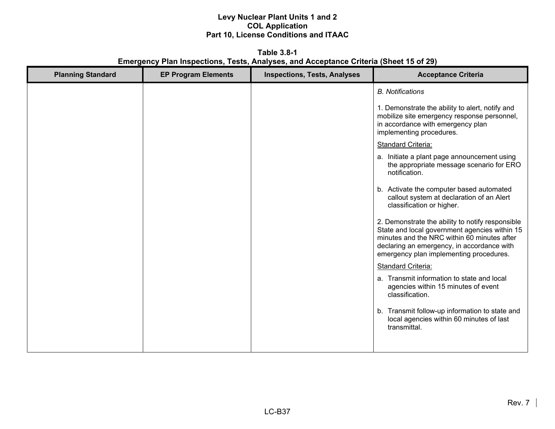**Table 3.8-1 Emergency Plan Inspections, Tests, Analyses, and Acceptance Criteria (Sheet 15 of 29)** 

| <b>Planning Standard</b> | <b>EP Program Elements</b> | <b>Inspections, Tests, Analyses</b> | <b>Acceptance Criteria</b>                                                                                                                                                                                                                |
|--------------------------|----------------------------|-------------------------------------|-------------------------------------------------------------------------------------------------------------------------------------------------------------------------------------------------------------------------------------------|
|                          |                            |                                     | <b>B.</b> Notifications                                                                                                                                                                                                                   |
|                          |                            |                                     | 1. Demonstrate the ability to alert, notify and<br>mobilize site emergency response personnel,<br>in accordance with emergency plan<br>implementing procedures.                                                                           |
|                          |                            |                                     | <b>Standard Criteria:</b>                                                                                                                                                                                                                 |
|                          |                            |                                     | a. Initiate a plant page announcement using<br>the appropriate message scenario for ERO<br>notification.                                                                                                                                  |
|                          |                            |                                     | b. Activate the computer based automated<br>callout system at declaration of an Alert<br>classification or higher.                                                                                                                        |
|                          |                            |                                     | 2. Demonstrate the ability to notify responsible<br>State and local government agencies within 15<br>minutes and the NRC within 60 minutes after<br>declaring an emergency, in accordance with<br>emergency plan implementing procedures. |
|                          |                            |                                     | <b>Standard Criteria:</b>                                                                                                                                                                                                                 |
|                          |                            |                                     | a. Transmit information to state and local<br>agencies within 15 minutes of event<br>classification.                                                                                                                                      |
|                          |                            |                                     | b. Transmit follow-up information to state and<br>local agencies within 60 minutes of last<br>transmittal.                                                                                                                                |
|                          |                            |                                     |                                                                                                                                                                                                                                           |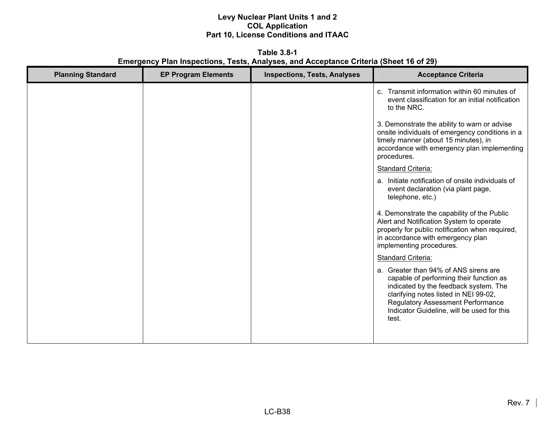**Table 3.8-1 Emergency Plan Inspections, Tests, Analyses, and Acceptance Criteria (Sheet 16 of 29)** 

| <b>Planning Standard</b> | <b>EP Program Elements</b> | <b>Inspections, Tests, Analyses</b> | <b>Acceptance Criteria</b>                                                                                                                                                                                                                                            |
|--------------------------|----------------------------|-------------------------------------|-----------------------------------------------------------------------------------------------------------------------------------------------------------------------------------------------------------------------------------------------------------------------|
|                          |                            |                                     | c. Transmit information within 60 minutes of<br>event classification for an initial notification<br>to the NRC.                                                                                                                                                       |
|                          |                            |                                     | 3. Demonstrate the ability to warn or advise<br>onsite individuals of emergency conditions in a<br>timely manner (about 15 minutes), in<br>accordance with emergency plan implementing<br>procedures.                                                                 |
|                          |                            |                                     | <b>Standard Criteria:</b>                                                                                                                                                                                                                                             |
|                          |                            |                                     | a. Initiate notification of onsite individuals of<br>event declaration (via plant page,<br>telephone, etc.)                                                                                                                                                           |
|                          |                            |                                     | 4. Demonstrate the capability of the Public<br>Alert and Notification System to operate<br>properly for public notification when required,<br>in accordance with emergency plan<br>implementing procedures.                                                           |
|                          |                            |                                     | <b>Standard Criteria:</b>                                                                                                                                                                                                                                             |
|                          |                            |                                     | a. Greater than 94% of ANS sirens are<br>capable of performing their function as<br>indicated by the feedback system. The<br>clarifying notes listed in NEI 99-02,<br><b>Regulatory Assessment Performance</b><br>Indicator Guideline, will be used for this<br>test. |
|                          |                            |                                     |                                                                                                                                                                                                                                                                       |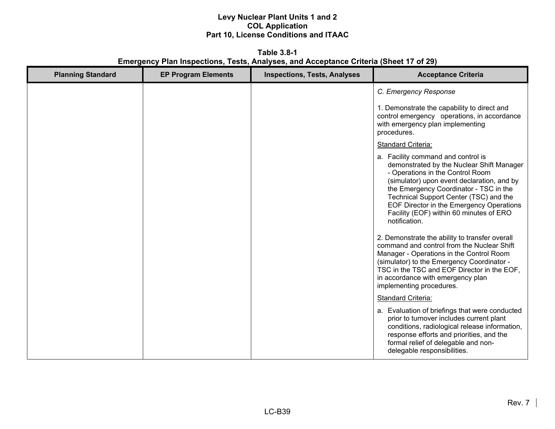**Table 3.8-1 Emergency Plan Inspections, Tests, Analyses, and Acceptance Criteria (Sheet 17 of 29)** 

| <b>Planning Standard</b> | <b>EP Program Elements</b> | <b>Inspections, Tests, Analyses</b> | <b>Acceptance Criteria</b>                                                                                                                                                                                                                                                                                                                                    |
|--------------------------|----------------------------|-------------------------------------|---------------------------------------------------------------------------------------------------------------------------------------------------------------------------------------------------------------------------------------------------------------------------------------------------------------------------------------------------------------|
|                          |                            |                                     | C. Emergency Response                                                                                                                                                                                                                                                                                                                                         |
|                          |                            |                                     | 1. Demonstrate the capability to direct and<br>control emergency operations, in accordance<br>with emergency plan implementing<br>procedures.                                                                                                                                                                                                                 |
|                          |                            |                                     | <b>Standard Criteria:</b>                                                                                                                                                                                                                                                                                                                                     |
|                          |                            |                                     | a. Facility command and control is<br>demonstrated by the Nuclear Shift Manager<br>- Operations in the Control Room<br>(simulator) upon event declaration, and by<br>the Emergency Coordinator - TSC in the<br>Technical Support Center (TSC) and the<br>EOF Director in the Emergency Operations<br>Facility (EOF) within 60 minutes of ERO<br>notification. |
|                          |                            |                                     | 2. Demonstrate the ability to transfer overall<br>command and control from the Nuclear Shift<br>Manager - Operations in the Control Room<br>(simulator) to the Emergency Coordinator -<br>TSC in the TSC and EOF Director in the EOF,<br>in accordance with emergency plan<br>implementing procedures.                                                        |
|                          |                            |                                     | <b>Standard Criteria:</b>                                                                                                                                                                                                                                                                                                                                     |
|                          |                            |                                     | a. Evaluation of briefings that were conducted<br>prior to turnover includes current plant<br>conditions, radiological release information,<br>response efforts and priorities, and the<br>formal relief of delegable and non-<br>delegable responsibilities.                                                                                                 |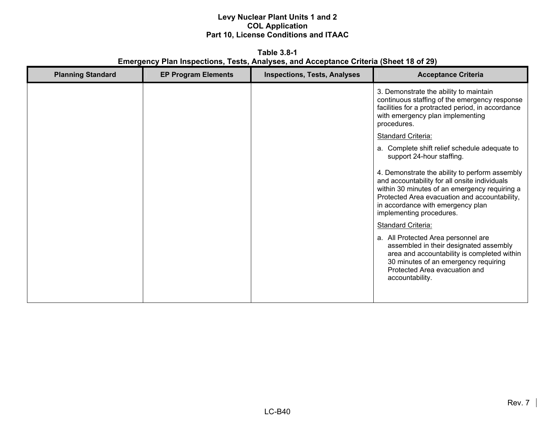**Table 3.8-1 Emergency Plan Inspections, Tests, Analyses, and Acceptance Criteria (Sheet 18 of 29)** 

| <b>Planning Standard</b> | <b>EP Program Elements</b> | <b>Inspections, Tests, Analyses</b> | <b>Acceptance Criteria</b>                                                                                                                                                                                                                                         |
|--------------------------|----------------------------|-------------------------------------|--------------------------------------------------------------------------------------------------------------------------------------------------------------------------------------------------------------------------------------------------------------------|
|                          |                            |                                     | 3. Demonstrate the ability to maintain<br>continuous staffing of the emergency response<br>facilities for a protracted period, in accordance<br>with emergency plan implementing<br>procedures.                                                                    |
|                          |                            |                                     | <b>Standard Criteria:</b>                                                                                                                                                                                                                                          |
|                          |                            |                                     | a. Complete shift relief schedule adequate to<br>support 24-hour staffing.                                                                                                                                                                                         |
|                          |                            |                                     | 4. Demonstrate the ability to perform assembly<br>and accountability for all onsite individuals<br>within 30 minutes of an emergency requiring a<br>Protected Area evacuation and accountability,<br>in accordance with emergency plan<br>implementing procedures. |
|                          |                            |                                     | <b>Standard Criteria:</b>                                                                                                                                                                                                                                          |
|                          |                            |                                     | a. All Protected Area personnel are<br>assembled in their designated assembly<br>area and accountability is completed within<br>30 minutes of an emergency requiring<br>Protected Area evacuation and<br>accountability.                                           |
|                          |                            |                                     |                                                                                                                                                                                                                                                                    |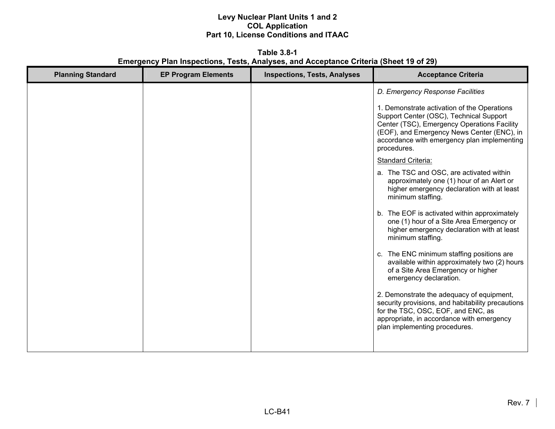**Table 3.8-1 Emergency Plan Inspections, Tests, Analyses, and Acceptance Criteria (Sheet 19 of 29)** 

| <b>Planning Standard</b> | <b>EP Program Elements</b> | <b>Inspections, Tests, Analyses</b> | <b>Acceptance Criteria</b>                                                                                                                                                                                                                        |
|--------------------------|----------------------------|-------------------------------------|---------------------------------------------------------------------------------------------------------------------------------------------------------------------------------------------------------------------------------------------------|
|                          |                            |                                     | D. Emergency Response Facilities                                                                                                                                                                                                                  |
|                          |                            |                                     | 1. Demonstrate activation of the Operations<br>Support Center (OSC), Technical Support<br>Center (TSC), Emergency Operations Facility<br>(EOF), and Emergency News Center (ENC), in<br>accordance with emergency plan implementing<br>procedures. |
|                          |                            |                                     | <b>Standard Criteria:</b>                                                                                                                                                                                                                         |
|                          |                            |                                     | a. The TSC and OSC, are activated within<br>approximately one (1) hour of an Alert or<br>higher emergency declaration with at least<br>minimum staffing.                                                                                          |
|                          |                            |                                     | b. The EOF is activated within approximately<br>one (1) hour of a Site Area Emergency or<br>higher emergency declaration with at least<br>minimum staffing.                                                                                       |
|                          |                            |                                     | c. The ENC minimum staffing positions are<br>available within approximately two (2) hours<br>of a Site Area Emergency or higher<br>emergency declaration.                                                                                         |
|                          |                            |                                     | 2. Demonstrate the adequacy of equipment,<br>security provisions, and habitability precautions<br>for the TSC, OSC, EOF, and ENC, as<br>appropriate, in accordance with emergency<br>plan implementing procedures.                                |
|                          |                            |                                     |                                                                                                                                                                                                                                                   |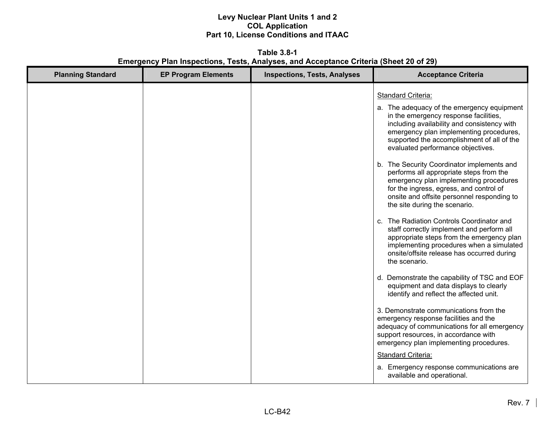**Table 3.8-1 Emergency Plan Inspections, Tests, Analyses, and Acceptance Criteria (Sheet 20 of 29)** 

| <b>Planning Standard</b> | <b>EP Program Elements</b> | <b>Inspections, Tests, Analyses</b> | <b>Acceptance Criteria</b>                                                                                                                                                                                                                                                                                                                                                                                                                                                                                                                                                                                                                                                                                                                                                                  |
|--------------------------|----------------------------|-------------------------------------|---------------------------------------------------------------------------------------------------------------------------------------------------------------------------------------------------------------------------------------------------------------------------------------------------------------------------------------------------------------------------------------------------------------------------------------------------------------------------------------------------------------------------------------------------------------------------------------------------------------------------------------------------------------------------------------------------------------------------------------------------------------------------------------------|
|                          |                            |                                     | <b>Standard Criteria:</b><br>a. The adequacy of the emergency equipment<br>in the emergency response facilities,<br>including availability and consistency with<br>emergency plan implementing procedures,<br>supported the accomplishment of all of the<br>evaluated performance objectives.<br>b. The Security Coordinator implements and<br>performs all appropriate steps from the<br>emergency plan implementing procedures<br>for the ingress, egress, and control of<br>onsite and offsite personnel responding to<br>the site during the scenario.<br>c. The Radiation Controls Coordinator and<br>staff correctly implement and perform all<br>appropriate steps from the emergency plan<br>implementing procedures when a simulated<br>onsite/offsite release has occurred during |
|                          |                            |                                     | the scenario.<br>d. Demonstrate the capability of TSC and EOF<br>equipment and data displays to clearly<br>identify and reflect the affected unit.<br>3. Demonstrate communications from the<br>emergency response facilities and the<br>adequacy of communications for all emergency<br>support resources, in accordance with<br>emergency plan implementing procedures.<br><b>Standard Criteria:</b><br>a. Emergency response communications are<br>available and operational.                                                                                                                                                                                                                                                                                                            |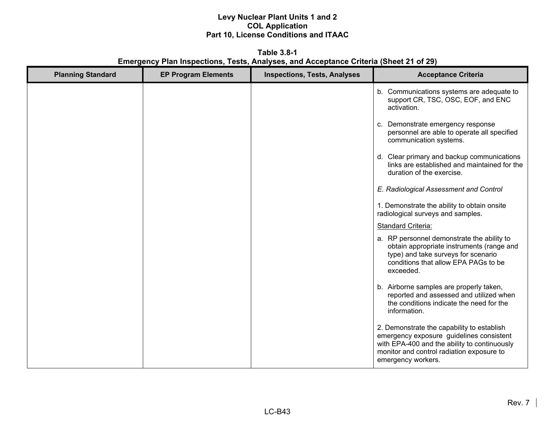**Table 3.8-1 Emergency Plan Inspections, Tests, Analyses, and Acceptance Criteria (Sheet 21 of 29)** 

| <b>Planning Standard</b> | <b>EP Program Elements</b> | <b>Inspections, Tests, Analyses</b> | <b>Acceptance Criteria</b>                                                                                                                                                                                |
|--------------------------|----------------------------|-------------------------------------|-----------------------------------------------------------------------------------------------------------------------------------------------------------------------------------------------------------|
|                          |                            |                                     | b. Communications systems are adequate to<br>support CR, TSC, OSC, EOF, and ENC<br>activation.                                                                                                            |
|                          |                            |                                     | c. Demonstrate emergency response<br>personnel are able to operate all specified<br>communication systems.                                                                                                |
|                          |                            |                                     | d. Clear primary and backup communications<br>links are established and maintained for the<br>duration of the exercise.                                                                                   |
|                          |                            |                                     | E. Radiological Assessment and Control                                                                                                                                                                    |
|                          |                            |                                     | 1. Demonstrate the ability to obtain onsite<br>radiological surveys and samples.                                                                                                                          |
|                          |                            |                                     | Standard Criteria:                                                                                                                                                                                        |
|                          |                            |                                     | a. RP personnel demonstrate the ability to<br>obtain appropriate instruments (range and<br>type) and take surveys for scenario<br>conditions that allow EPA PAGs to be<br>exceeded.                       |
|                          |                            |                                     | b. Airborne samples are properly taken,<br>reported and assessed and utilized when<br>the conditions indicate the need for the<br>information.                                                            |
|                          |                            |                                     | 2. Demonstrate the capability to establish<br>emergency exposure guidelines consistent<br>with EPA-400 and the ability to continuously<br>monitor and control radiation exposure to<br>emergency workers. |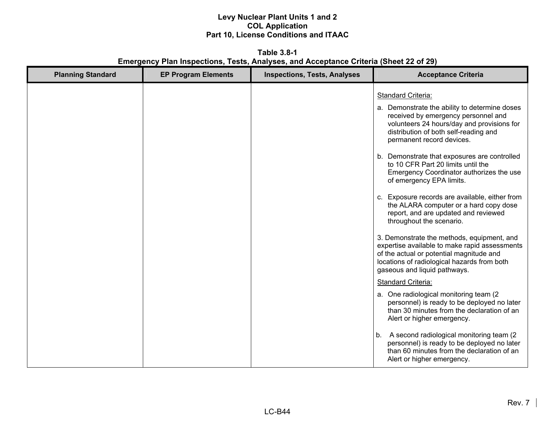**Table 3.8-1 Emergency Plan Inspections, Tests, Analyses, and Acceptance Criteria (Sheet 22 of 29)** 

| <b>Planning Standard</b> | <b>EP Program Elements</b> | <b>Inspections, Tests, Analyses</b> | <b>Acceptance Criteria</b>                                                                                                                                                                                                                                                                                                                                                                                                                                                                                                                                                                                                                                                                                                                                                                                                                                                                                                                                                                                                                                                                                                                                              |
|--------------------------|----------------------------|-------------------------------------|-------------------------------------------------------------------------------------------------------------------------------------------------------------------------------------------------------------------------------------------------------------------------------------------------------------------------------------------------------------------------------------------------------------------------------------------------------------------------------------------------------------------------------------------------------------------------------------------------------------------------------------------------------------------------------------------------------------------------------------------------------------------------------------------------------------------------------------------------------------------------------------------------------------------------------------------------------------------------------------------------------------------------------------------------------------------------------------------------------------------------------------------------------------------------|
|                          |                            |                                     | <b>Standard Criteria:</b><br>a. Demonstrate the ability to determine doses<br>received by emergency personnel and<br>volunteers 24 hours/day and provisions for<br>distribution of both self-reading and<br>permanent record devices.<br>b. Demonstrate that exposures are controlled<br>to 10 CFR Part 20 limits until the<br>Emergency Coordinator authorizes the use<br>of emergency EPA limits.<br>c. Exposure records are available, either from<br>the ALARA computer or a hard copy dose<br>report, and are updated and reviewed<br>throughout the scenario.<br>3. Demonstrate the methods, equipment, and<br>expertise available to make rapid assessments<br>of the actual or potential magnitude and<br>locations of radiological hazards from both<br>gaseous and liquid pathways.<br>Standard Criteria:<br>a. One radiological monitoring team (2)<br>personnel) is ready to be deployed no later<br>than 30 minutes from the declaration of an<br>Alert or higher emergency.<br>A second radiological monitoring team (2)<br>b.<br>personnel) is ready to be deployed no later<br>than 60 minutes from the declaration of an<br>Alert or higher emergency. |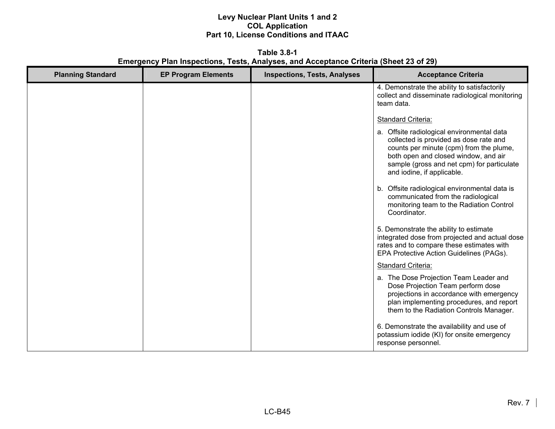**Table 3.8-1 Emergency Plan Inspections, Tests, Analyses, and Acceptance Criteria (Sheet 23 of 29)** 

| <b>Planning Standard</b> | <b>EP Program Elements</b> | <b>Inspections, Tests, Analyses</b> | <b>Acceptance Criteria</b>                                                                                                                                                                                                                          |
|--------------------------|----------------------------|-------------------------------------|-----------------------------------------------------------------------------------------------------------------------------------------------------------------------------------------------------------------------------------------------------|
|                          |                            |                                     | 4. Demonstrate the ability to satisfactorily<br>collect and disseminate radiological monitoring<br>team data.                                                                                                                                       |
|                          |                            |                                     | <b>Standard Criteria:</b>                                                                                                                                                                                                                           |
|                          |                            |                                     | a. Offsite radiological environmental data<br>collected is provided as dose rate and<br>counts per minute (cpm) from the plume,<br>both open and closed window, and air<br>sample (gross and net cpm) for particulate<br>and iodine, if applicable. |
|                          |                            |                                     | Offsite radiological environmental data is<br>b.<br>communicated from the radiological<br>monitoring team to the Radiation Control<br>Coordinator.                                                                                                  |
|                          |                            |                                     | 5. Demonstrate the ability to estimate<br>integrated dose from projected and actual dose<br>rates and to compare these estimates with<br>EPA Protective Action Guidelines (PAGs).                                                                   |
|                          |                            |                                     | <b>Standard Criteria:</b>                                                                                                                                                                                                                           |
|                          |                            |                                     | a. The Dose Projection Team Leader and<br>Dose Projection Team perform dose<br>projections in accordance with emergency<br>plan implementing procedures, and report<br>them to the Radiation Controls Manager.                                      |
|                          |                            |                                     | 6. Demonstrate the availability and use of<br>potassium iodide (KI) for onsite emergency<br>response personnel.                                                                                                                                     |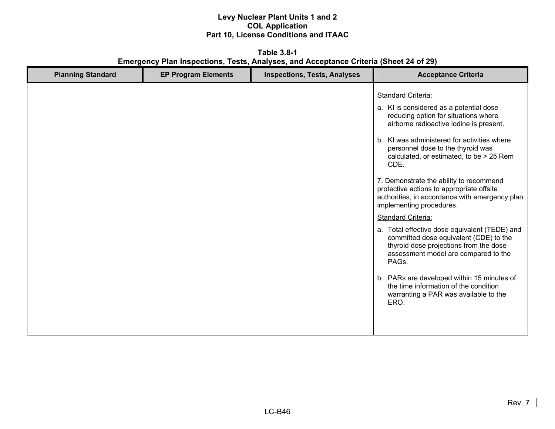**Table 3.8-1 Emergency Plan Inspections, Tests, Analyses, and Acceptance Criteria (Sheet 24 of 29)** 

| <b>Planning Standard</b> | <b>EP Program Elements</b> | <b>Inspections, Tests, Analyses</b> | <b>Acceptance Criteria</b>                                                                                                                                                                                                                                                                                                                                                                                                                                                                                                                                                                                                                                                                                                                                                                                                       |
|--------------------------|----------------------------|-------------------------------------|----------------------------------------------------------------------------------------------------------------------------------------------------------------------------------------------------------------------------------------------------------------------------------------------------------------------------------------------------------------------------------------------------------------------------------------------------------------------------------------------------------------------------------------------------------------------------------------------------------------------------------------------------------------------------------------------------------------------------------------------------------------------------------------------------------------------------------|
|                          |                            |                                     | <b>Standard Criteria:</b><br>a. KI is considered as a potential dose<br>reducing option for situations where<br>airborne radioactive iodine is present.<br>b. KI was administered for activities where<br>personnel dose to the thyroid was<br>calculated, or estimated, to be > 25 Rem<br>CDE.<br>7. Demonstrate the ability to recommend<br>protective actions to appropriate offsite<br>authorities, in accordance with emergency plan<br>implementing procedures.<br><b>Standard Criteria:</b><br>a. Total effective dose equivalent (TEDE) and<br>committed dose equivalent (CDE) to the<br>thyroid dose projections from the dose<br>assessment model are compared to the<br>PAGs.<br>b. PARs are developed within 15 minutes of<br>the time information of the condition<br>warranting a PAR was available to the<br>ERO. |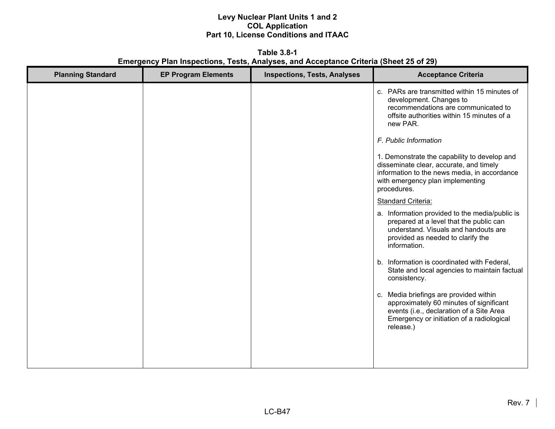**Table 3.8-1 Emergency Plan Inspections, Tests, Analyses, and Acceptance Criteria (Sheet 25 of 29)** 

| <b>Planning Standard</b> | <b>EP Program Elements</b> | <b>Inspections, Tests, Analyses</b> | <b>Acceptance Criteria</b>                                                                                                                                                                 |
|--------------------------|----------------------------|-------------------------------------|--------------------------------------------------------------------------------------------------------------------------------------------------------------------------------------------|
|                          |                            |                                     | c. PARs are transmitted within 15 minutes of<br>development. Changes to<br>recommendations are communicated to<br>offsite authorities within 15 minutes of a<br>new PAR.                   |
|                          |                            |                                     | F. Public Information                                                                                                                                                                      |
|                          |                            |                                     | 1. Demonstrate the capability to develop and<br>disseminate clear, accurate, and timely<br>information to the news media, in accordance<br>with emergency plan implementing<br>procedures. |
|                          |                            |                                     | <b>Standard Criteria:</b>                                                                                                                                                                  |
|                          |                            |                                     | a. Information provided to the media/public is<br>prepared at a level that the public can<br>understand. Visuals and handouts are<br>provided as needed to clarify the<br>information.     |
|                          |                            |                                     | b. Information is coordinated with Federal,<br>State and local agencies to maintain factual<br>consistency.                                                                                |
|                          |                            |                                     | c. Media briefings are provided within<br>approximately 60 minutes of significant<br>events (i.e., declaration of a Site Area<br>Emergency or initiation of a radiological<br>release.)    |
|                          |                            |                                     |                                                                                                                                                                                            |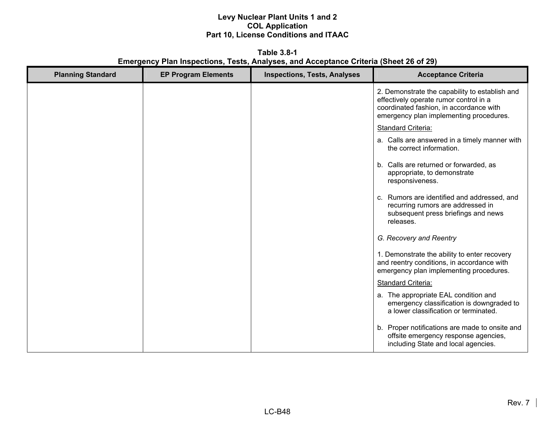**Table 3.8-1 Emergency Plan Inspections, Tests, Analyses, and Acceptance Criteria (Sheet 26 of 29)** 

| <b>Planning Standard</b> | <b>EP Program Elements</b> | <b>Inspections, Tests, Analyses</b> | <b>Acceptance Criteria</b>                                                                                                                                                     |
|--------------------------|----------------------------|-------------------------------------|--------------------------------------------------------------------------------------------------------------------------------------------------------------------------------|
|                          |                            |                                     | 2. Demonstrate the capability to establish and<br>effectively operate rumor control in a<br>coordinated fashion, in accordance with<br>emergency plan implementing procedures. |
|                          |                            |                                     | Standard Criteria:                                                                                                                                                             |
|                          |                            |                                     | a. Calls are answered in a timely manner with<br>the correct information.                                                                                                      |
|                          |                            |                                     | b. Calls are returned or forwarded, as<br>appropriate, to demonstrate<br>responsiveness.                                                                                       |
|                          |                            |                                     | c. Rumors are identified and addressed, and<br>recurring rumors are addressed in<br>subsequent press briefings and news<br>releases.                                           |
|                          |                            |                                     | G. Recovery and Reentry                                                                                                                                                        |
|                          |                            |                                     | 1. Demonstrate the ability to enter recovery<br>and reentry conditions, in accordance with<br>emergency plan implementing procedures.                                          |
|                          |                            |                                     | Standard Criteria:                                                                                                                                                             |
|                          |                            |                                     | a. The appropriate EAL condition and<br>emergency classification is downgraded to<br>a lower classification or terminated.                                                     |
|                          |                            |                                     | b. Proper notifications are made to onsite and<br>offsite emergency response agencies,<br>including State and local agencies.                                                  |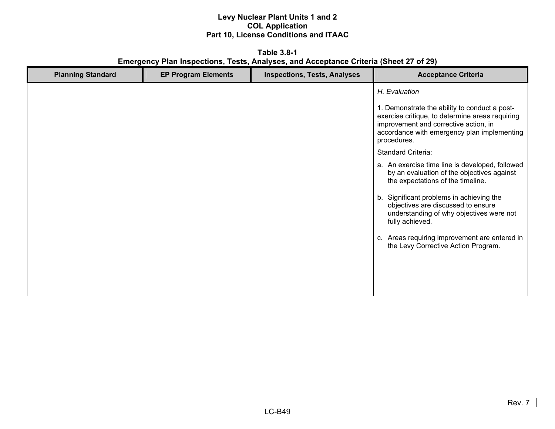**Table 3.8-1 Emergency Plan Inspections, Tests, Analyses, and Acceptance Criteria (Sheet 27 of 29)** 

| <b>Planning Standard</b> | <b>EP Program Elements</b> | <b>Inspections, Tests, Analyses</b> | <b>Acceptance Criteria</b>                                                                                                                             |
|--------------------------|----------------------------|-------------------------------------|--------------------------------------------------------------------------------------------------------------------------------------------------------|
|                          |                            |                                     | H. Evaluation<br>1. Demonstrate the ability to conduct a post-                                                                                         |
|                          |                            |                                     | exercise critique, to determine areas requiring<br>improvement and corrective action, in<br>accordance with emergency plan implementing<br>procedures. |
|                          |                            |                                     | <b>Standard Criteria:</b>                                                                                                                              |
|                          |                            |                                     | a. An exercise time line is developed, followed<br>by an evaluation of the objectives against<br>the expectations of the timeline.                     |
|                          |                            |                                     | b. Significant problems in achieving the<br>objectives are discussed to ensure<br>understanding of why objectives were not<br>fully achieved.          |
|                          |                            |                                     | c. Areas requiring improvement are entered in<br>the Levy Corrective Action Program.                                                                   |
|                          |                            |                                     |                                                                                                                                                        |
|                          |                            |                                     |                                                                                                                                                        |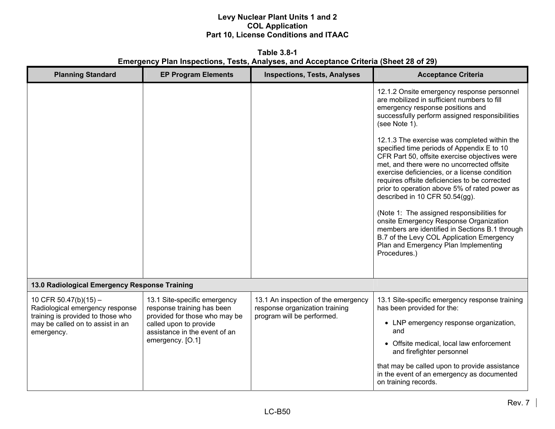**Table 3.8-1 Emergency Plan Inspections, Tests, Analyses, and Acceptance Criteria (Sheet 28 of 29)** 

| <b>Planning Standard</b>                                                                                                                          | <b>EP Program Elements</b>                                                                                                                                                 | <b>Inspections, Tests, Analyses</b>                                                                 | <b>Acceptance Criteria</b>                                                                                                                                                                                                                                                                                                                                                                                                                                                                                                                                                                                                    |
|---------------------------------------------------------------------------------------------------------------------------------------------------|----------------------------------------------------------------------------------------------------------------------------------------------------------------------------|-----------------------------------------------------------------------------------------------------|-------------------------------------------------------------------------------------------------------------------------------------------------------------------------------------------------------------------------------------------------------------------------------------------------------------------------------------------------------------------------------------------------------------------------------------------------------------------------------------------------------------------------------------------------------------------------------------------------------------------------------|
|                                                                                                                                                   |                                                                                                                                                                            |                                                                                                     | 12.1.2 Onsite emergency response personnel<br>are mobilized in sufficient numbers to fill<br>emergency response positions and<br>successfully perform assigned responsibilities<br>(see Note 1).                                                                                                                                                                                                                                                                                                                                                                                                                              |
|                                                                                                                                                   |                                                                                                                                                                            |                                                                                                     | 12.1.3 The exercise was completed within the<br>specified time periods of Appendix E to 10<br>CFR Part 50, offsite exercise objectives were<br>met, and there were no uncorrected offsite<br>exercise deficiencies, or a license condition<br>requires offsite deficiencies to be corrected<br>prior to operation above 5% of rated power as<br>described in 10 CFR 50.54(gg).<br>(Note 1: The assigned responsibilities for<br>onsite Emergency Response Organization<br>members are identified in Sections B.1 through<br>B.7 of the Levy COL Application Emergency<br>Plan and Emergency Plan Implementing<br>Procedures.) |
| 13.0 Radiological Emergency Response Training                                                                                                     |                                                                                                                                                                            |                                                                                                     |                                                                                                                                                                                                                                                                                                                                                                                                                                                                                                                                                                                                                               |
| 10 CFR 50.47(b)(15) $-$<br>Radiological emergency response<br>training is provided to those who<br>may be called on to assist in an<br>emergency. | 13.1 Site-specific emergency<br>response training has been<br>provided for those who may be<br>called upon to provide<br>assistance in the event of an<br>emergency. [O.1] | 13.1 An inspection of the emergency<br>response organization training<br>program will be performed. | 13.1 Site-specific emergency response training<br>has been provided for the:<br>• LNP emergency response organization,<br>and<br>• Offsite medical, local law enforcement                                                                                                                                                                                                                                                                                                                                                                                                                                                     |
|                                                                                                                                                   |                                                                                                                                                                            |                                                                                                     | and firefighter personnel<br>that may be called upon to provide assistance<br>in the event of an emergency as documented<br>on training records.                                                                                                                                                                                                                                                                                                                                                                                                                                                                              |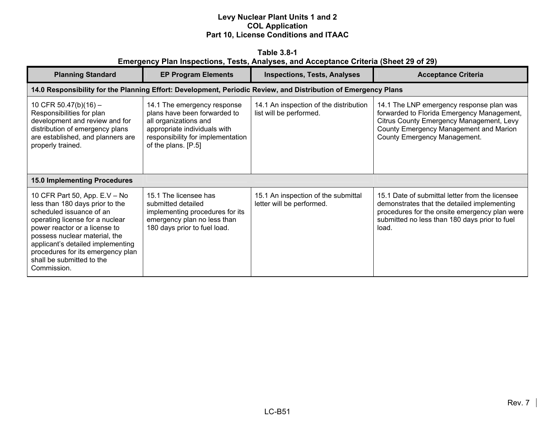| Table 3.8-1                                                                           |  |  |  |  |  |  |  |  |
|---------------------------------------------------------------------------------------|--|--|--|--|--|--|--|--|
| Emergency Plan Inspections, Tests, Analyses, and Acceptance Criteria (Sheet 29 of 29) |  |  |  |  |  |  |  |  |

| <b>Planning Standard</b>                                                                                                                                                                                                                                                                                                | <b>EP Program Elements</b>                                                                                                                                                       | <b>Inspections, Tests, Analyses</b>                                                                            | <b>Acceptance Criteria</b>                                                                                                                                                                                   |
|-------------------------------------------------------------------------------------------------------------------------------------------------------------------------------------------------------------------------------------------------------------------------------------------------------------------------|----------------------------------------------------------------------------------------------------------------------------------------------------------------------------------|----------------------------------------------------------------------------------------------------------------|--------------------------------------------------------------------------------------------------------------------------------------------------------------------------------------------------------------|
|                                                                                                                                                                                                                                                                                                                         |                                                                                                                                                                                  | 14.0 Responsibility for the Planning Effort: Development, Periodic Review, and Distribution of Emergency Plans |                                                                                                                                                                                                              |
| 10 CFR 50.47(b)(16) -<br>Responsibilities for plan<br>development and review and for<br>distribution of emergency plans<br>are established, and planners are<br>properly trained.                                                                                                                                       | 14.1 The emergency response<br>plans have been forwarded to<br>all organizations and<br>appropriate individuals with<br>responsibility for implementation<br>of the plans. [P.5] | 14.1 An inspection of the distribution<br>list will be performed.                                              | 14.1 The LNP emergency response plan was<br>forwarded to Florida Emergency Management,<br>Citrus County Emergency Management, Levy<br>County Emergency Management and Marion<br>County Emergency Management. |
| <b>15.0 Implementing Procedures</b>                                                                                                                                                                                                                                                                                     |                                                                                                                                                                                  |                                                                                                                |                                                                                                                                                                                                              |
| 10 CFR Part 50, App. E.V - No<br>less than 180 days prior to the<br>scheduled issuance of an<br>operating license for a nuclear<br>power reactor or a license to<br>possess nuclear material, the<br>applicant's detailed implementing<br>procedures for its emergency plan<br>shall be submitted to the<br>Commission. | 15.1 The licensee has<br>submitted detailed<br>implementing procedures for its<br>emergency plan no less than<br>180 days prior to fuel load.                                    | 15.1 An inspection of the submittal<br>letter will be performed.                                               | 15.1 Date of submittal letter from the licensee<br>demonstrates that the detailed implementing<br>procedures for the onsite emergency plan were<br>submitted no less than 180 days prior to fuel<br>load.    |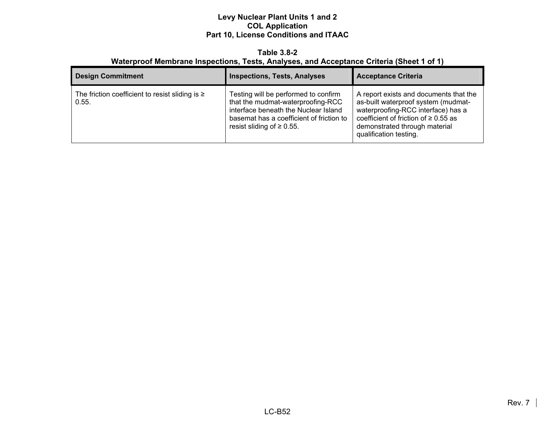#### **Table 3.8-2 Waterproof Membrane Inspections, Tests, Analyses, and Acceptance Criteria (Sheet 1 of 1)**

| <b>Design Commitment</b>                                      | <b>Inspections, Tests, Analyses</b>                                                                                                                                                              | <b>Acceptance Criteria</b>                                                                                                                                                                                                  |
|---------------------------------------------------------------|--------------------------------------------------------------------------------------------------------------------------------------------------------------------------------------------------|-----------------------------------------------------------------------------------------------------------------------------------------------------------------------------------------------------------------------------|
| The friction coefficient to resist sliding is $\geq$<br>0.55. | Testing will be performed to confirm<br>that the mudmat-waterproofing-RCC<br>interface beneath the Nuclear Island<br>basemat has a coefficient of friction to<br>resist sliding of $\geq 0.55$ . | A report exists and documents that the<br>as-built waterproof system (mudmat-<br>waterproofing-RCC interface) has a<br>coefficient of friction of $\geq 0.55$ as<br>demonstrated through material<br>qualification testing. |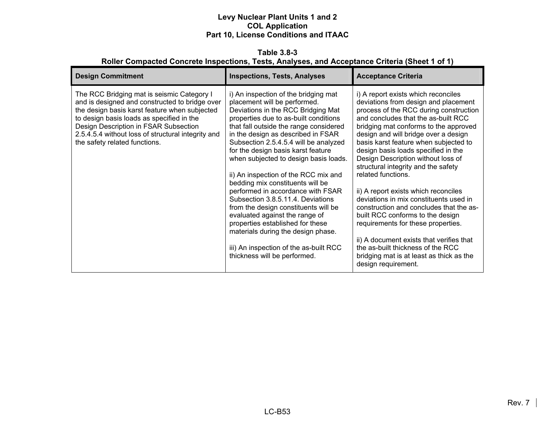**Table 3.8-3 Roller Compacted Concrete Inspections, Tests, Analyses, and Acceptance Criteria (Sheet 1 of 1)** 

| <b>Design Commitment</b>                                                                                                                                                                                                                                                                                                   | <b>Inspections, Tests, Analyses</b>                                                                                                                                                                                                                                                                                                                                                                                                                                                                                                                                                                                                                                                                                                             | <b>Acceptance Criteria</b>                                                                                                                                                                                                                                                                                                                                                                                                                                                                                                                                                                                                                                                                                                                                                                  |
|----------------------------------------------------------------------------------------------------------------------------------------------------------------------------------------------------------------------------------------------------------------------------------------------------------------------------|-------------------------------------------------------------------------------------------------------------------------------------------------------------------------------------------------------------------------------------------------------------------------------------------------------------------------------------------------------------------------------------------------------------------------------------------------------------------------------------------------------------------------------------------------------------------------------------------------------------------------------------------------------------------------------------------------------------------------------------------------|---------------------------------------------------------------------------------------------------------------------------------------------------------------------------------------------------------------------------------------------------------------------------------------------------------------------------------------------------------------------------------------------------------------------------------------------------------------------------------------------------------------------------------------------------------------------------------------------------------------------------------------------------------------------------------------------------------------------------------------------------------------------------------------------|
| The RCC Bridging mat is seismic Category I<br>and is designed and constructed to bridge over<br>the design basis karst feature when subjected<br>to design basis loads as specified in the<br>Design Description in FSAR Subsection<br>2.5.4.5.4 without loss of structural integrity and<br>the safety related functions. | i) An inspection of the bridging mat<br>placement will be performed.<br>Deviations in the RCC Bridging Mat<br>properties due to as-built conditions<br>that fall outside the range considered<br>in the design as described in FSAR<br>Subsection 2.5.4.5.4 will be analyzed<br>for the design basis karst feature<br>when subjected to design basis loads.<br>ii) An inspection of the RCC mix and<br>bedding mix constituents will be<br>performed in accordance with FSAR<br>Subsection 3.8.5.11.4. Deviations<br>from the design constituents will be<br>evaluated against the range of<br>properties established for these<br>materials during the design phase.<br>iii) An inspection of the as-built RCC<br>thickness will be performed. | i) A report exists which reconciles<br>deviations from design and placement<br>process of the RCC during construction<br>and concludes that the as-built RCC<br>bridging mat conforms to the approved<br>design and will bridge over a design<br>basis karst feature when subjected to<br>design basis loads specified in the<br>Design Description without loss of<br>structural integrity and the safety<br>related functions.<br>ii) A report exists which reconciles<br>deviations in mix constituents used in<br>construction and concludes that the as-<br>built RCC conforms to the design<br>requirements for these properties.<br>ii) A document exists that verifies that<br>the as-built thickness of the RCC<br>bridging mat is at least as thick as the<br>design requirement. |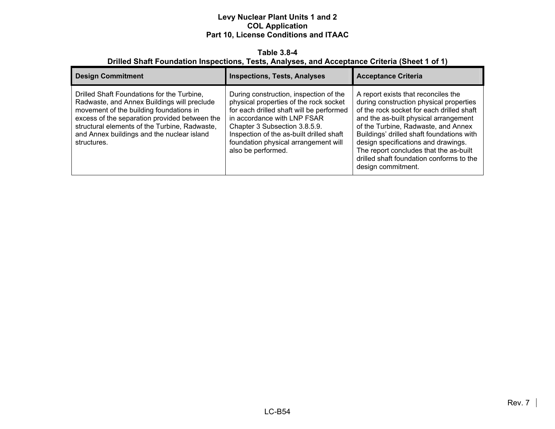#### **Table 3.8-4 Drilled Shaft Foundation Inspections, Tests, Analyses, and Acceptance Criteria (Sheet 1 of 1)**

| <b>Design Commitment</b>                                                                                                                                                                                                                                                                            | <b>Inspections, Tests, Analyses</b>                                                                                                                                                                                                                                                                    | <b>Acceptance Criteria</b>                                                                                                                                                                                                                                                                                                                                                                                  |
|-----------------------------------------------------------------------------------------------------------------------------------------------------------------------------------------------------------------------------------------------------------------------------------------------------|--------------------------------------------------------------------------------------------------------------------------------------------------------------------------------------------------------------------------------------------------------------------------------------------------------|-------------------------------------------------------------------------------------------------------------------------------------------------------------------------------------------------------------------------------------------------------------------------------------------------------------------------------------------------------------------------------------------------------------|
| Drilled Shaft Foundations for the Turbine,<br>Radwaste, and Annex Buildings will preclude<br>movement of the building foundations in<br>excess of the separation provided between the<br>structural elements of the Turbine, Radwaste,<br>and Annex buildings and the nuclear island<br>structures. | During construction, inspection of the<br>physical properties of the rock socket<br>for each drilled shaft will be performed<br>in accordance with LNP FSAR<br>Chapter 3 Subsection 3.8.5.9.<br>Inspection of the as-built drilled shaft<br>foundation physical arrangement will<br>also be performed. | A report exists that reconciles the<br>during construction physical properties<br>of the rock socket for each drilled shaft<br>and the as-built physical arrangement<br>of the Turbine, Radwaste, and Annex<br>Buildings' drilled shaft foundations with<br>design specifications and drawings.<br>The report concludes that the as-built<br>drilled shaft foundation conforms to the<br>design commitment. |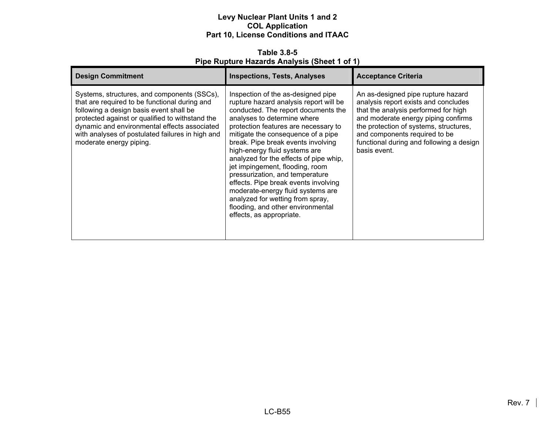**Table 3.8-5 Pipe Rupture Hazards Analysis (Sheet 1 of 1)** 

| <b>Design Commitment</b>                                                                                                                                                                                                                                                                                                  | <b>Inspections, Tests, Analyses</b>                                                                                                                                                                                                                                                                                                                                                                                                                                                                                                                                                                       | <b>Acceptance Criteria</b>                                                                                                                                                                                                                                                                       |
|---------------------------------------------------------------------------------------------------------------------------------------------------------------------------------------------------------------------------------------------------------------------------------------------------------------------------|-----------------------------------------------------------------------------------------------------------------------------------------------------------------------------------------------------------------------------------------------------------------------------------------------------------------------------------------------------------------------------------------------------------------------------------------------------------------------------------------------------------------------------------------------------------------------------------------------------------|--------------------------------------------------------------------------------------------------------------------------------------------------------------------------------------------------------------------------------------------------------------------------------------------------|
| Systems, structures, and components (SSCs),<br>that are required to be functional during and<br>following a design basis event shall be<br>protected against or qualified to withstand the<br>dynamic and environmental effects associated<br>with analyses of postulated failures in high and<br>moderate energy piping. | Inspection of the as-designed pipe<br>rupture hazard analysis report will be<br>conducted. The report documents the<br>analyses to determine where<br>protection features are necessary to<br>mitigate the consequence of a pipe<br>break. Pipe break events involving<br>high-energy fluid systems are<br>analyzed for the effects of pipe whip,<br>jet impingement, flooding, room<br>pressurization, and temperature<br>effects. Pipe break events involving<br>moderate-energy fluid systems are<br>analyzed for wetting from spray,<br>flooding, and other environmental<br>effects, as appropriate. | An as-designed pipe rupture hazard<br>analysis report exists and concludes<br>that the analysis performed for high<br>and moderate energy piping confirms<br>the protection of systems, structures,<br>and components required to be<br>functional during and following a design<br>basis event. |